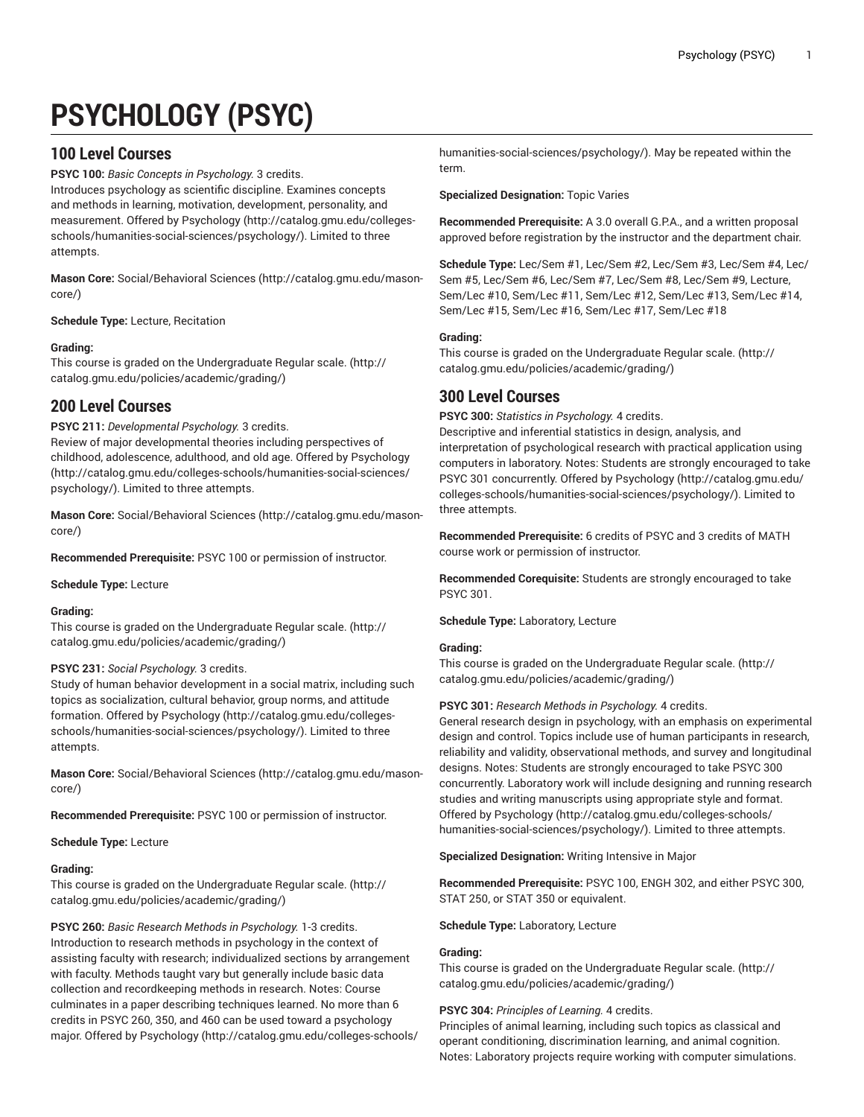# **PSYCHOLOGY (PSYC)**

# **100 Level Courses**

**PSYC 100:** *Basic Concepts in Psychology.* 3 credits. Introduces psychology as scientific discipline. Examines concepts and methods in learning, motivation, development, personality, and measurement. Offered by [Psychology \(http://catalog.gmu.edu/colleges](http://catalog.gmu.edu/colleges-schools/humanities-social-sciences/psychology/)[schools/humanities-social-sciences/psychology/](http://catalog.gmu.edu/colleges-schools/humanities-social-sciences/psychology/)). Limited to three attempts.

**Mason Core:** [Social/Behavioral](http://catalog.gmu.edu/mason-core/) Sciences ([http://catalog.gmu.edu/mason](http://catalog.gmu.edu/mason-core/)[core/\)](http://catalog.gmu.edu/mason-core/)

**Schedule Type:** Lecture, Recitation

## **Grading:**

This course is graded on the [Undergraduate](http://catalog.gmu.edu/policies/academic/grading/) Regular scale. ([http://](http://catalog.gmu.edu/policies/academic/grading/) [catalog.gmu.edu/policies/academic/grading/\)](http://catalog.gmu.edu/policies/academic/grading/)

# **200 Level Courses**

**PSYC 211:** *Developmental Psychology.* 3 credits. Review of major developmental theories including perspectives of childhood, adolescence, adulthood, and old age. Offered by [Psychology](http://catalog.gmu.edu/colleges-schools/humanities-social-sciences/psychology/) ([http://catalog.gmu.edu/colleges-schools/humanities-social-sciences/](http://catalog.gmu.edu/colleges-schools/humanities-social-sciences/psychology/) [psychology/](http://catalog.gmu.edu/colleges-schools/humanities-social-sciences/psychology/)). Limited to three attempts.

**Mason Core:** [Social/Behavioral](http://catalog.gmu.edu/mason-core/) Sciences ([http://catalog.gmu.edu/mason](http://catalog.gmu.edu/mason-core/)[core/\)](http://catalog.gmu.edu/mason-core/)

**Recommended Prerequisite:** PSYC 100 or permission of instructor.

**Schedule Type:** Lecture

#### **Grading:**

This course is graded on the [Undergraduate](http://catalog.gmu.edu/policies/academic/grading/) Regular scale. ([http://](http://catalog.gmu.edu/policies/academic/grading/) [catalog.gmu.edu/policies/academic/grading/\)](http://catalog.gmu.edu/policies/academic/grading/)

#### **PSYC 231:** *Social Psychology.* 3 credits.

Study of human behavior development in a social matrix, including such topics as socialization, cultural behavior, group norms, and attitude formation. Offered by [Psychology](http://catalog.gmu.edu/colleges-schools/humanities-social-sciences/psychology/) ([http://catalog.gmu.edu/colleges](http://catalog.gmu.edu/colleges-schools/humanities-social-sciences/psychology/)[schools/humanities-social-sciences/psychology/](http://catalog.gmu.edu/colleges-schools/humanities-social-sciences/psychology/)). Limited to three attempts.

**Mason Core:** [Social/Behavioral](http://catalog.gmu.edu/mason-core/) Sciences ([http://catalog.gmu.edu/mason](http://catalog.gmu.edu/mason-core/)[core/\)](http://catalog.gmu.edu/mason-core/)

**Recommended Prerequisite:** PSYC 100 or permission of instructor.

#### **Schedule Type:** Lecture

#### **Grading:**

This course is graded on the [Undergraduate](http://catalog.gmu.edu/policies/academic/grading/) Regular scale. ([http://](http://catalog.gmu.edu/policies/academic/grading/) [catalog.gmu.edu/policies/academic/grading/\)](http://catalog.gmu.edu/policies/academic/grading/)

**PSYC 260:** *Basic Research Methods in Psychology.* 1-3 credits. Introduction to research methods in psychology in the context of assisting faculty with research; individualized sections by arrangement with faculty. Methods taught vary but generally include basic data collection and recordkeeping methods in research. Notes: Course culminates in a paper describing techniques learned. No more than 6 credits in PSYC 260, 350, and 460 can be used toward a psychology major. Offered by [Psychology](http://catalog.gmu.edu/colleges-schools/humanities-social-sciences/psychology/) ([http://catalog.gmu.edu/colleges-schools/](http://catalog.gmu.edu/colleges-schools/humanities-social-sciences/psychology/) [humanities-social-sciences/psychology/\)](http://catalog.gmu.edu/colleges-schools/humanities-social-sciences/psychology/). May be repeated within the term.

**Specialized Designation:** Topic Varies

**Recommended Prerequisite:** A 3.0 overall G.P.A., and a written proposal approved before registration by the instructor and the department chair.

**Schedule Type:** Lec/Sem #1, Lec/Sem #2, Lec/Sem #3, Lec/Sem #4, Lec/ Sem #5, Lec/Sem #6, Lec/Sem #7, Lec/Sem #8, Lec/Sem #9, Lecture, Sem/Lec #10, Sem/Lec #11, Sem/Lec #12, Sem/Lec #13, Sem/Lec #14, Sem/Lec #15, Sem/Lec #16, Sem/Lec #17, Sem/Lec #18

#### **Grading:**

This course is graded on the [Undergraduate](http://catalog.gmu.edu/policies/academic/grading/) Regular scale. ([http://](http://catalog.gmu.edu/policies/academic/grading/) [catalog.gmu.edu/policies/academic/grading/](http://catalog.gmu.edu/policies/academic/grading/))

## **300 Level Courses**

**PSYC 300:** *Statistics in Psychology.* 4 credits.

Descriptive and inferential statistics in design, analysis, and interpretation of psychological research with practical application using computers in laboratory. Notes: Students are strongly encouraged to take PSYC 301 concurrently. Offered by [Psychology](http://catalog.gmu.edu/colleges-schools/humanities-social-sciences/psychology/) ([http://catalog.gmu.edu/](http://catalog.gmu.edu/colleges-schools/humanities-social-sciences/psychology/) [colleges-schools/humanities-social-sciences/psychology/\)](http://catalog.gmu.edu/colleges-schools/humanities-social-sciences/psychology/). Limited to three attempts.

**Recommended Prerequisite:** 6 credits of PSYC and 3 credits of MATH course work or permission of instructor.

**Recommended Corequisite:** Students are strongly encouraged to take PSYC 301.

**Schedule Type:** Laboratory, Lecture

#### **Grading:**

This course is graded on the [Undergraduate](http://catalog.gmu.edu/policies/academic/grading/) Regular scale. ([http://](http://catalog.gmu.edu/policies/academic/grading/) [catalog.gmu.edu/policies/academic/grading/](http://catalog.gmu.edu/policies/academic/grading/))

#### **PSYC 301:** *Research Methods in Psychology.* 4 credits.

General research design in psychology, with an emphasis on experimental design and control. Topics include use of human participants in research, reliability and validity, observational methods, and survey and longitudinal designs. Notes: Students are strongly encouraged to take PSYC 300 concurrently. Laboratory work will include designing and running research studies and writing manuscripts using appropriate style and format. Offered by [Psychology](http://catalog.gmu.edu/colleges-schools/humanities-social-sciences/psychology/) ([http://catalog.gmu.edu/colleges-schools/](http://catalog.gmu.edu/colleges-schools/humanities-social-sciences/psychology/) [humanities-social-sciences/psychology/\)](http://catalog.gmu.edu/colleges-schools/humanities-social-sciences/psychology/). Limited to three attempts.

**Specialized Designation:** Writing Intensive in Major

**Recommended Prerequisite:** PSYC 100, ENGH 302, and either PSYC 300, STAT 250, or STAT 350 or equivalent.

**Schedule Type:** Laboratory, Lecture

## **Grading:**

This course is graded on the [Undergraduate](http://catalog.gmu.edu/policies/academic/grading/) Regular scale. ([http://](http://catalog.gmu.edu/policies/academic/grading/) [catalog.gmu.edu/policies/academic/grading/](http://catalog.gmu.edu/policies/academic/grading/))

## **PSYC 304:** *Principles of Learning.* 4 credits.

Principles of animal learning, including such topics as classical and operant conditioning, discrimination learning, and animal cognition. Notes: Laboratory projects require working with computer simulations.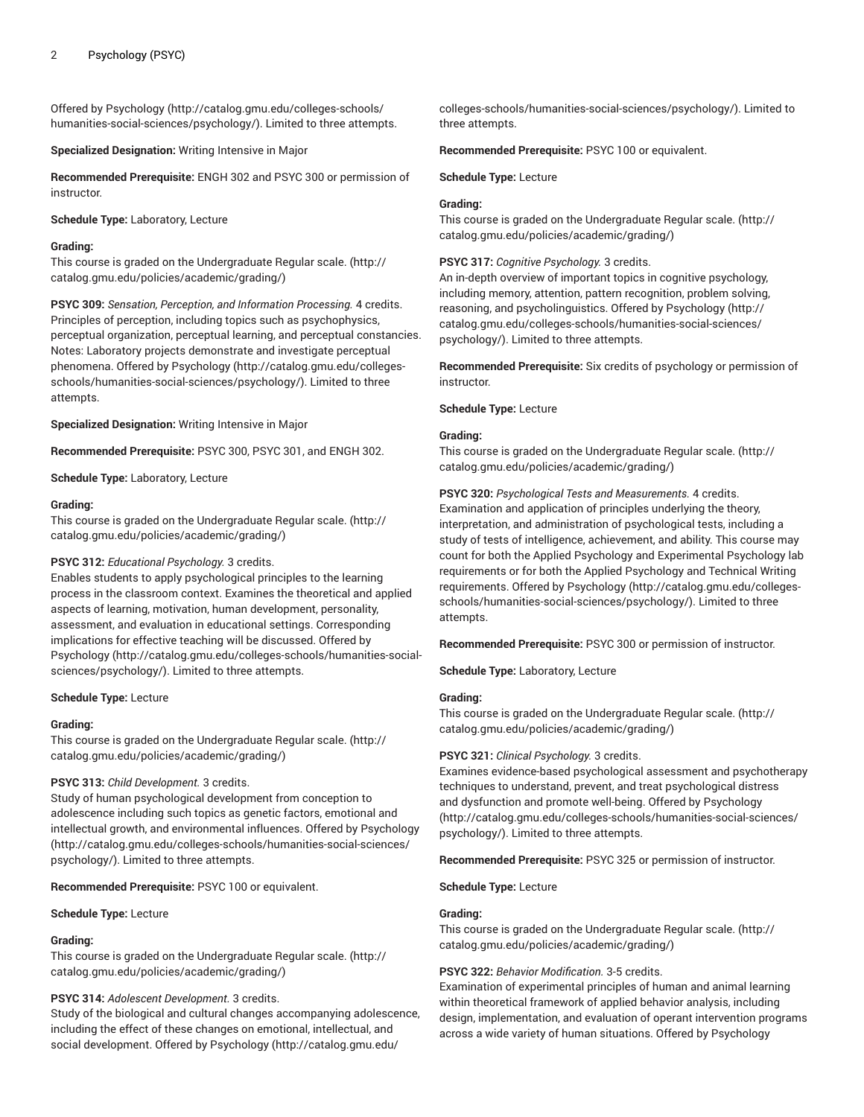Offered by [Psychology \(http://catalog.gmu.edu/colleges-schools/](http://catalog.gmu.edu/colleges-schools/humanities-social-sciences/psychology/) [humanities-social-sciences/psychology/\)](http://catalog.gmu.edu/colleges-schools/humanities-social-sciences/psychology/). Limited to three attempts.

**Specialized Designation:** Writing Intensive in Major

**Recommended Prerequisite:** ENGH 302 and PSYC 300 or permission of instructor.

**Schedule Type:** Laboratory, Lecture

#### **Grading:**

This course is graded on the [Undergraduate](http://catalog.gmu.edu/policies/academic/grading/) Regular scale. ([http://](http://catalog.gmu.edu/policies/academic/grading/) [catalog.gmu.edu/policies/academic/grading/\)](http://catalog.gmu.edu/policies/academic/grading/)

**PSYC 309:** *Sensation, Perception, and Information Processing.* 4 credits. Principles of perception, including topics such as psychophysics, perceptual organization, perceptual learning, and perceptual constancies. Notes: Laboratory projects demonstrate and investigate perceptual phenomena. Offered by [Psychology](http://catalog.gmu.edu/colleges-schools/humanities-social-sciences/psychology/) [\(http://catalog.gmu.edu/colleges](http://catalog.gmu.edu/colleges-schools/humanities-social-sciences/psychology/)[schools/humanities-social-sciences/psychology/](http://catalog.gmu.edu/colleges-schools/humanities-social-sciences/psychology/)). Limited to three attempts.

**Specialized Designation:** Writing Intensive in Major

**Recommended Prerequisite:** PSYC 300, PSYC 301, and ENGH 302.

**Schedule Type:** Laboratory, Lecture

#### **Grading:**

This course is graded on the [Undergraduate](http://catalog.gmu.edu/policies/academic/grading/) Regular scale. ([http://](http://catalog.gmu.edu/policies/academic/grading/) [catalog.gmu.edu/policies/academic/grading/\)](http://catalog.gmu.edu/policies/academic/grading/)

#### **PSYC 312:** *Educational Psychology.* 3 credits.

Enables students to apply psychological principles to the learning process in the classroom context. Examines the theoretical and applied aspects of learning, motivation, human development, personality, assessment, and evaluation in educational settings. Corresponding implications for effective teaching will be discussed. Offered by [Psychology \(http://catalog.gmu.edu/colleges-schools/humanities-social](http://catalog.gmu.edu/colleges-schools/humanities-social-sciences/psychology/)[sciences/psychology/\)](http://catalog.gmu.edu/colleges-schools/humanities-social-sciences/psychology/). Limited to three attempts.

#### **Schedule Type:** Lecture

#### **Grading:**

This course is graded on the [Undergraduate](http://catalog.gmu.edu/policies/academic/grading/) Regular scale. ([http://](http://catalog.gmu.edu/policies/academic/grading/) [catalog.gmu.edu/policies/academic/grading/\)](http://catalog.gmu.edu/policies/academic/grading/)

#### **PSYC 313:** *Child Development.* 3 credits.

Study of human psychological development from conception to adolescence including such topics as genetic factors, emotional and intellectual growth, and environmental influences. Offered by [Psychology](http://catalog.gmu.edu/colleges-schools/humanities-social-sciences/psychology/) ([http://catalog.gmu.edu/colleges-schools/humanities-social-sciences/](http://catalog.gmu.edu/colleges-schools/humanities-social-sciences/psychology/) [psychology/](http://catalog.gmu.edu/colleges-schools/humanities-social-sciences/psychology/)). Limited to three attempts.

**Recommended Prerequisite:** PSYC 100 or equivalent.

**Schedule Type:** Lecture

#### **Grading:**

This course is graded on the [Undergraduate](http://catalog.gmu.edu/policies/academic/grading/) Regular scale. ([http://](http://catalog.gmu.edu/policies/academic/grading/) [catalog.gmu.edu/policies/academic/grading/\)](http://catalog.gmu.edu/policies/academic/grading/)

## **PSYC 314:** *Adolescent Development.* 3 credits.

Study of the biological and cultural changes accompanying adolescence, including the effect of these changes on emotional, intellectual, and social development. Offered by [Psychology \(http://catalog.gmu.edu/](http://catalog.gmu.edu/colleges-schools/humanities-social-sciences/psychology/)

[colleges-schools/humanities-social-sciences/psychology/\)](http://catalog.gmu.edu/colleges-schools/humanities-social-sciences/psychology/). Limited to three attempts.

**Recommended Prerequisite:** PSYC 100 or equivalent.

**Schedule Type:** Lecture

#### **Grading:**

This course is graded on the [Undergraduate](http://catalog.gmu.edu/policies/academic/grading/) Regular scale. ([http://](http://catalog.gmu.edu/policies/academic/grading/) [catalog.gmu.edu/policies/academic/grading/](http://catalog.gmu.edu/policies/academic/grading/))

## **PSYC 317:** *Cognitive Psychology.* 3 credits.

An in-depth overview of important topics in cognitive psychology, including memory, attention, pattern recognition, problem solving, reasoning, and psycholinguistics. Offered by [Psychology](http://catalog.gmu.edu/colleges-schools/humanities-social-sciences/psychology/) ([http://](http://catalog.gmu.edu/colleges-schools/humanities-social-sciences/psychology/) [catalog.gmu.edu/colleges-schools/humanities-social-sciences/](http://catalog.gmu.edu/colleges-schools/humanities-social-sciences/psychology/) [psychology/\)](http://catalog.gmu.edu/colleges-schools/humanities-social-sciences/psychology/). Limited to three attempts.

**Recommended Prerequisite:** Six credits of psychology or permission of instructor.

#### **Schedule Type:** Lecture

#### **Grading:**

This course is graded on the [Undergraduate](http://catalog.gmu.edu/policies/academic/grading/) Regular scale. ([http://](http://catalog.gmu.edu/policies/academic/grading/) [catalog.gmu.edu/policies/academic/grading/](http://catalog.gmu.edu/policies/academic/grading/))

**PSYC 320:** *Psychological Tests and Measurements.* 4 credits. Examination and application of principles underlying the theory, interpretation, and administration of psychological tests, including a study of tests of intelligence, achievement, and ability. This course may count for both the Applied Psychology and Experimental Psychology lab requirements or for both the Applied Psychology and Technical Writing requirements. Offered by [Psychology \(http://catalog.gmu.edu/colleges](http://catalog.gmu.edu/colleges-schools/humanities-social-sciences/psychology/)[schools/humanities-social-sciences/psychology/](http://catalog.gmu.edu/colleges-schools/humanities-social-sciences/psychology/)). Limited to three attempts.

**Recommended Prerequisite:** PSYC 300 or permission of instructor.

**Schedule Type:** Laboratory, Lecture

## **Grading:**

This course is graded on the [Undergraduate](http://catalog.gmu.edu/policies/academic/grading/) Regular scale. ([http://](http://catalog.gmu.edu/policies/academic/grading/) [catalog.gmu.edu/policies/academic/grading/](http://catalog.gmu.edu/policies/academic/grading/))

#### **PSYC 321:** *Clinical Psychology.* 3 credits.

Examines evidence-based psychological assessment and psychotherapy techniques to understand, prevent, and treat psychological distress and dysfunction and promote well-being. Offered by [Psychology](http://catalog.gmu.edu/colleges-schools/humanities-social-sciences/psychology/) [\(http://catalog.gmu.edu/colleges-schools/humanities-social-sciences/](http://catalog.gmu.edu/colleges-schools/humanities-social-sciences/psychology/) [psychology/\)](http://catalog.gmu.edu/colleges-schools/humanities-social-sciences/psychology/). Limited to three attempts.

**Recommended Prerequisite:** PSYC 325 or permission of instructor.

**Schedule Type:** Lecture

#### **Grading:**

This course is graded on the [Undergraduate](http://catalog.gmu.edu/policies/academic/grading/) Regular scale. ([http://](http://catalog.gmu.edu/policies/academic/grading/) [catalog.gmu.edu/policies/academic/grading/](http://catalog.gmu.edu/policies/academic/grading/))

#### **PSYC 322:** *Behavior Modification.* 3-5 credits.

Examination of experimental principles of human and animal learning within theoretical framework of applied behavior analysis, including design, implementation, and evaluation of operant intervention programs across a wide variety of human situations. Offered by [Psychology](http://catalog.gmu.edu/colleges-schools/humanities-social-sciences/psychology/)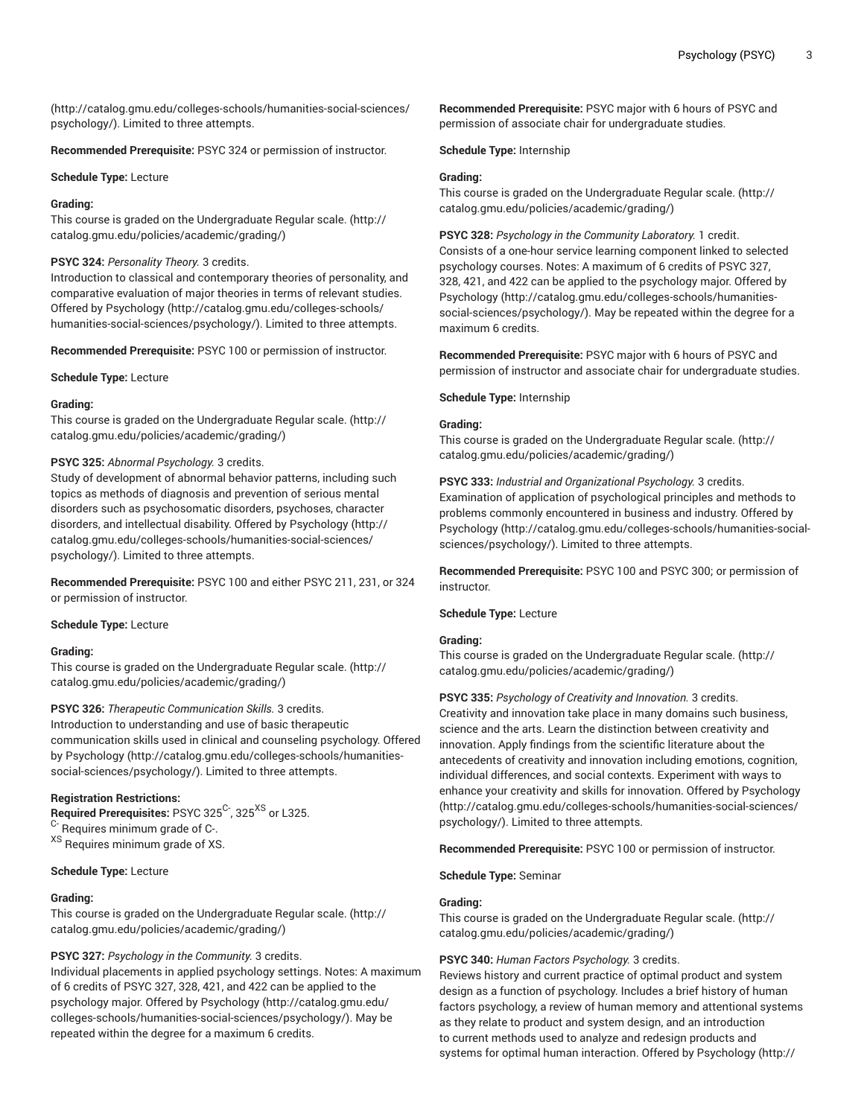([http://catalog.gmu.edu/colleges-schools/humanities-social-sciences/](http://catalog.gmu.edu/colleges-schools/humanities-social-sciences/psychology/) [psychology/](http://catalog.gmu.edu/colleges-schools/humanities-social-sciences/psychology/)). Limited to three attempts.

**Recommended Prerequisite:** PSYC 324 or permission of instructor.

#### **Schedule Type:** Lecture

#### **Grading:**

This course is graded on the [Undergraduate](http://catalog.gmu.edu/policies/academic/grading/) Regular scale. ([http://](http://catalog.gmu.edu/policies/academic/grading/) [catalog.gmu.edu/policies/academic/grading/\)](http://catalog.gmu.edu/policies/academic/grading/)

#### **PSYC 324:** *Personality Theory.* 3 credits.

Introduction to classical and contemporary theories of personality, and comparative evaluation of major theories in terms of relevant studies. Offered by [Psychology \(http://catalog.gmu.edu/colleges-schools/](http://catalog.gmu.edu/colleges-schools/humanities-social-sciences/psychology/) [humanities-social-sciences/psychology/\)](http://catalog.gmu.edu/colleges-schools/humanities-social-sciences/psychology/). Limited to three attempts.

**Recommended Prerequisite:** PSYC 100 or permission of instructor.

**Schedule Type:** Lecture

#### **Grading:**

This course is graded on the [Undergraduate](http://catalog.gmu.edu/policies/academic/grading/) Regular scale. ([http://](http://catalog.gmu.edu/policies/academic/grading/) [catalog.gmu.edu/policies/academic/grading/\)](http://catalog.gmu.edu/policies/academic/grading/)

#### **PSYC 325:** *Abnormal Psychology.* 3 credits.

Study of development of abnormal behavior patterns, including such topics as methods of diagnosis and prevention of serious mental disorders such as psychosomatic disorders, psychoses, character disorders, and intellectual disability. Offered by [Psychology](http://catalog.gmu.edu/colleges-schools/humanities-social-sciences/psychology/) ([http://](http://catalog.gmu.edu/colleges-schools/humanities-social-sciences/psychology/) [catalog.gmu.edu/colleges-schools/humanities-social-sciences/](http://catalog.gmu.edu/colleges-schools/humanities-social-sciences/psychology/) [psychology/](http://catalog.gmu.edu/colleges-schools/humanities-social-sciences/psychology/)). Limited to three attempts.

**Recommended Prerequisite:** PSYC 100 and either PSYC 211, 231, or 324 or permission of instructor.

#### **Schedule Type:** Lecture

#### **Grading:**

This course is graded on the [Undergraduate](http://catalog.gmu.edu/policies/academic/grading/) Regular scale. ([http://](http://catalog.gmu.edu/policies/academic/grading/) [catalog.gmu.edu/policies/academic/grading/\)](http://catalog.gmu.edu/policies/academic/grading/)

#### **PSYC 326:** *Therapeutic Communication Skills.* 3 credits.

Introduction to understanding and use of basic therapeutic communication skills used in clinical and counseling psychology. Offered by [Psychology](http://catalog.gmu.edu/colleges-schools/humanities-social-sciences/psychology/) ([http://catalog.gmu.edu/colleges-schools/humanities](http://catalog.gmu.edu/colleges-schools/humanities-social-sciences/psychology/)[social-sciences/psychology/](http://catalog.gmu.edu/colleges-schools/humanities-social-sciences/psychology/)). Limited to three attempts.

## **Registration Restrictions:**

**Required Prerequisites:** PSYC 325<sup>C-</sup>, 325<sup>XS</sup> or L325. <sup>C-</sup> Requires minimum grade of C-. XS Requires minimum grade of XS.

#### **Schedule Type:** Lecture

## **Grading:**

This course is graded on the [Undergraduate](http://catalog.gmu.edu/policies/academic/grading/) Regular scale. ([http://](http://catalog.gmu.edu/policies/academic/grading/) [catalog.gmu.edu/policies/academic/grading/\)](http://catalog.gmu.edu/policies/academic/grading/)

## **PSYC 327:** *Psychology in the Community.* 3 credits.

Individual placements in applied psychology settings. Notes: A maximum of 6 credits of PSYC 327, 328, 421, and 422 can be applied to the psychology major. Offered by [Psychology](http://catalog.gmu.edu/colleges-schools/humanities-social-sciences/psychology/) ([http://catalog.gmu.edu/](http://catalog.gmu.edu/colleges-schools/humanities-social-sciences/psychology/) [colleges-schools/humanities-social-sciences/psychology/](http://catalog.gmu.edu/colleges-schools/humanities-social-sciences/psychology/)). May be repeated within the degree for a maximum 6 credits.

**Recommended Prerequisite:** PSYC major with 6 hours of PSYC and permission of associate chair for undergraduate studies.

**Schedule Type:** Internship

#### **Grading:**

This course is graded on the [Undergraduate](http://catalog.gmu.edu/policies/academic/grading/) Regular scale. ([http://](http://catalog.gmu.edu/policies/academic/grading/) [catalog.gmu.edu/policies/academic/grading/](http://catalog.gmu.edu/policies/academic/grading/))

**PSYC 328:** *Psychology in the Community Laboratory.* 1 credit. Consists of a one-hour service learning component linked to selected psychology courses. Notes: A maximum of 6 credits of PSYC 327, 328, 421, and 422 can be applied to the psychology major. Offered by [Psychology](http://catalog.gmu.edu/colleges-schools/humanities-social-sciences/psychology/) ([http://catalog.gmu.edu/colleges-schools/humanities](http://catalog.gmu.edu/colleges-schools/humanities-social-sciences/psychology/)[social-sciences/psychology/\)](http://catalog.gmu.edu/colleges-schools/humanities-social-sciences/psychology/). May be repeated within the degree for a maximum 6 credits.

**Recommended Prerequisite:** PSYC major with 6 hours of PSYC and permission of instructor and associate chair for undergraduate studies.

#### **Schedule Type:** Internship

#### **Grading:**

This course is graded on the [Undergraduate](http://catalog.gmu.edu/policies/academic/grading/) Regular scale. ([http://](http://catalog.gmu.edu/policies/academic/grading/) [catalog.gmu.edu/policies/academic/grading/](http://catalog.gmu.edu/policies/academic/grading/))

**PSYC 333:** *Industrial and Organizational Psychology.* 3 credits. Examination of application of psychological principles and methods to problems commonly encountered in business and industry. Offered by [Psychology](http://catalog.gmu.edu/colleges-schools/humanities-social-sciences/psychology/) ([http://catalog.gmu.edu/colleges-schools/humanities-social](http://catalog.gmu.edu/colleges-schools/humanities-social-sciences/psychology/)[sciences/psychology/](http://catalog.gmu.edu/colleges-schools/humanities-social-sciences/psychology/)). Limited to three attempts.

**Recommended Prerequisite:** PSYC 100 and PSYC 300; or permission of instructor.

#### **Schedule Type:** Lecture

#### **Grading:**

This course is graded on the [Undergraduate](http://catalog.gmu.edu/policies/academic/grading/) Regular scale. ([http://](http://catalog.gmu.edu/policies/academic/grading/) [catalog.gmu.edu/policies/academic/grading/](http://catalog.gmu.edu/policies/academic/grading/))

**PSYC 335:** *Psychology of Creativity and Innovation.* 3 credits. Creativity and innovation take place in many domains such business, science and the arts. Learn the distinction between creativity and innovation. Apply findings from the scientific literature about the antecedents of creativity and innovation including emotions, cognition, individual differences, and social contexts. Experiment with ways to enhance your creativity and skills for innovation. Offered by [Psychology](http://catalog.gmu.edu/colleges-schools/humanities-social-sciences/psychology/) [\(http://catalog.gmu.edu/colleges-schools/humanities-social-sciences/](http://catalog.gmu.edu/colleges-schools/humanities-social-sciences/psychology/) [psychology/\)](http://catalog.gmu.edu/colleges-schools/humanities-social-sciences/psychology/). Limited to three attempts.

**Recommended Prerequisite:** PSYC 100 or permission of instructor.

#### **Schedule Type:** Seminar

#### **Grading:**

This course is graded on the [Undergraduate](http://catalog.gmu.edu/policies/academic/grading/) Regular scale. ([http://](http://catalog.gmu.edu/policies/academic/grading/) [catalog.gmu.edu/policies/academic/grading/](http://catalog.gmu.edu/policies/academic/grading/))

## **PSYC 340:** *Human Factors Psychology.* 3 credits.

Reviews history and current practice of optimal product and system design as a function of psychology. Includes a brief history of human factors psychology, a review of human memory and attentional systems as they relate to product and system design, and an introduction to current methods used to analyze and redesign products and systems for optimal human interaction. Offered by [Psychology \(http://](http://catalog.gmu.edu/colleges-schools/humanities-social-sciences/psychology/)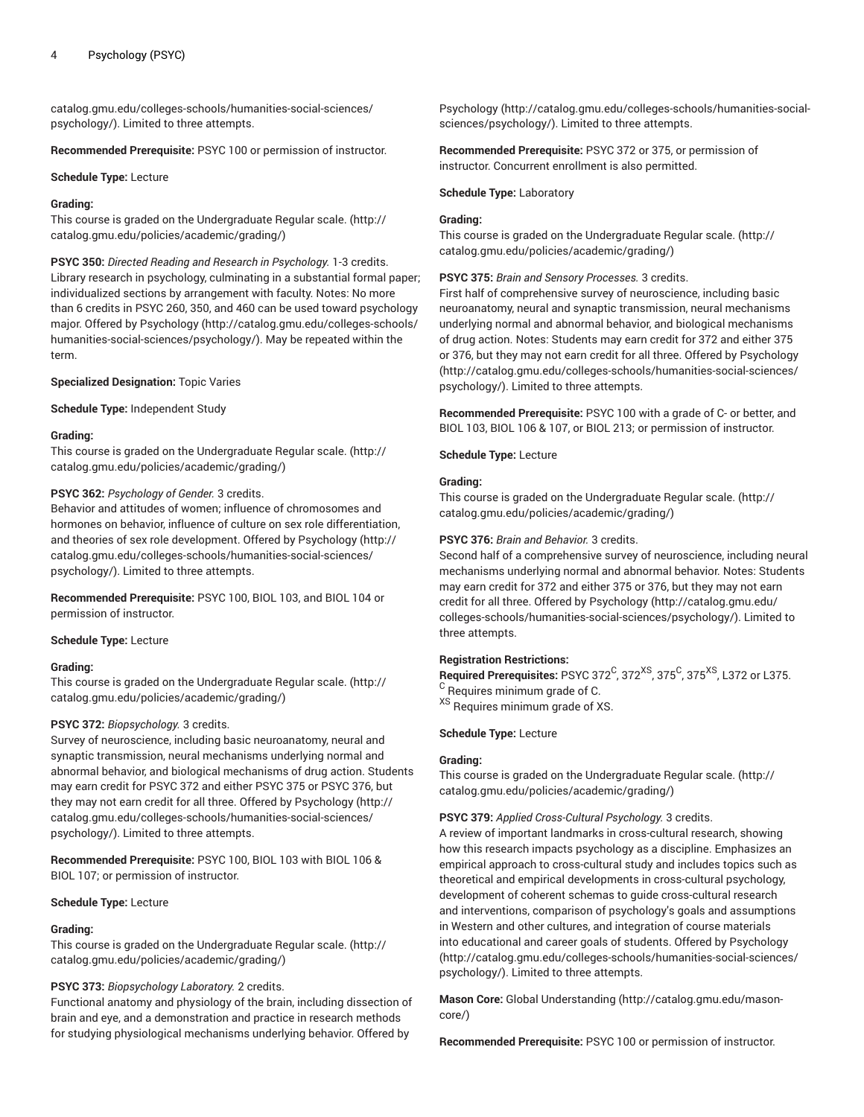[catalog.gmu.edu/colleges-schools/humanities-social-sciences/](http://catalog.gmu.edu/colleges-schools/humanities-social-sciences/psychology/) [psychology/](http://catalog.gmu.edu/colleges-schools/humanities-social-sciences/psychology/)). Limited to three attempts.

**Recommended Prerequisite:** PSYC 100 or permission of instructor.

#### **Schedule Type:** Lecture

#### **Grading:**

This course is graded on the [Undergraduate](http://catalog.gmu.edu/policies/academic/grading/) Regular scale. ([http://](http://catalog.gmu.edu/policies/academic/grading/) [catalog.gmu.edu/policies/academic/grading/\)](http://catalog.gmu.edu/policies/academic/grading/)

**PSYC 350:** *Directed Reading and Research in Psychology.* 1-3 credits. Library research in psychology, culminating in a substantial formal paper; individualized sections by arrangement with faculty. Notes: No more than 6 credits in PSYC 260, 350, and 460 can be used toward psychology major. Offered by [Psychology](http://catalog.gmu.edu/colleges-schools/humanities-social-sciences/psychology/) ([http://catalog.gmu.edu/colleges-schools/](http://catalog.gmu.edu/colleges-schools/humanities-social-sciences/psychology/) [humanities-social-sciences/psychology/\)](http://catalog.gmu.edu/colleges-schools/humanities-social-sciences/psychology/). May be repeated within the term.

#### **Specialized Designation:** Topic Varies

**Schedule Type:** Independent Study

#### **Grading:**

This course is graded on the [Undergraduate](http://catalog.gmu.edu/policies/academic/grading/) Regular scale. ([http://](http://catalog.gmu.edu/policies/academic/grading/) [catalog.gmu.edu/policies/academic/grading/\)](http://catalog.gmu.edu/policies/academic/grading/)

#### **PSYC 362:** *Psychology of Gender.* 3 credits.

Behavior and attitudes of women; influence of chromosomes and hormones on behavior, influence of culture on sex role differentiation, and theories of sex role development. Offered by [Psychology](http://catalog.gmu.edu/colleges-schools/humanities-social-sciences/psychology/) ([http://](http://catalog.gmu.edu/colleges-schools/humanities-social-sciences/psychology/) [catalog.gmu.edu/colleges-schools/humanities-social-sciences/](http://catalog.gmu.edu/colleges-schools/humanities-social-sciences/psychology/) [psychology/](http://catalog.gmu.edu/colleges-schools/humanities-social-sciences/psychology/)). Limited to three attempts.

**Recommended Prerequisite:** PSYC 100, BIOL 103, and BIOL 104 or permission of instructor.

#### **Schedule Type:** Lecture

#### **Grading:**

This course is graded on the [Undergraduate](http://catalog.gmu.edu/policies/academic/grading/) Regular scale. ([http://](http://catalog.gmu.edu/policies/academic/grading/) [catalog.gmu.edu/policies/academic/grading/\)](http://catalog.gmu.edu/policies/academic/grading/)

#### **PSYC 372:** *Biopsychology.* 3 credits.

Survey of neuroscience, including basic neuroanatomy, neural and synaptic transmission, neural mechanisms underlying normal and abnormal behavior, and biological mechanisms of drug action. Students may earn credit for PSYC 372 and either PSYC 375 or PSYC 376, but they may not earn credit for all three. Offered by [Psychology \(http://](http://catalog.gmu.edu/colleges-schools/humanities-social-sciences/psychology/) [catalog.gmu.edu/colleges-schools/humanities-social-sciences/](http://catalog.gmu.edu/colleges-schools/humanities-social-sciences/psychology/) [psychology/](http://catalog.gmu.edu/colleges-schools/humanities-social-sciences/psychology/)). Limited to three attempts.

**Recommended Prerequisite:** PSYC 100, BIOL 103 with BIOL 106 & BIOL 107; or permission of instructor.

**Schedule Type:** Lecture

#### **Grading:**

This course is graded on the [Undergraduate](http://catalog.gmu.edu/policies/academic/grading/) Regular scale. ([http://](http://catalog.gmu.edu/policies/academic/grading/) [catalog.gmu.edu/policies/academic/grading/\)](http://catalog.gmu.edu/policies/academic/grading/)

## **PSYC 373:** *Biopsychology Laboratory.* 2 credits.

Functional anatomy and physiology of the brain, including dissection of brain and eye, and a demonstration and practice in research methods for studying physiological mechanisms underlying behavior. Offered by

[Psychology](http://catalog.gmu.edu/colleges-schools/humanities-social-sciences/psychology/) ([http://catalog.gmu.edu/colleges-schools/humanities-social](http://catalog.gmu.edu/colleges-schools/humanities-social-sciences/psychology/)[sciences/psychology/](http://catalog.gmu.edu/colleges-schools/humanities-social-sciences/psychology/)). Limited to three attempts.

**Recommended Prerequisite:** PSYC 372 or 375, or permission of instructor. Concurrent enrollment is also permitted.

#### **Schedule Type:** Laboratory

#### **Grading:**

This course is graded on the [Undergraduate](http://catalog.gmu.edu/policies/academic/grading/) Regular scale. ([http://](http://catalog.gmu.edu/policies/academic/grading/) [catalog.gmu.edu/policies/academic/grading/](http://catalog.gmu.edu/policies/academic/grading/))

#### **PSYC 375:** *Brain and Sensory Processes.* 3 credits.

First half of comprehensive survey of neuroscience, including basic neuroanatomy, neural and synaptic transmission, neural mechanisms underlying normal and abnormal behavior, and biological mechanisms of drug action. Notes: Students may earn credit for 372 and either 375 or 376, but they may not earn credit for all three. Offered by [Psychology](http://catalog.gmu.edu/colleges-schools/humanities-social-sciences/psychology/) [\(http://catalog.gmu.edu/colleges-schools/humanities-social-sciences/](http://catalog.gmu.edu/colleges-schools/humanities-social-sciences/psychology/) [psychology/\)](http://catalog.gmu.edu/colleges-schools/humanities-social-sciences/psychology/). Limited to three attempts.

**Recommended Prerequisite:** PSYC 100 with a grade of C- or better, and BIOL 103, BIOL 106 & 107, or BIOL 213; or permission of instructor.

**Schedule Type:** Lecture

#### **Grading:**

This course is graded on the [Undergraduate](http://catalog.gmu.edu/policies/academic/grading/) Regular scale. ([http://](http://catalog.gmu.edu/policies/academic/grading/) [catalog.gmu.edu/policies/academic/grading/](http://catalog.gmu.edu/policies/academic/grading/))

#### **PSYC 376:** *Brain and Behavior.* 3 credits.

Second half of a comprehensive survey of neuroscience, including neural mechanisms underlying normal and abnormal behavior. Notes: Students may earn credit for 372 and either 375 or 376, but they may not earn credit for all three. Offered by [Psychology \(http://catalog.gmu.edu/](http://catalog.gmu.edu/colleges-schools/humanities-social-sciences/psychology/) [colleges-schools/humanities-social-sciences/psychology/\)](http://catalog.gmu.edu/colleges-schools/humanities-social-sciences/psychology/). Limited to three attempts.

#### **Registration Restrictions:**

 $\boldsymbol{\mathsf{Required} }$  Prerequisites: PSYC 372 $\mathrm{^C}$ , 372 $\mathrm{^{XS}}$ , 375 $\mathrm{^C}$ , 375 $\mathrm{^X}$ , L372 or L375. <sup>C</sup> Requires minimum grade of C.

XS Requires minimum grade of XS.

## **Schedule Type:** Lecture

#### **Grading:**

This course is graded on the [Undergraduate](http://catalog.gmu.edu/policies/academic/grading/) Regular scale. ([http://](http://catalog.gmu.edu/policies/academic/grading/) [catalog.gmu.edu/policies/academic/grading/](http://catalog.gmu.edu/policies/academic/grading/))

#### **PSYC 379:** *Applied Cross-Cultural Psychology.* 3 credits.

A review of important landmarks in cross-cultural research, showing how this research impacts psychology as a discipline. Emphasizes an empirical approach to cross-cultural study and includes topics such as theoretical and empirical developments in cross-cultural psychology, development of coherent schemas to guide cross-cultural research and interventions, comparison of psychology's goals and assumptions in Western and other cultures, and integration of course materials into educational and career goals of students. Offered by [Psychology](http://catalog.gmu.edu/colleges-schools/humanities-social-sciences/psychology/) [\(http://catalog.gmu.edu/colleges-schools/humanities-social-sciences/](http://catalog.gmu.edu/colleges-schools/humanities-social-sciences/psychology/) [psychology/\)](http://catalog.gmu.edu/colleges-schools/humanities-social-sciences/psychology/). Limited to three attempts.

**Mason Core:** [Global Understanding \(http://catalog.gmu.edu/mason](http://catalog.gmu.edu/mason-core/)[core/](http://catalog.gmu.edu/mason-core/))

**Recommended Prerequisite:** PSYC 100 or permission of instructor.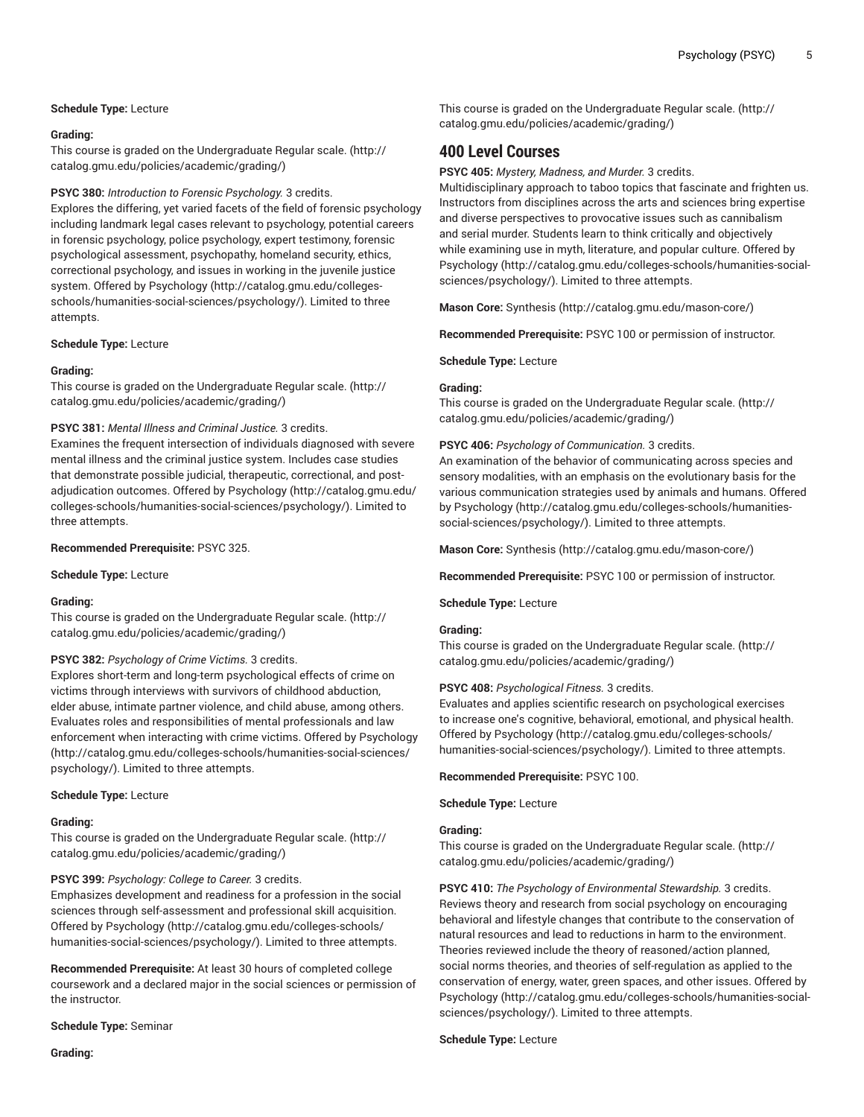## **Schedule Type:** Lecture

#### **Grading:**

This course is graded on the [Undergraduate](http://catalog.gmu.edu/policies/academic/grading/) Regular scale. ([http://](http://catalog.gmu.edu/policies/academic/grading/) [catalog.gmu.edu/policies/academic/grading/\)](http://catalog.gmu.edu/policies/academic/grading/)

#### **PSYC 380:** *Introduction to Forensic Psychology.* 3 credits.

Explores the differing, yet varied facets of the field of forensic psychology including landmark legal cases relevant to psychology, potential careers in forensic psychology, police psychology, expert testimony, forensic psychological assessment, psychopathy, homeland security, ethics, correctional psychology, and issues in working in the juvenile justice system. Offered by [Psychology](http://catalog.gmu.edu/colleges-schools/humanities-social-sciences/psychology/) ([http://catalog.gmu.edu/colleges](http://catalog.gmu.edu/colleges-schools/humanities-social-sciences/psychology/)[schools/humanities-social-sciences/psychology/](http://catalog.gmu.edu/colleges-schools/humanities-social-sciences/psychology/)). Limited to three attempts.

#### **Schedule Type:** Lecture

#### **Grading:**

This course is graded on the [Undergraduate](http://catalog.gmu.edu/policies/academic/grading/) Regular scale. ([http://](http://catalog.gmu.edu/policies/academic/grading/) [catalog.gmu.edu/policies/academic/grading/\)](http://catalog.gmu.edu/policies/academic/grading/)

## **PSYC 381:** *Mental Illness and Criminal Justice.* 3 credits.

Examines the frequent intersection of individuals diagnosed with severe mental illness and the criminal justice system. Includes case studies that demonstrate possible judicial, therapeutic, correctional, and postadjudication outcomes. Offered by [Psychology](http://catalog.gmu.edu/colleges-schools/humanities-social-sciences/psychology/) [\(http://catalog.gmu.edu/](http://catalog.gmu.edu/colleges-schools/humanities-social-sciences/psychology/) [colleges-schools/humanities-social-sciences/psychology/](http://catalog.gmu.edu/colleges-schools/humanities-social-sciences/psychology/)). Limited to three attempts.

#### **Recommended Prerequisite:** PSYC 325.

#### **Schedule Type:** Lecture

## **Grading:**

This course is graded on the [Undergraduate](http://catalog.gmu.edu/policies/academic/grading/) Regular scale. ([http://](http://catalog.gmu.edu/policies/academic/grading/) [catalog.gmu.edu/policies/academic/grading/\)](http://catalog.gmu.edu/policies/academic/grading/)

#### **PSYC 382:** *Psychology of Crime Victims.* 3 credits.

Explores short-term and long-term psychological effects of crime on victims through interviews with survivors of childhood abduction, elder abuse, intimate partner violence, and child abuse, among others. Evaluates roles and responsibilities of mental professionals and law enforcement when interacting with crime victims. Offered by [Psychology](http://catalog.gmu.edu/colleges-schools/humanities-social-sciences/psychology/) ([http://catalog.gmu.edu/colleges-schools/humanities-social-sciences/](http://catalog.gmu.edu/colleges-schools/humanities-social-sciences/psychology/) [psychology/](http://catalog.gmu.edu/colleges-schools/humanities-social-sciences/psychology/)). Limited to three attempts.

#### **Schedule Type:** Lecture

#### **Grading:**

This course is graded on the [Undergraduate](http://catalog.gmu.edu/policies/academic/grading/) Regular scale. ([http://](http://catalog.gmu.edu/policies/academic/grading/) [catalog.gmu.edu/policies/academic/grading/\)](http://catalog.gmu.edu/policies/academic/grading/)

#### **PSYC 399:** *Psychology: College to Career.* 3 credits.

Emphasizes development and readiness for a profession in the social sciences through self-assessment and professional skill acquisition. Offered by [Psychology \(http://catalog.gmu.edu/colleges-schools/](http://catalog.gmu.edu/colleges-schools/humanities-social-sciences/psychology/) [humanities-social-sciences/psychology/\)](http://catalog.gmu.edu/colleges-schools/humanities-social-sciences/psychology/). Limited to three attempts.

**Recommended Prerequisite:** At least 30 hours of completed college coursework and a declared major in the social sciences or permission of the instructor.

**Schedule Type:** Seminar

This course is graded on the [Undergraduate](http://catalog.gmu.edu/policies/academic/grading/) Regular scale. ([http://](http://catalog.gmu.edu/policies/academic/grading/) [catalog.gmu.edu/policies/academic/grading/](http://catalog.gmu.edu/policies/academic/grading/))

# **400 Level Courses**

**PSYC 405:** *Mystery, Madness, and Murder.* 3 credits.

Multidisciplinary approach to taboo topics that fascinate and frighten us. Instructors from disciplines across the arts and sciences bring expertise and diverse perspectives to provocative issues such as cannibalism and serial murder. Students learn to think critically and objectively while examining use in myth, literature, and popular culture. Offered by [Psychology](http://catalog.gmu.edu/colleges-schools/humanities-social-sciences/psychology/) ([http://catalog.gmu.edu/colleges-schools/humanities-social](http://catalog.gmu.edu/colleges-schools/humanities-social-sciences/psychology/)[sciences/psychology/](http://catalog.gmu.edu/colleges-schools/humanities-social-sciences/psychology/)). Limited to three attempts.

**Mason Core:** [Synthesis](http://catalog.gmu.edu/mason-core/) ([http://catalog.gmu.edu/mason-core/\)](http://catalog.gmu.edu/mason-core/)

**Recommended Prerequisite:** PSYC 100 or permission of instructor.

**Schedule Type:** Lecture

#### **Grading:**

This course is graded on the [Undergraduate](http://catalog.gmu.edu/policies/academic/grading/) Regular scale. ([http://](http://catalog.gmu.edu/policies/academic/grading/) [catalog.gmu.edu/policies/academic/grading/](http://catalog.gmu.edu/policies/academic/grading/))

#### **PSYC 406:** *Psychology of Communication.* 3 credits.

An examination of the behavior of communicating across species and sensory modalities, with an emphasis on the evolutionary basis for the various communication strategies used by animals and humans. Offered by [Psychology \(http://catalog.gmu.edu/colleges-schools/humanities](http://catalog.gmu.edu/colleges-schools/humanities-social-sciences/psychology/)[social-sciences/psychology/\)](http://catalog.gmu.edu/colleges-schools/humanities-social-sciences/psychology/). Limited to three attempts.

**Mason Core:** [Synthesis](http://catalog.gmu.edu/mason-core/) ([http://catalog.gmu.edu/mason-core/\)](http://catalog.gmu.edu/mason-core/)

**Recommended Prerequisite:** PSYC 100 or permission of instructor.

**Schedule Type:** Lecture

#### **Grading:**

This course is graded on the [Undergraduate](http://catalog.gmu.edu/policies/academic/grading/) Regular scale. ([http://](http://catalog.gmu.edu/policies/academic/grading/) [catalog.gmu.edu/policies/academic/grading/](http://catalog.gmu.edu/policies/academic/grading/))

#### **PSYC 408:** *Psychological Fitness.* 3 credits.

Evaluates and applies scientific research on psychological exercises to increase one's cognitive, behavioral, emotional, and physical health. Offered by [Psychology](http://catalog.gmu.edu/colleges-schools/humanities-social-sciences/psychology/) ([http://catalog.gmu.edu/colleges-schools/](http://catalog.gmu.edu/colleges-schools/humanities-social-sciences/psychology/) [humanities-social-sciences/psychology/\)](http://catalog.gmu.edu/colleges-schools/humanities-social-sciences/psychology/). Limited to three attempts.

**Recommended Prerequisite:** PSYC 100.

**Schedule Type:** Lecture

## **Grading:**

This course is graded on the [Undergraduate](http://catalog.gmu.edu/policies/academic/grading/) Regular scale. ([http://](http://catalog.gmu.edu/policies/academic/grading/) [catalog.gmu.edu/policies/academic/grading/](http://catalog.gmu.edu/policies/academic/grading/))

**PSYC 410:** *The Psychology of Environmental Stewardship.* 3 credits. Reviews theory and research from social psychology on encouraging behavioral and lifestyle changes that contribute to the conservation of natural resources and lead to reductions in harm to the environment. Theories reviewed include the theory of reasoned/action planned, social norms theories, and theories of self-regulation as applied to the conservation of energy, water, green spaces, and other issues. Offered by [Psychology](http://catalog.gmu.edu/colleges-schools/humanities-social-sciences/psychology/) ([http://catalog.gmu.edu/colleges-schools/humanities-social](http://catalog.gmu.edu/colleges-schools/humanities-social-sciences/psychology/)[sciences/psychology/](http://catalog.gmu.edu/colleges-schools/humanities-social-sciences/psychology/)). Limited to three attempts.

#### **Schedule Type:** Lecture

**Grading:**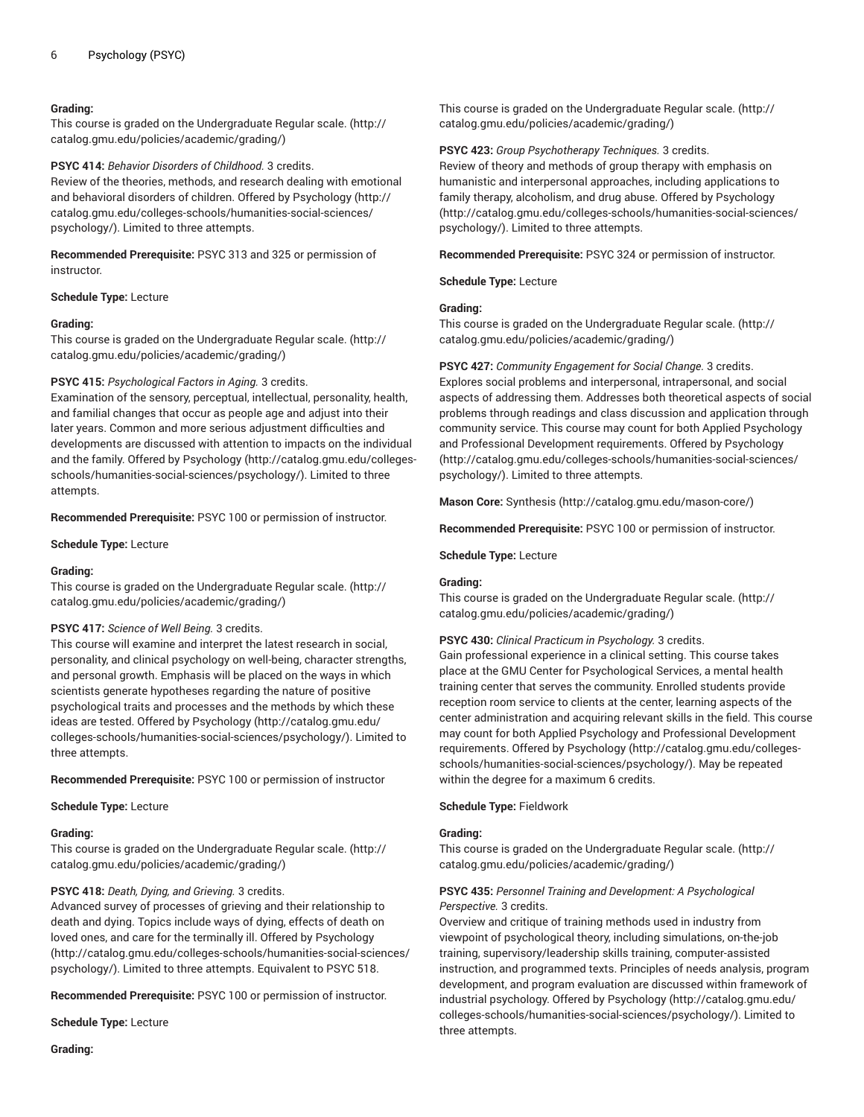## **Grading:**

This course is graded on the [Undergraduate](http://catalog.gmu.edu/policies/academic/grading/) Regular scale. ([http://](http://catalog.gmu.edu/policies/academic/grading/) [catalog.gmu.edu/policies/academic/grading/\)](http://catalog.gmu.edu/policies/academic/grading/)

**PSYC 414:** *Behavior Disorders of Childhood.* 3 credits.

Review of the theories, methods, and research dealing with emotional and behavioral disorders of children. Offered by [Psychology](http://catalog.gmu.edu/colleges-schools/humanities-social-sciences/psychology/) ([http://](http://catalog.gmu.edu/colleges-schools/humanities-social-sciences/psychology/) [catalog.gmu.edu/colleges-schools/humanities-social-sciences/](http://catalog.gmu.edu/colleges-schools/humanities-social-sciences/psychology/) [psychology/](http://catalog.gmu.edu/colleges-schools/humanities-social-sciences/psychology/)). Limited to three attempts.

**Recommended Prerequisite:** PSYC 313 and 325 or permission of instructor.

**Schedule Type:** Lecture

#### **Grading:**

This course is graded on the [Undergraduate](http://catalog.gmu.edu/policies/academic/grading/) Regular scale. ([http://](http://catalog.gmu.edu/policies/academic/grading/) [catalog.gmu.edu/policies/academic/grading/\)](http://catalog.gmu.edu/policies/academic/grading/)

#### **PSYC 415:** *Psychological Factors in Aging.* 3 credits.

Examination of the sensory, perceptual, intellectual, personality, health, and familial changes that occur as people age and adjust into their later years. Common and more serious adjustment difficulties and developments are discussed with attention to impacts on the individual and the family. Offered by [Psychology](http://catalog.gmu.edu/colleges-schools/humanities-social-sciences/psychology/) ([http://catalog.gmu.edu/colleges](http://catalog.gmu.edu/colleges-schools/humanities-social-sciences/psychology/)[schools/humanities-social-sciences/psychology/](http://catalog.gmu.edu/colleges-schools/humanities-social-sciences/psychology/)). Limited to three attempts.

**Recommended Prerequisite:** PSYC 100 or permission of instructor.

**Schedule Type:** Lecture

#### **Grading:**

This course is graded on the [Undergraduate](http://catalog.gmu.edu/policies/academic/grading/) Regular scale. ([http://](http://catalog.gmu.edu/policies/academic/grading/) [catalog.gmu.edu/policies/academic/grading/\)](http://catalog.gmu.edu/policies/academic/grading/)

#### **PSYC 417:** *Science of Well Being.* 3 credits.

This course will examine and interpret the latest research in social, personality, and clinical psychology on well-being, character strengths, and personal growth. Emphasis will be placed on the ways in which scientists generate hypotheses regarding the nature of positive psychological traits and processes and the methods by which these ideas are tested. Offered by [Psychology](http://catalog.gmu.edu/colleges-schools/humanities-social-sciences/psychology/) ([http://catalog.gmu.edu/](http://catalog.gmu.edu/colleges-schools/humanities-social-sciences/psychology/) [colleges-schools/humanities-social-sciences/psychology/](http://catalog.gmu.edu/colleges-schools/humanities-social-sciences/psychology/)). Limited to three attempts.

**Recommended Prerequisite:** PSYC 100 or permission of instructor

**Schedule Type:** Lecture

#### **Grading:**

This course is graded on the [Undergraduate](http://catalog.gmu.edu/policies/academic/grading/) Regular scale. ([http://](http://catalog.gmu.edu/policies/academic/grading/) [catalog.gmu.edu/policies/academic/grading/\)](http://catalog.gmu.edu/policies/academic/grading/)

## **PSYC 418:** *Death, Dying, and Grieving.* 3 credits.

Advanced survey of processes of grieving and their relationship to death and dying. Topics include ways of dying, effects of death on loved ones, and care for the terminally ill. Offered by [Psychology](http://catalog.gmu.edu/colleges-schools/humanities-social-sciences/psychology/) ([http://catalog.gmu.edu/colleges-schools/humanities-social-sciences/](http://catalog.gmu.edu/colleges-schools/humanities-social-sciences/psychology/) [psychology/](http://catalog.gmu.edu/colleges-schools/humanities-social-sciences/psychology/)). Limited to three attempts. Equivalent to PSYC 518.

**Recommended Prerequisite:** PSYC 100 or permission of instructor.

**Schedule Type:** Lecture

This course is graded on the [Undergraduate](http://catalog.gmu.edu/policies/academic/grading/) Regular scale. ([http://](http://catalog.gmu.edu/policies/academic/grading/) [catalog.gmu.edu/policies/academic/grading/](http://catalog.gmu.edu/policies/academic/grading/))

## **PSYC 423:** *Group Psychotherapy Techniques.* 3 credits.

Review of theory and methods of group therapy with emphasis on humanistic and interpersonal approaches, including applications to family therapy, alcoholism, and drug abuse. Offered by [Psychology](http://catalog.gmu.edu/colleges-schools/humanities-social-sciences/psychology/) [\(http://catalog.gmu.edu/colleges-schools/humanities-social-sciences/](http://catalog.gmu.edu/colleges-schools/humanities-social-sciences/psychology/) [psychology/\)](http://catalog.gmu.edu/colleges-schools/humanities-social-sciences/psychology/). Limited to three attempts.

**Recommended Prerequisite:** PSYC 324 or permission of instructor.

**Schedule Type:** Lecture

## **Grading:**

This course is graded on the [Undergraduate](http://catalog.gmu.edu/policies/academic/grading/) Regular scale. ([http://](http://catalog.gmu.edu/policies/academic/grading/) [catalog.gmu.edu/policies/academic/grading/](http://catalog.gmu.edu/policies/academic/grading/))

## **PSYC 427:** *Community Engagement for Social Change.* 3 credits.

Explores social problems and interpersonal, intrapersonal, and social aspects of addressing them. Addresses both theoretical aspects of social problems through readings and class discussion and application through community service. This course may count for both Applied Psychology and Professional Development requirements. Offered by [Psychology](http://catalog.gmu.edu/colleges-schools/humanities-social-sciences/psychology/) [\(http://catalog.gmu.edu/colleges-schools/humanities-social-sciences/](http://catalog.gmu.edu/colleges-schools/humanities-social-sciences/psychology/) [psychology/\)](http://catalog.gmu.edu/colleges-schools/humanities-social-sciences/psychology/). Limited to three attempts.

**Mason Core:** [Synthesis](http://catalog.gmu.edu/mason-core/) ([http://catalog.gmu.edu/mason-core/\)](http://catalog.gmu.edu/mason-core/)

**Recommended Prerequisite:** PSYC 100 or permission of instructor.

**Schedule Type:** Lecture

## **Grading:**

This course is graded on the [Undergraduate](http://catalog.gmu.edu/policies/academic/grading/) Regular scale. ([http://](http://catalog.gmu.edu/policies/academic/grading/) [catalog.gmu.edu/policies/academic/grading/](http://catalog.gmu.edu/policies/academic/grading/))

#### **PSYC 430:** *Clinical Practicum in Psychology.* 3 credits.

Gain professional experience in a clinical setting. This course takes place at the GMU Center for Psychological Services, a mental health training center that serves the community. Enrolled students provide reception room service to clients at the center, learning aspects of the center administration and acquiring relevant skills in the field. This course may count for both Applied Psychology and Professional Development requirements. Offered by [Psychology \(http://catalog.gmu.edu/colleges](http://catalog.gmu.edu/colleges-schools/humanities-social-sciences/psychology/)[schools/humanities-social-sciences/psychology/](http://catalog.gmu.edu/colleges-schools/humanities-social-sciences/psychology/)). May be repeated within the degree for a maximum 6 credits.

#### **Schedule Type:** Fieldwork

#### **Grading:**

This course is graded on the [Undergraduate](http://catalog.gmu.edu/policies/academic/grading/) Regular scale. ([http://](http://catalog.gmu.edu/policies/academic/grading/) [catalog.gmu.edu/policies/academic/grading/](http://catalog.gmu.edu/policies/academic/grading/))

## **PSYC 435:** *Personnel Training and Development: A Psychological Perspective.* 3 credits.

Overview and critique of training methods used in industry from viewpoint of psychological theory, including simulations, on-the-job training, supervisory/leadership skills training, computer-assisted instruction, and programmed texts. Principles of needs analysis, program development, and program evaluation are discussed within framework of industrial psychology. Offered by [Psychology](http://catalog.gmu.edu/colleges-schools/humanities-social-sciences/psychology/) [\(http://catalog.gmu.edu/](http://catalog.gmu.edu/colleges-schools/humanities-social-sciences/psychology/) [colleges-schools/humanities-social-sciences/psychology/\)](http://catalog.gmu.edu/colleges-schools/humanities-social-sciences/psychology/). Limited to three attempts.

**Grading:**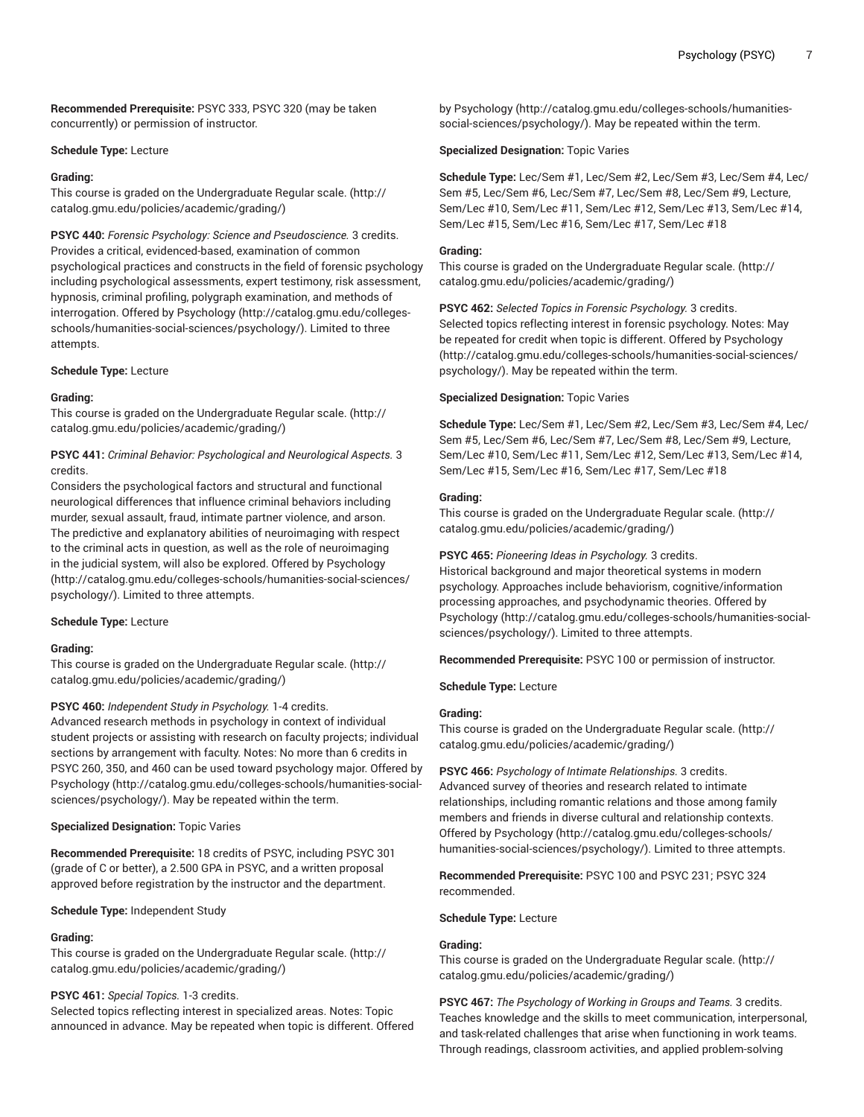**Recommended Prerequisite:** PSYC 333, PSYC 320 (may be taken concurrently) or permission of instructor.

#### **Schedule Type:** Lecture

#### **Grading:**

This course is graded on the [Undergraduate](http://catalog.gmu.edu/policies/academic/grading/) Regular scale. ([http://](http://catalog.gmu.edu/policies/academic/grading/) [catalog.gmu.edu/policies/academic/grading/\)](http://catalog.gmu.edu/policies/academic/grading/)

**PSYC 440:** *Forensic Psychology: Science and Pseudoscience.* 3 credits. Provides a critical, evidenced-based, examination of common psychological practices and constructs in the field of forensic psychology including psychological assessments, expert testimony, risk assessment, hypnosis, criminal profiling, polygraph examination, and methods of interrogation. Offered by [Psychology](http://catalog.gmu.edu/colleges-schools/humanities-social-sciences/psychology/) ([http://catalog.gmu.edu/colleges](http://catalog.gmu.edu/colleges-schools/humanities-social-sciences/psychology/)[schools/humanities-social-sciences/psychology/](http://catalog.gmu.edu/colleges-schools/humanities-social-sciences/psychology/)). Limited to three attempts.

#### **Schedule Type:** Lecture

#### **Grading:**

This course is graded on the [Undergraduate](http://catalog.gmu.edu/policies/academic/grading/) Regular scale. ([http://](http://catalog.gmu.edu/policies/academic/grading/) [catalog.gmu.edu/policies/academic/grading/\)](http://catalog.gmu.edu/policies/academic/grading/)

## **PSYC 441:** *Criminal Behavior: Psychological and Neurological Aspects.* 3 credits.

Considers the psychological factors and structural and functional neurological differences that influence criminal behaviors including murder, sexual assault, fraud, intimate partner violence, and arson. The predictive and explanatory abilities of neuroimaging with respect to the criminal acts in question, as well as the role of neuroimaging in the judicial system, will also be explored. Offered by [Psychology](http://catalog.gmu.edu/colleges-schools/humanities-social-sciences/psychology/) ([http://catalog.gmu.edu/colleges-schools/humanities-social-sciences/](http://catalog.gmu.edu/colleges-schools/humanities-social-sciences/psychology/) [psychology/](http://catalog.gmu.edu/colleges-schools/humanities-social-sciences/psychology/)). Limited to three attempts.

#### **Schedule Type:** Lecture

#### **Grading:**

This course is graded on the [Undergraduate](http://catalog.gmu.edu/policies/academic/grading/) Regular scale. ([http://](http://catalog.gmu.edu/policies/academic/grading/) [catalog.gmu.edu/policies/academic/grading/\)](http://catalog.gmu.edu/policies/academic/grading/)

#### **PSYC 460:** *Independent Study in Psychology.* 1-4 credits.

Advanced research methods in psychology in context of individual student projects or assisting with research on faculty projects; individual sections by arrangement with faculty. Notes: No more than 6 credits in PSYC 260, 350, and 460 can be used toward psychology major. Offered by [Psychology \(http://catalog.gmu.edu/colleges-schools/humanities-social](http://catalog.gmu.edu/colleges-schools/humanities-social-sciences/psychology/)[sciences/psychology/\)](http://catalog.gmu.edu/colleges-schools/humanities-social-sciences/psychology/). May be repeated within the term.

#### **Specialized Designation:** Topic Varies

**Recommended Prerequisite:** 18 credits of PSYC, including PSYC 301 (grade of C or better), a 2.500 GPA in PSYC, and a written proposal approved before registration by the instructor and the department.

**Schedule Type:** Independent Study

## **Grading:**

This course is graded on the [Undergraduate](http://catalog.gmu.edu/policies/academic/grading/) Regular scale. ([http://](http://catalog.gmu.edu/policies/academic/grading/) [catalog.gmu.edu/policies/academic/grading/\)](http://catalog.gmu.edu/policies/academic/grading/)

#### **PSYC 461:** *Special Topics.* 1-3 credits.

Selected topics reflecting interest in specialized areas. Notes: Topic announced in advance. May be repeated when topic is different. Offered by [Psychology \(http://catalog.gmu.edu/colleges-schools/humanities](http://catalog.gmu.edu/colleges-schools/humanities-social-sciences/psychology/)[social-sciences/psychology/\)](http://catalog.gmu.edu/colleges-schools/humanities-social-sciences/psychology/). May be repeated within the term.

#### **Specialized Designation:** Topic Varies

**Schedule Type:** Lec/Sem #1, Lec/Sem #2, Lec/Sem #3, Lec/Sem #4, Lec/ Sem #5, Lec/Sem #6, Lec/Sem #7, Lec/Sem #8, Lec/Sem #9, Lecture, Sem/Lec #10, Sem/Lec #11, Sem/Lec #12, Sem/Lec #13, Sem/Lec #14, Sem/Lec #15, Sem/Lec #16, Sem/Lec #17, Sem/Lec #18

#### **Grading:**

This course is graded on the [Undergraduate](http://catalog.gmu.edu/policies/academic/grading/) Regular scale. ([http://](http://catalog.gmu.edu/policies/academic/grading/) [catalog.gmu.edu/policies/academic/grading/](http://catalog.gmu.edu/policies/academic/grading/))

**PSYC 462:** *Selected Topics in Forensic Psychology.* 3 credits. Selected topics reflecting interest in forensic psychology. Notes: May be repeated for credit when topic is different. Offered by [Psychology](http://catalog.gmu.edu/colleges-schools/humanities-social-sciences/psychology/) [\(http://catalog.gmu.edu/colleges-schools/humanities-social-sciences/](http://catalog.gmu.edu/colleges-schools/humanities-social-sciences/psychology/) [psychology/\)](http://catalog.gmu.edu/colleges-schools/humanities-social-sciences/psychology/). May be repeated within the term.

#### **Specialized Designation:** Topic Varies

**Schedule Type:** Lec/Sem #1, Lec/Sem #2, Lec/Sem #3, Lec/Sem #4, Lec/ Sem #5, Lec/Sem #6, Lec/Sem #7, Lec/Sem #8, Lec/Sem #9, Lecture, Sem/Lec #10, Sem/Lec #11, Sem/Lec #12, Sem/Lec #13, Sem/Lec #14, Sem/Lec #15, Sem/Lec #16, Sem/Lec #17, Sem/Lec #18

#### **Grading:**

This course is graded on the [Undergraduate](http://catalog.gmu.edu/policies/academic/grading/) Regular scale. ([http://](http://catalog.gmu.edu/policies/academic/grading/) [catalog.gmu.edu/policies/academic/grading/](http://catalog.gmu.edu/policies/academic/grading/))

#### **PSYC 465:** *Pioneering Ideas in Psychology.* 3 credits.

Historical background and major theoretical systems in modern psychology. Approaches include behaviorism, cognitive/information processing approaches, and psychodynamic theories. Offered by [Psychology](http://catalog.gmu.edu/colleges-schools/humanities-social-sciences/psychology/) ([http://catalog.gmu.edu/colleges-schools/humanities-social](http://catalog.gmu.edu/colleges-schools/humanities-social-sciences/psychology/)[sciences/psychology/](http://catalog.gmu.edu/colleges-schools/humanities-social-sciences/psychology/)). Limited to three attempts.

**Recommended Prerequisite:** PSYC 100 or permission of instructor.

#### **Schedule Type:** Lecture

#### **Grading:**

This course is graded on the [Undergraduate](http://catalog.gmu.edu/policies/academic/grading/) Regular scale. ([http://](http://catalog.gmu.edu/policies/academic/grading/) [catalog.gmu.edu/policies/academic/grading/](http://catalog.gmu.edu/policies/academic/grading/))

**PSYC 466:** *Psychology of Intimate Relationships.* 3 credits. Advanced survey of theories and research related to intimate relationships, including romantic relations and those among family members and friends in diverse cultural and relationship contexts. Offered by [Psychology](http://catalog.gmu.edu/colleges-schools/humanities-social-sciences/psychology/) ([http://catalog.gmu.edu/colleges-schools/](http://catalog.gmu.edu/colleges-schools/humanities-social-sciences/psychology/) [humanities-social-sciences/psychology/\)](http://catalog.gmu.edu/colleges-schools/humanities-social-sciences/psychology/). Limited to three attempts.

**Recommended Prerequisite:** PSYC 100 and PSYC 231; PSYC 324 recommended.

#### **Schedule Type:** Lecture

#### **Grading:**

This course is graded on the [Undergraduate](http://catalog.gmu.edu/policies/academic/grading/) Regular scale. ([http://](http://catalog.gmu.edu/policies/academic/grading/) [catalog.gmu.edu/policies/academic/grading/](http://catalog.gmu.edu/policies/academic/grading/))

**PSYC 467:** *The Psychology of Working in Groups and Teams.* 3 credits. Teaches knowledge and the skills to meet communication, interpersonal, and task-related challenges that arise when functioning in work teams. Through readings, classroom activities, and applied problem-solving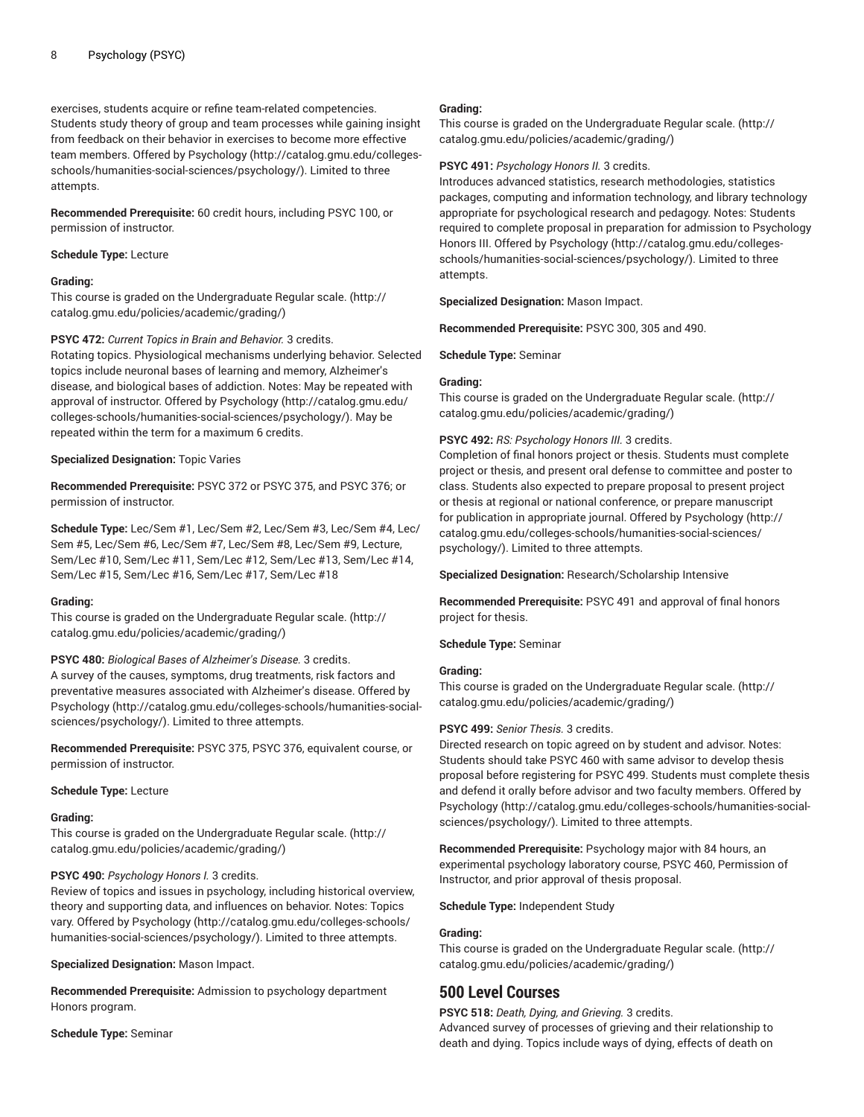exercises, students acquire or refine team-related competencies. Students study theory of group and team processes while gaining insight from feedback on their behavior in exercises to become more effective team members. Offered by [Psychology](http://catalog.gmu.edu/colleges-schools/humanities-social-sciences/psychology/) ([http://catalog.gmu.edu/colleges](http://catalog.gmu.edu/colleges-schools/humanities-social-sciences/psychology/)[schools/humanities-social-sciences/psychology/](http://catalog.gmu.edu/colleges-schools/humanities-social-sciences/psychology/)). Limited to three attempts.

**Recommended Prerequisite:** 60 credit hours, including PSYC 100, or permission of instructor.

#### **Schedule Type:** Lecture

## **Grading:**

This course is graded on the [Undergraduate](http://catalog.gmu.edu/policies/academic/grading/) Regular scale. ([http://](http://catalog.gmu.edu/policies/academic/grading/) [catalog.gmu.edu/policies/academic/grading/\)](http://catalog.gmu.edu/policies/academic/grading/)

## **PSYC 472:** *Current Topics in Brain and Behavior.* 3 credits.

Rotating topics. Physiological mechanisms underlying behavior. Selected topics include neuronal bases of learning and memory, Alzheimer's disease, and biological bases of addiction. Notes: May be repeated with approval of instructor. Offered by [Psychology](http://catalog.gmu.edu/colleges-schools/humanities-social-sciences/psychology/) [\(http://catalog.gmu.edu/](http://catalog.gmu.edu/colleges-schools/humanities-social-sciences/psychology/) [colleges-schools/humanities-social-sciences/psychology/](http://catalog.gmu.edu/colleges-schools/humanities-social-sciences/psychology/)). May be repeated within the term for a maximum 6 credits.

## **Specialized Designation:** Topic Varies

**Recommended Prerequisite:** PSYC 372 or PSYC 375, and PSYC 376; or permission of instructor.

**Schedule Type:** Lec/Sem #1, Lec/Sem #2, Lec/Sem #3, Lec/Sem #4, Lec/ Sem #5, Lec/Sem #6, Lec/Sem #7, Lec/Sem #8, Lec/Sem #9, Lecture, Sem/Lec #10, Sem/Lec #11, Sem/Lec #12, Sem/Lec #13, Sem/Lec #14, Sem/Lec #15, Sem/Lec #16, Sem/Lec #17, Sem/Lec #18

#### **Grading:**

This course is graded on the [Undergraduate](http://catalog.gmu.edu/policies/academic/grading/) Regular scale. ([http://](http://catalog.gmu.edu/policies/academic/grading/) [catalog.gmu.edu/policies/academic/grading/\)](http://catalog.gmu.edu/policies/academic/grading/)

**PSYC 480:** *Biological Bases of Alzheimer's Disease.* 3 credits. A survey of the causes, symptoms, drug treatments, risk factors and preventative measures associated with Alzheimer's disease. Offered by [Psychology \(http://catalog.gmu.edu/colleges-schools/humanities-social](http://catalog.gmu.edu/colleges-schools/humanities-social-sciences/psychology/)[sciences/psychology/\)](http://catalog.gmu.edu/colleges-schools/humanities-social-sciences/psychology/). Limited to three attempts.

**Recommended Prerequisite:** PSYC 375, PSYC 376, equivalent course, or permission of instructor.

#### **Schedule Type:** Lecture

#### **Grading:**

This course is graded on the [Undergraduate](http://catalog.gmu.edu/policies/academic/grading/) Regular scale. ([http://](http://catalog.gmu.edu/policies/academic/grading/) [catalog.gmu.edu/policies/academic/grading/\)](http://catalog.gmu.edu/policies/academic/grading/)

## **PSYC 490:** *Psychology Honors I.* 3 credits.

Review of topics and issues in psychology, including historical overview, theory and supporting data, and influences on behavior. Notes: Topics vary. Offered by [Psychology](http://catalog.gmu.edu/colleges-schools/humanities-social-sciences/psychology/) [\(http://catalog.gmu.edu/colleges-schools/](http://catalog.gmu.edu/colleges-schools/humanities-social-sciences/psychology/) [humanities-social-sciences/psychology/\)](http://catalog.gmu.edu/colleges-schools/humanities-social-sciences/psychology/). Limited to three attempts.

**Specialized Designation:** Mason Impact.

**Recommended Prerequisite:** Admission to psychology department Honors program.

**Schedule Type:** Seminar

## **Grading:**

This course is graded on the [Undergraduate](http://catalog.gmu.edu/policies/academic/grading/) Regular scale. ([http://](http://catalog.gmu.edu/policies/academic/grading/) [catalog.gmu.edu/policies/academic/grading/](http://catalog.gmu.edu/policies/academic/grading/))

#### **PSYC 491:** *Psychology Honors II.* 3 credits.

Introduces advanced statistics, research methodologies, statistics packages, computing and information technology, and library technology appropriate for psychological research and pedagogy. Notes: Students required to complete proposal in preparation for admission to Psychology Honors III. Offered by [Psychology](http://catalog.gmu.edu/colleges-schools/humanities-social-sciences/psychology/) ([http://catalog.gmu.edu/colleges](http://catalog.gmu.edu/colleges-schools/humanities-social-sciences/psychology/)[schools/humanities-social-sciences/psychology/](http://catalog.gmu.edu/colleges-schools/humanities-social-sciences/psychology/)). Limited to three attempts.

**Specialized Designation:** Mason Impact.

**Recommended Prerequisite:** PSYC 300, 305 and 490.

**Schedule Type:** Seminar

#### **Grading:**

This course is graded on the [Undergraduate](http://catalog.gmu.edu/policies/academic/grading/) Regular scale. ([http://](http://catalog.gmu.edu/policies/academic/grading/) [catalog.gmu.edu/policies/academic/grading/](http://catalog.gmu.edu/policies/academic/grading/))

## **PSYC 492:** *RS: Psychology Honors III.* 3 credits.

Completion of final honors project or thesis. Students must complete project or thesis, and present oral defense to committee and poster to class. Students also expected to prepare proposal to present project or thesis at regional or national conference, or prepare manuscript for publication in appropriate journal. Offered by [Psychology](http://catalog.gmu.edu/colleges-schools/humanities-social-sciences/psychology/) ([http://](http://catalog.gmu.edu/colleges-schools/humanities-social-sciences/psychology/) [catalog.gmu.edu/colleges-schools/humanities-social-sciences/](http://catalog.gmu.edu/colleges-schools/humanities-social-sciences/psychology/) [psychology/\)](http://catalog.gmu.edu/colleges-schools/humanities-social-sciences/psychology/). Limited to three attempts.

**Specialized Designation:** Research/Scholarship Intensive

**Recommended Prerequisite:** PSYC 491 and approval of final honors project for thesis.

#### **Schedule Type:** Seminar

#### **Grading:**

This course is graded on the [Undergraduate](http://catalog.gmu.edu/policies/academic/grading/) Regular scale. ([http://](http://catalog.gmu.edu/policies/academic/grading/) [catalog.gmu.edu/policies/academic/grading/](http://catalog.gmu.edu/policies/academic/grading/))

#### **PSYC 499:** *Senior Thesis.* 3 credits.

Directed research on topic agreed on by student and advisor. Notes: Students should take PSYC 460 with same advisor to develop thesis proposal before registering for PSYC 499. Students must complete thesis and defend it orally before advisor and two faculty members. Offered by [Psychology](http://catalog.gmu.edu/colleges-schools/humanities-social-sciences/psychology/) ([http://catalog.gmu.edu/colleges-schools/humanities-social](http://catalog.gmu.edu/colleges-schools/humanities-social-sciences/psychology/)[sciences/psychology/](http://catalog.gmu.edu/colleges-schools/humanities-social-sciences/psychology/)). Limited to three attempts.

**Recommended Prerequisite:** Psychology major with 84 hours, an experimental psychology laboratory course, PSYC 460, Permission of Instructor, and prior approval of thesis proposal.

**Schedule Type:** Independent Study

#### **Grading:**

This course is graded on the [Undergraduate](http://catalog.gmu.edu/policies/academic/grading/) Regular scale. ([http://](http://catalog.gmu.edu/policies/academic/grading/) [catalog.gmu.edu/policies/academic/grading/](http://catalog.gmu.edu/policies/academic/grading/))

# **500 Level Courses**

**PSYC 518:** *Death, Dying, and Grieving.* 3 credits.

Advanced survey of processes of grieving and their relationship to death and dying. Topics include ways of dying, effects of death on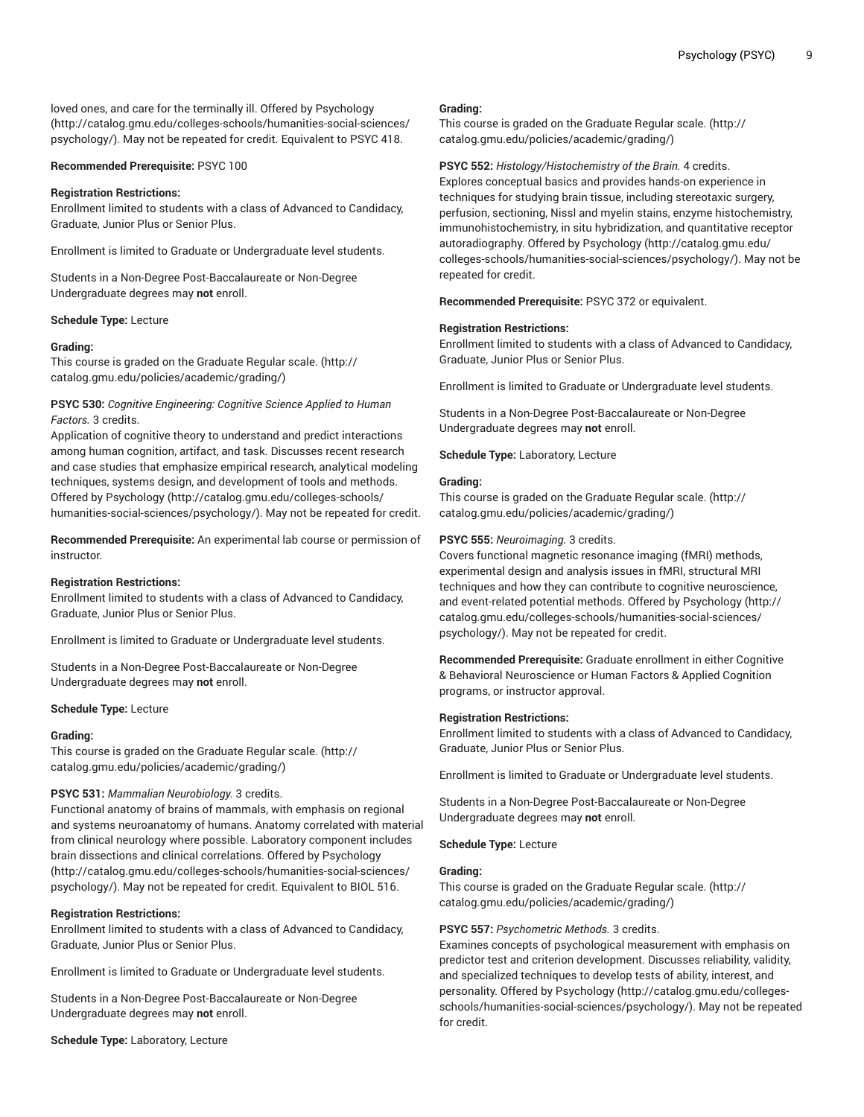loved ones, and care for the terminally ill. Offered by [Psychology](http://catalog.gmu.edu/colleges-schools/humanities-social-sciences/psychology/) ([http://catalog.gmu.edu/colleges-schools/humanities-social-sciences/](http://catalog.gmu.edu/colleges-schools/humanities-social-sciences/psychology/) [psychology/](http://catalog.gmu.edu/colleges-schools/humanities-social-sciences/psychology/)). May not be repeated for credit. Equivalent to PSYC 418.

#### **Recommended Prerequisite:** PSYC 100

#### **Registration Restrictions:**

Enrollment limited to students with a class of Advanced to Candidacy, Graduate, Junior Plus or Senior Plus.

Enrollment is limited to Graduate or Undergraduate level students.

Students in a Non-Degree Post-Baccalaureate or Non-Degree Undergraduate degrees may **not** enroll.

#### **Schedule Type:** Lecture

#### **Grading:**

This course is graded on the [Graduate Regular scale.](http://catalog.gmu.edu/policies/academic/grading/) [\(http://](http://catalog.gmu.edu/policies/academic/grading/) [catalog.gmu.edu/policies/academic/grading/\)](http://catalog.gmu.edu/policies/academic/grading/)

## **PSYC 530:** *Cognitive Engineering: Cognitive Science Applied to Human Factors.* 3 credits.

Application of cognitive theory to understand and predict interactions among human cognition, artifact, and task. Discusses recent research and case studies that emphasize empirical research, analytical modeling techniques, systems design, and development of tools and methods. Offered by [Psychology \(http://catalog.gmu.edu/colleges-schools/](http://catalog.gmu.edu/colleges-schools/humanities-social-sciences/psychology/) [humanities-social-sciences/psychology/\)](http://catalog.gmu.edu/colleges-schools/humanities-social-sciences/psychology/). May not be repeated for credit.

**Recommended Prerequisite:** An experimental lab course or permission of instructor.

#### **Registration Restrictions:**

Enrollment limited to students with a class of Advanced to Candidacy, Graduate, Junior Plus or Senior Plus.

Enrollment is limited to Graduate or Undergraduate level students.

Students in a Non-Degree Post-Baccalaureate or Non-Degree Undergraduate degrees may **not** enroll.

#### **Schedule Type:** Lecture

#### **Grading:**

This course is graded on the [Graduate Regular scale.](http://catalog.gmu.edu/policies/academic/grading/) [\(http://](http://catalog.gmu.edu/policies/academic/grading/) [catalog.gmu.edu/policies/academic/grading/\)](http://catalog.gmu.edu/policies/academic/grading/)

#### **PSYC 531:** *Mammalian Neurobiology.* 3 credits.

Functional anatomy of brains of mammals, with emphasis on regional and systems neuroanatomy of humans. Anatomy correlated with material from clinical neurology where possible. Laboratory component includes brain dissections and clinical correlations. Offered by [Psychology](http://catalog.gmu.edu/colleges-schools/humanities-social-sciences/psychology/) ([http://catalog.gmu.edu/colleges-schools/humanities-social-sciences/](http://catalog.gmu.edu/colleges-schools/humanities-social-sciences/psychology/) [psychology/](http://catalog.gmu.edu/colleges-schools/humanities-social-sciences/psychology/)). May not be repeated for credit. Equivalent to BIOL 516.

#### **Registration Restrictions:**

Enrollment limited to students with a class of Advanced to Candidacy, Graduate, Junior Plus or Senior Plus.

Enrollment is limited to Graduate or Undergraduate level students.

Students in a Non-Degree Post-Baccalaureate or Non-Degree Undergraduate degrees may **not** enroll.

**Schedule Type:** Laboratory, Lecture

#### **Grading:**

This course is graded on the [Graduate Regular scale.](http://catalog.gmu.edu/policies/academic/grading/) ([http://](http://catalog.gmu.edu/policies/academic/grading/) [catalog.gmu.edu/policies/academic/grading/](http://catalog.gmu.edu/policies/academic/grading/))

#### **PSYC 552:** *Histology/Histochemistry of the Brain.* 4 credits.

Explores conceptual basics and provides hands-on experience in techniques for studying brain tissue, including stereotaxic surgery, perfusion, sectioning, Nissl and myelin stains, enzyme histochemistry, immunohistochemistry, in situ hybridization, and quantitative receptor autoradiography. Offered by [Psychology \(http://catalog.gmu.edu/](http://catalog.gmu.edu/colleges-schools/humanities-social-sciences/psychology/) [colleges-schools/humanities-social-sciences/psychology/\)](http://catalog.gmu.edu/colleges-schools/humanities-social-sciences/psychology/). May not be repeated for credit.

**Recommended Prerequisite:** PSYC 372 or equivalent.

#### **Registration Restrictions:**

Enrollment limited to students with a class of Advanced to Candidacy, Graduate, Junior Plus or Senior Plus.

Enrollment is limited to Graduate or Undergraduate level students.

Students in a Non-Degree Post-Baccalaureate or Non-Degree Undergraduate degrees may **not** enroll.

**Schedule Type:** Laboratory, Lecture

#### **Grading:**

This course is graded on the [Graduate Regular scale.](http://catalog.gmu.edu/policies/academic/grading/) ([http://](http://catalog.gmu.edu/policies/academic/grading/) [catalog.gmu.edu/policies/academic/grading/](http://catalog.gmu.edu/policies/academic/grading/))

#### **PSYC 555:** *Neuroimaging.* 3 credits.

Covers functional magnetic resonance imaging (fMRI) methods, experimental design and analysis issues in fMRI, structural MRI techniques and how they can contribute to cognitive neuroscience, and event-related potential methods. Offered by [Psychology](http://catalog.gmu.edu/colleges-schools/humanities-social-sciences/psychology/) ([http://](http://catalog.gmu.edu/colleges-schools/humanities-social-sciences/psychology/) [catalog.gmu.edu/colleges-schools/humanities-social-sciences/](http://catalog.gmu.edu/colleges-schools/humanities-social-sciences/psychology/) [psychology/\)](http://catalog.gmu.edu/colleges-schools/humanities-social-sciences/psychology/). May not be repeated for credit.

**Recommended Prerequisite:** Graduate enrollment in either Cognitive & Behavioral Neuroscience or Human Factors & Applied Cognition programs, or instructor approval.

#### **Registration Restrictions:**

Enrollment limited to students with a class of Advanced to Candidacy, Graduate, Junior Plus or Senior Plus.

Enrollment is limited to Graduate or Undergraduate level students.

Students in a Non-Degree Post-Baccalaureate or Non-Degree Undergraduate degrees may **not** enroll.

**Schedule Type:** Lecture

#### **Grading:**

This course is graded on the [Graduate Regular scale.](http://catalog.gmu.edu/policies/academic/grading/) ([http://](http://catalog.gmu.edu/policies/academic/grading/) [catalog.gmu.edu/policies/academic/grading/](http://catalog.gmu.edu/policies/academic/grading/))

#### **PSYC 557:** *Psychometric Methods.* 3 credits.

Examines concepts of psychological measurement with emphasis on predictor test and criterion development. Discusses reliability, validity, and specialized techniques to develop tests of ability, interest, and personality. Offered by [Psychology \(http://catalog.gmu.edu/colleges](http://catalog.gmu.edu/colleges-schools/humanities-social-sciences/psychology/)[schools/humanities-social-sciences/psychology/](http://catalog.gmu.edu/colleges-schools/humanities-social-sciences/psychology/)). May not be repeated for credit.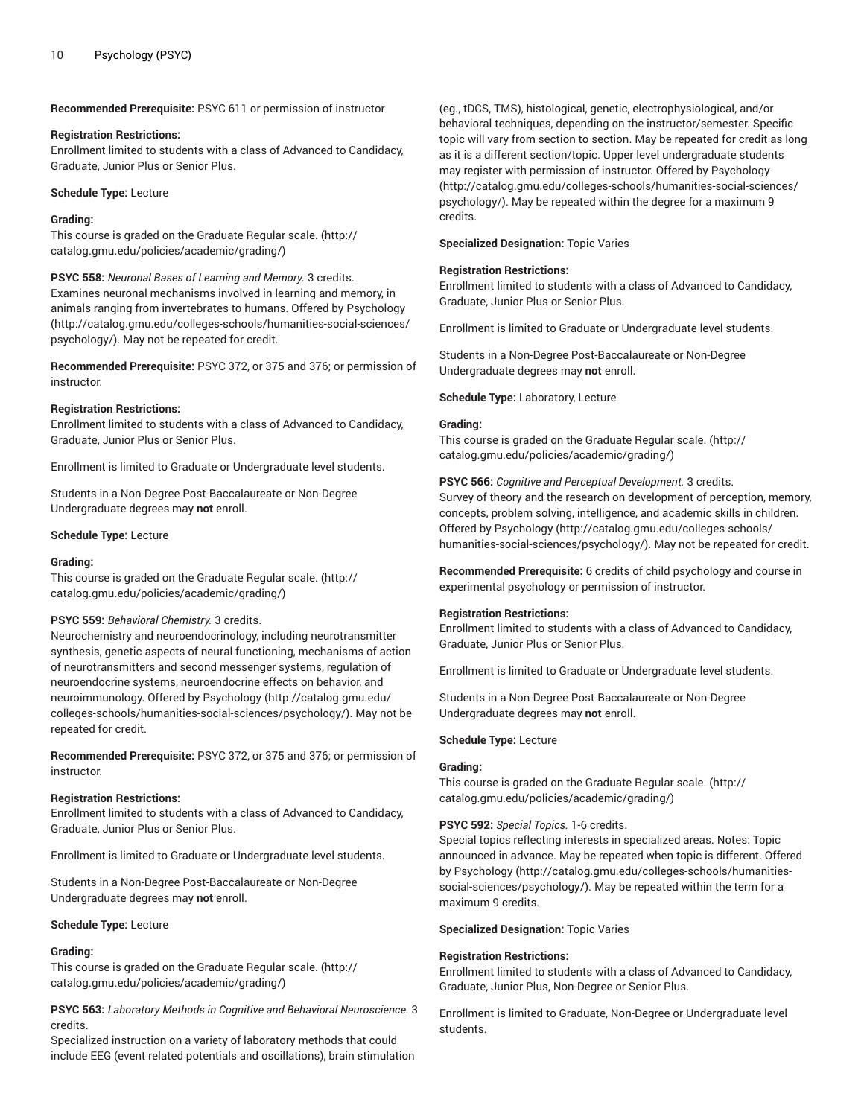**Recommended Prerequisite:** PSYC 611 or permission of instructor

#### **Registration Restrictions:**

Enrollment limited to students with a class of Advanced to Candidacy, Graduate, Junior Plus or Senior Plus.

**Schedule Type:** Lecture

#### **Grading:**

This course is graded on the [Graduate Regular scale.](http://catalog.gmu.edu/policies/academic/grading/) [\(http://](http://catalog.gmu.edu/policies/academic/grading/) [catalog.gmu.edu/policies/academic/grading/\)](http://catalog.gmu.edu/policies/academic/grading/)

**PSYC 558:** *Neuronal Bases of Learning and Memory.* 3 credits. Examines neuronal mechanisms involved in learning and memory, in animals ranging from invertebrates to humans. Offered by [Psychology](http://catalog.gmu.edu/colleges-schools/humanities-social-sciences/psychology/) ([http://catalog.gmu.edu/colleges-schools/humanities-social-sciences/](http://catalog.gmu.edu/colleges-schools/humanities-social-sciences/psychology/) [psychology/](http://catalog.gmu.edu/colleges-schools/humanities-social-sciences/psychology/)). May not be repeated for credit.

**Recommended Prerequisite:** PSYC 372, or 375 and 376; or permission of instructor.

#### **Registration Restrictions:**

Enrollment limited to students with a class of Advanced to Candidacy, Graduate, Junior Plus or Senior Plus.

Enrollment is limited to Graduate or Undergraduate level students.

Students in a Non-Degree Post-Baccalaureate or Non-Degree Undergraduate degrees may **not** enroll.

#### **Schedule Type:** Lecture

#### **Grading:**

This course is graded on the [Graduate Regular scale.](http://catalog.gmu.edu/policies/academic/grading/) [\(http://](http://catalog.gmu.edu/policies/academic/grading/) [catalog.gmu.edu/policies/academic/grading/\)](http://catalog.gmu.edu/policies/academic/grading/)

#### **PSYC 559:** *Behavioral Chemistry.* 3 credits.

Neurochemistry and neuroendocrinology, including neurotransmitter synthesis, genetic aspects of neural functioning, mechanisms of action of neurotransmitters and second messenger systems, regulation of neuroendocrine systems, neuroendocrine effects on behavior, and neuroimmunology. Offered by [Psychology](http://catalog.gmu.edu/colleges-schools/humanities-social-sciences/psychology/) [\(http://catalog.gmu.edu/](http://catalog.gmu.edu/colleges-schools/humanities-social-sciences/psychology/) [colleges-schools/humanities-social-sciences/psychology/](http://catalog.gmu.edu/colleges-schools/humanities-social-sciences/psychology/)). May not be repeated for credit.

**Recommended Prerequisite:** PSYC 372, or 375 and 376; or permission of instructor.

#### **Registration Restrictions:**

Enrollment limited to students with a class of Advanced to Candidacy, Graduate, Junior Plus or Senior Plus.

Enrollment is limited to Graduate or Undergraduate level students.

Students in a Non-Degree Post-Baccalaureate or Non-Degree Undergraduate degrees may **not** enroll.

#### **Schedule Type:** Lecture

#### **Grading:**

This course is graded on the [Graduate Regular scale.](http://catalog.gmu.edu/policies/academic/grading/) [\(http://](http://catalog.gmu.edu/policies/academic/grading/) [catalog.gmu.edu/policies/academic/grading/\)](http://catalog.gmu.edu/policies/academic/grading/)

**PSYC 563:** *Laboratory Methods in Cognitive and Behavioral Neuroscience.* 3 credits.

Specialized instruction on a variety of laboratory methods that could include EEG (event related potentials and oscillations), brain stimulation

(eg., tDCS, TMS), histological, genetic, electrophysiological, and/or behavioral techniques, depending on the instructor/semester. Specific topic will vary from section to section. May be repeated for credit as long as it is a different section/topic. Upper level undergraduate students may register with permission of instructor. Offered by [Psychology](http://catalog.gmu.edu/colleges-schools/humanities-social-sciences/psychology/) [\(http://catalog.gmu.edu/colleges-schools/humanities-social-sciences/](http://catalog.gmu.edu/colleges-schools/humanities-social-sciences/psychology/) [psychology/\)](http://catalog.gmu.edu/colleges-schools/humanities-social-sciences/psychology/). May be repeated within the degree for a maximum 9 credits.

**Specialized Designation:** Topic Varies

#### **Registration Restrictions:**

Enrollment limited to students with a class of Advanced to Candidacy, Graduate, Junior Plus or Senior Plus.

Enrollment is limited to Graduate or Undergraduate level students.

Students in a Non-Degree Post-Baccalaureate or Non-Degree Undergraduate degrees may **not** enroll.

**Schedule Type:** Laboratory, Lecture

## **Grading:**

This course is graded on the [Graduate Regular scale.](http://catalog.gmu.edu/policies/academic/grading/) ([http://](http://catalog.gmu.edu/policies/academic/grading/) [catalog.gmu.edu/policies/academic/grading/](http://catalog.gmu.edu/policies/academic/grading/))

**PSYC 566:** *Cognitive and Perceptual Development.* 3 credits. Survey of theory and the research on development of perception, memory, concepts, problem solving, intelligence, and academic skills in children. Offered by [Psychology](http://catalog.gmu.edu/colleges-schools/humanities-social-sciences/psychology/) ([http://catalog.gmu.edu/colleges-schools/](http://catalog.gmu.edu/colleges-schools/humanities-social-sciences/psychology/) [humanities-social-sciences/psychology/\)](http://catalog.gmu.edu/colleges-schools/humanities-social-sciences/psychology/). May not be repeated for credit.

**Recommended Prerequisite:** 6 credits of child psychology and course in experimental psychology or permission of instructor.

#### **Registration Restrictions:**

Enrollment limited to students with a class of Advanced to Candidacy, Graduate, Junior Plus or Senior Plus.

Enrollment is limited to Graduate or Undergraduate level students.

Students in a Non-Degree Post-Baccalaureate or Non-Degree Undergraduate degrees may **not** enroll.

#### **Schedule Type:** Lecture

## **Grading:**

This course is graded on the [Graduate Regular scale.](http://catalog.gmu.edu/policies/academic/grading/) ([http://](http://catalog.gmu.edu/policies/academic/grading/) [catalog.gmu.edu/policies/academic/grading/](http://catalog.gmu.edu/policies/academic/grading/))

#### **PSYC 592:** *Special Topics.* 1-6 credits.

Special topics reflecting interests in specialized areas. Notes: Topic announced in advance. May be repeated when topic is different. Offered by [Psychology \(http://catalog.gmu.edu/colleges-schools/humanities](http://catalog.gmu.edu/colleges-schools/humanities-social-sciences/psychology/)[social-sciences/psychology/\)](http://catalog.gmu.edu/colleges-schools/humanities-social-sciences/psychology/). May be repeated within the term for a maximum 9 credits.

**Specialized Designation:** Topic Varies

#### **Registration Restrictions:**

Enrollment limited to students with a class of Advanced to Candidacy, Graduate, Junior Plus, Non-Degree or Senior Plus.

Enrollment is limited to Graduate, Non-Degree or Undergraduate level students.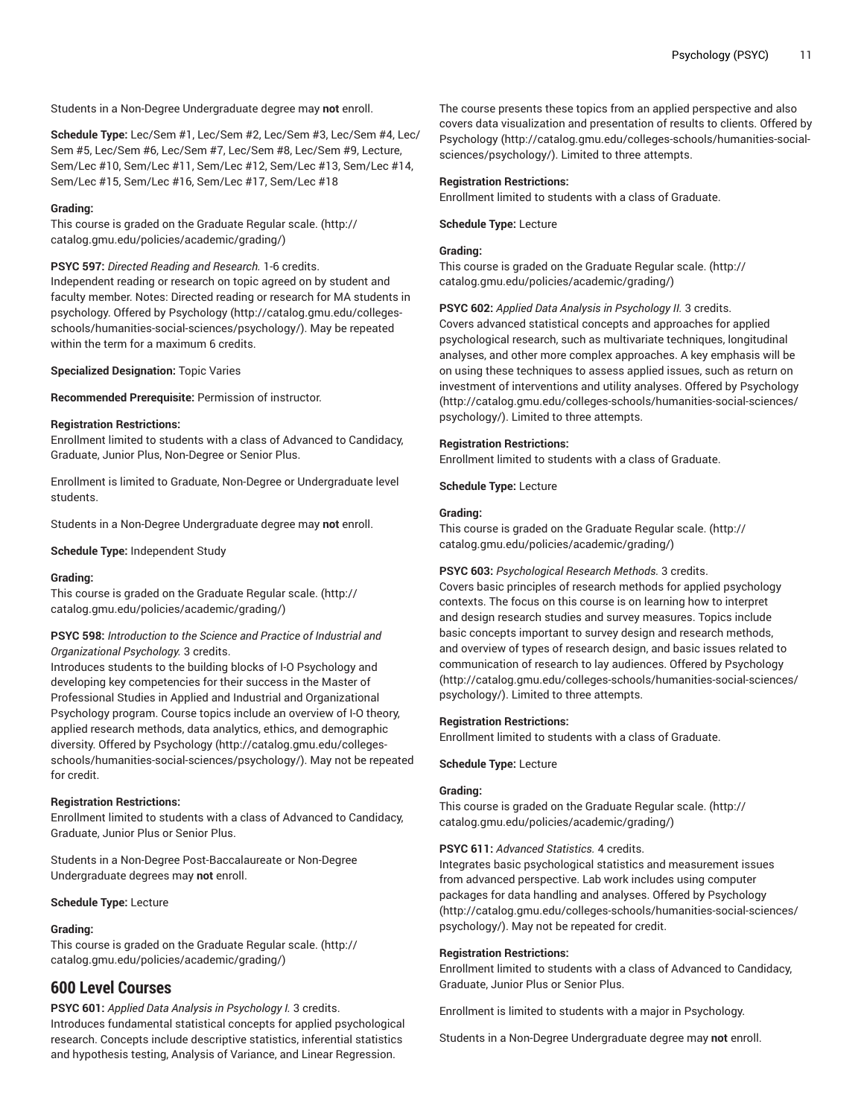Students in a Non-Degree Undergraduate degree may **not** enroll.

**Schedule Type:** Lec/Sem #1, Lec/Sem #2, Lec/Sem #3, Lec/Sem #4, Lec/ Sem #5, Lec/Sem #6, Lec/Sem #7, Lec/Sem #8, Lec/Sem #9, Lecture, Sem/Lec #10, Sem/Lec #11, Sem/Lec #12, Sem/Lec #13, Sem/Lec #14, Sem/Lec #15, Sem/Lec #16, Sem/Lec #17, Sem/Lec #18

## **Grading:**

This course is graded on the [Graduate Regular scale.](http://catalog.gmu.edu/policies/academic/grading/) [\(http://](http://catalog.gmu.edu/policies/academic/grading/) [catalog.gmu.edu/policies/academic/grading/\)](http://catalog.gmu.edu/policies/academic/grading/)

## **PSYC 597:** *Directed Reading and Research.* 1-6 credits.

Independent reading or research on topic agreed on by student and faculty member. Notes: Directed reading or research for MA students in psychology. Offered by [Psychology](http://catalog.gmu.edu/colleges-schools/humanities-social-sciences/psychology/) ([http://catalog.gmu.edu/colleges](http://catalog.gmu.edu/colleges-schools/humanities-social-sciences/psychology/)[schools/humanities-social-sciences/psychology/](http://catalog.gmu.edu/colleges-schools/humanities-social-sciences/psychology/)). May be repeated within the term for a maximum 6 credits.

**Specialized Designation:** Topic Varies

**Recommended Prerequisite:** Permission of instructor.

## **Registration Restrictions:**

Enrollment limited to students with a class of Advanced to Candidacy, Graduate, Junior Plus, Non-Degree or Senior Plus.

Enrollment is limited to Graduate, Non-Degree or Undergraduate level students.

Students in a Non-Degree Undergraduate degree may **not** enroll.

**Schedule Type:** Independent Study

## **Grading:**

This course is graded on the [Graduate Regular scale.](http://catalog.gmu.edu/policies/academic/grading/) [\(http://](http://catalog.gmu.edu/policies/academic/grading/) [catalog.gmu.edu/policies/academic/grading/\)](http://catalog.gmu.edu/policies/academic/grading/)

## **PSYC 598:** *Introduction to the Science and Practice of Industrial and Organizational Psychology.* 3 credits.

Introduces students to the building blocks of I-O Psychology and developing key competencies for their success in the Master of Professional Studies in Applied and Industrial and Organizational Psychology program. Course topics include an overview of I-O theory, applied research methods, data analytics, ethics, and demographic diversity. Offered by [Psychology \(http://catalog.gmu.edu/colleges](http://catalog.gmu.edu/colleges-schools/humanities-social-sciences/psychology/)[schools/humanities-social-sciences/psychology/](http://catalog.gmu.edu/colleges-schools/humanities-social-sciences/psychology/)). May not be repeated for credit.

## **Registration Restrictions:**

Enrollment limited to students with a class of Advanced to Candidacy, Graduate, Junior Plus or Senior Plus.

Students in a Non-Degree Post-Baccalaureate or Non-Degree Undergraduate degrees may **not** enroll.

**Schedule Type:** Lecture

#### **Grading:**

This course is graded on the [Graduate Regular scale.](http://catalog.gmu.edu/policies/academic/grading/) [\(http://](http://catalog.gmu.edu/policies/academic/grading/) [catalog.gmu.edu/policies/academic/grading/\)](http://catalog.gmu.edu/policies/academic/grading/)

# **600 Level Courses**

**PSYC 601:** *Applied Data Analysis in Psychology I.* 3 credits.

Introduces fundamental statistical concepts for applied psychological research. Concepts include descriptive statistics, inferential statistics and hypothesis testing, Analysis of Variance, and Linear Regression.

The course presents these topics from an applied perspective and also covers data visualization and presentation of results to clients. Offered by [Psychology](http://catalog.gmu.edu/colleges-schools/humanities-social-sciences/psychology/) ([http://catalog.gmu.edu/colleges-schools/humanities-social](http://catalog.gmu.edu/colleges-schools/humanities-social-sciences/psychology/)[sciences/psychology/](http://catalog.gmu.edu/colleges-schools/humanities-social-sciences/psychology/)). Limited to three attempts.

## **Registration Restrictions:**

Enrollment limited to students with a class of Graduate.

**Schedule Type:** Lecture

## **Grading:**

This course is graded on the [Graduate Regular scale.](http://catalog.gmu.edu/policies/academic/grading/) ([http://](http://catalog.gmu.edu/policies/academic/grading/) [catalog.gmu.edu/policies/academic/grading/](http://catalog.gmu.edu/policies/academic/grading/))

## **PSYC 602:** *Applied Data Analysis in Psychology II.* 3 credits.

Covers advanced statistical concepts and approaches for applied psychological research, such as multivariate techniques, longitudinal analyses, and other more complex approaches. A key emphasis will be on using these techniques to assess applied issues, such as return on investment of interventions and utility analyses. Offered by [Psychology](http://catalog.gmu.edu/colleges-schools/humanities-social-sciences/psychology/) [\(http://catalog.gmu.edu/colleges-schools/humanities-social-sciences/](http://catalog.gmu.edu/colleges-schools/humanities-social-sciences/psychology/) [psychology/\)](http://catalog.gmu.edu/colleges-schools/humanities-social-sciences/psychology/). Limited to three attempts.

## **Registration Restrictions:**

Enrollment limited to students with a class of Graduate.

**Schedule Type:** Lecture

## **Grading:**

This course is graded on the [Graduate Regular scale.](http://catalog.gmu.edu/policies/academic/grading/) ([http://](http://catalog.gmu.edu/policies/academic/grading/) [catalog.gmu.edu/policies/academic/grading/](http://catalog.gmu.edu/policies/academic/grading/))

## **PSYC 603:** *Psychological Research Methods.* 3 credits.

Covers basic principles of research methods for applied psychology contexts. The focus on this course is on learning how to interpret and design research studies and survey measures. Topics include basic concepts important to survey design and research methods, and overview of types of research design, and basic issues related to communication of research to lay audiences. Offered by [Psychology](http://catalog.gmu.edu/colleges-schools/humanities-social-sciences/psychology/) [\(http://catalog.gmu.edu/colleges-schools/humanities-social-sciences/](http://catalog.gmu.edu/colleges-schools/humanities-social-sciences/psychology/) [psychology/\)](http://catalog.gmu.edu/colleges-schools/humanities-social-sciences/psychology/). Limited to three attempts.

## **Registration Restrictions:**

Enrollment limited to students with a class of Graduate.

**Schedule Type:** Lecture

## **Grading:**

This course is graded on the [Graduate Regular scale.](http://catalog.gmu.edu/policies/academic/grading/) ([http://](http://catalog.gmu.edu/policies/academic/grading/) [catalog.gmu.edu/policies/academic/grading/](http://catalog.gmu.edu/policies/academic/grading/))

## **PSYC 611:** *Advanced Statistics.* 4 credits.

Integrates basic psychological statistics and measurement issues from advanced perspective. Lab work includes using computer packages for data handling and analyses. Offered by [Psychology](http://catalog.gmu.edu/colleges-schools/humanities-social-sciences/psychology/) [\(http://catalog.gmu.edu/colleges-schools/humanities-social-sciences/](http://catalog.gmu.edu/colleges-schools/humanities-social-sciences/psychology/) [psychology/\)](http://catalog.gmu.edu/colleges-schools/humanities-social-sciences/psychology/). May not be repeated for credit.

#### **Registration Restrictions:**

Enrollment limited to students with a class of Advanced to Candidacy, Graduate, Junior Plus or Senior Plus.

Enrollment is limited to students with a major in Psychology.

Students in a Non-Degree Undergraduate degree may **not** enroll.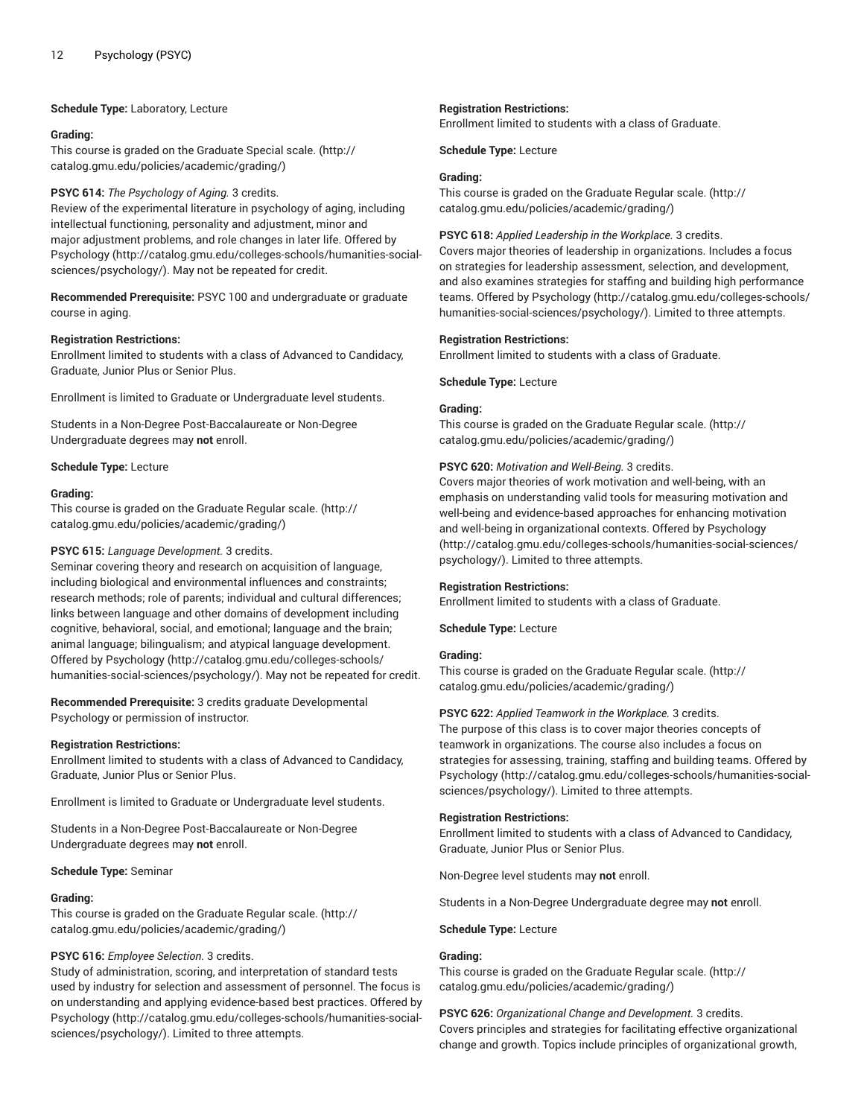#### **Schedule Type:** Laboratory, Lecture

#### **Grading:**

This course is graded on the [Graduate Special scale.](http://catalog.gmu.edu/policies/academic/grading/) ([http://](http://catalog.gmu.edu/policies/academic/grading/) [catalog.gmu.edu/policies/academic/grading/\)](http://catalog.gmu.edu/policies/academic/grading/)

#### **PSYC 614:** *The Psychology of Aging.* 3 credits.

Review of the experimental literature in psychology of aging, including intellectual functioning, personality and adjustment, minor and major adjustment problems, and role changes in later life. Offered by [Psychology \(http://catalog.gmu.edu/colleges-schools/humanities-social](http://catalog.gmu.edu/colleges-schools/humanities-social-sciences/psychology/)[sciences/psychology/\)](http://catalog.gmu.edu/colleges-schools/humanities-social-sciences/psychology/). May not be repeated for credit.

**Recommended Prerequisite:** PSYC 100 and undergraduate or graduate course in aging.

## **Registration Restrictions:**

Enrollment limited to students with a class of Advanced to Candidacy, Graduate, Junior Plus or Senior Plus.

Enrollment is limited to Graduate or Undergraduate level students.

Students in a Non-Degree Post-Baccalaureate or Non-Degree Undergraduate degrees may **not** enroll.

#### **Schedule Type:** Lecture

#### **Grading:**

This course is graded on the [Graduate Regular scale.](http://catalog.gmu.edu/policies/academic/grading/) [\(http://](http://catalog.gmu.edu/policies/academic/grading/) [catalog.gmu.edu/policies/academic/grading/\)](http://catalog.gmu.edu/policies/academic/grading/)

## **PSYC 615:** *Language Development.* 3 credits.

Seminar covering theory and research on acquisition of language, including biological and environmental influences and constraints; research methods; role of parents; individual and cultural differences; links between language and other domains of development including cognitive, behavioral, social, and emotional; language and the brain; animal language; bilingualism; and atypical language development. Offered by [Psychology \(http://catalog.gmu.edu/colleges-schools/](http://catalog.gmu.edu/colleges-schools/humanities-social-sciences/psychology/) [humanities-social-sciences/psychology/\)](http://catalog.gmu.edu/colleges-schools/humanities-social-sciences/psychology/). May not be repeated for credit.

**Recommended Prerequisite:** 3 credits graduate Developmental Psychology or permission of instructor.

#### **Registration Restrictions:**

Enrollment limited to students with a class of Advanced to Candidacy, Graduate, Junior Plus or Senior Plus.

Enrollment is limited to Graduate or Undergraduate level students.

Students in a Non-Degree Post-Baccalaureate or Non-Degree Undergraduate degrees may **not** enroll.

#### **Schedule Type:** Seminar

#### **Grading:**

This course is graded on the [Graduate Regular scale.](http://catalog.gmu.edu/policies/academic/grading/) [\(http://](http://catalog.gmu.edu/policies/academic/grading/) [catalog.gmu.edu/policies/academic/grading/\)](http://catalog.gmu.edu/policies/academic/grading/)

#### **PSYC 616:** *Employee Selection.* 3 credits.

Study of administration, scoring, and interpretation of standard tests used by industry for selection and assessment of personnel. The focus is on understanding and applying evidence-based best practices. Offered by [Psychology \(http://catalog.gmu.edu/colleges-schools/humanities-social](http://catalog.gmu.edu/colleges-schools/humanities-social-sciences/psychology/)[sciences/psychology/\)](http://catalog.gmu.edu/colleges-schools/humanities-social-sciences/psychology/). Limited to three attempts.

#### **Registration Restrictions:**

Enrollment limited to students with a class of Graduate.

**Schedule Type:** Lecture

#### **Grading:**

This course is graded on the [Graduate Regular scale.](http://catalog.gmu.edu/policies/academic/grading/) ([http://](http://catalog.gmu.edu/policies/academic/grading/) [catalog.gmu.edu/policies/academic/grading/](http://catalog.gmu.edu/policies/academic/grading/))

**PSYC 618:** *Applied Leadership in the Workplace.* 3 credits.

Covers major theories of leadership in organizations. Includes a focus on strategies for leadership assessment, selection, and development, and also examines strategies for staffing and building high performance teams. Offered by [Psychology \(http://catalog.gmu.edu/colleges-schools/](http://catalog.gmu.edu/colleges-schools/humanities-social-sciences/psychology/) [humanities-social-sciences/psychology/\)](http://catalog.gmu.edu/colleges-schools/humanities-social-sciences/psychology/). Limited to three attempts.

#### **Registration Restrictions:**

Enrollment limited to students with a class of Graduate.

#### **Schedule Type:** Lecture

#### **Grading:**

This course is graded on the [Graduate Regular scale.](http://catalog.gmu.edu/policies/academic/grading/) ([http://](http://catalog.gmu.edu/policies/academic/grading/) [catalog.gmu.edu/policies/academic/grading/](http://catalog.gmu.edu/policies/academic/grading/))

#### **PSYC 620:** *Motivation and Well-Being.* 3 credits.

Covers major theories of work motivation and well-being, with an emphasis on understanding valid tools for measuring motivation and well-being and evidence-based approaches for enhancing motivation and well-being in organizational contexts. Offered by [Psychology](http://catalog.gmu.edu/colleges-schools/humanities-social-sciences/psychology/) [\(http://catalog.gmu.edu/colleges-schools/humanities-social-sciences/](http://catalog.gmu.edu/colleges-schools/humanities-social-sciences/psychology/) [psychology/\)](http://catalog.gmu.edu/colleges-schools/humanities-social-sciences/psychology/). Limited to three attempts.

#### **Registration Restrictions:**

Enrollment limited to students with a class of Graduate.

**Schedule Type:** Lecture

## **Grading:**

This course is graded on the [Graduate Regular scale.](http://catalog.gmu.edu/policies/academic/grading/) ([http://](http://catalog.gmu.edu/policies/academic/grading/) [catalog.gmu.edu/policies/academic/grading/](http://catalog.gmu.edu/policies/academic/grading/))

#### **PSYC 622:** *Applied Teamwork in the Workplace.* 3 credits.

The purpose of this class is to cover major theories concepts of teamwork in organizations. The course also includes a focus on strategies for assessing, training, staffing and building teams. Offered by [Psychology](http://catalog.gmu.edu/colleges-schools/humanities-social-sciences/psychology/) ([http://catalog.gmu.edu/colleges-schools/humanities-social](http://catalog.gmu.edu/colleges-schools/humanities-social-sciences/psychology/)[sciences/psychology/](http://catalog.gmu.edu/colleges-schools/humanities-social-sciences/psychology/)). Limited to three attempts.

#### **Registration Restrictions:**

Enrollment limited to students with a class of Advanced to Candidacy, Graduate, Junior Plus or Senior Plus.

Non-Degree level students may **not** enroll.

Students in a Non-Degree Undergraduate degree may **not** enroll.

#### **Schedule Type:** Lecture

#### **Grading:**

This course is graded on the [Graduate Regular scale.](http://catalog.gmu.edu/policies/academic/grading/) ([http://](http://catalog.gmu.edu/policies/academic/grading/) [catalog.gmu.edu/policies/academic/grading/](http://catalog.gmu.edu/policies/academic/grading/))

**PSYC 626:** *Organizational Change and Development.* 3 credits. Covers principles and strategies for facilitating effective organizational change and growth. Topics include principles of organizational growth,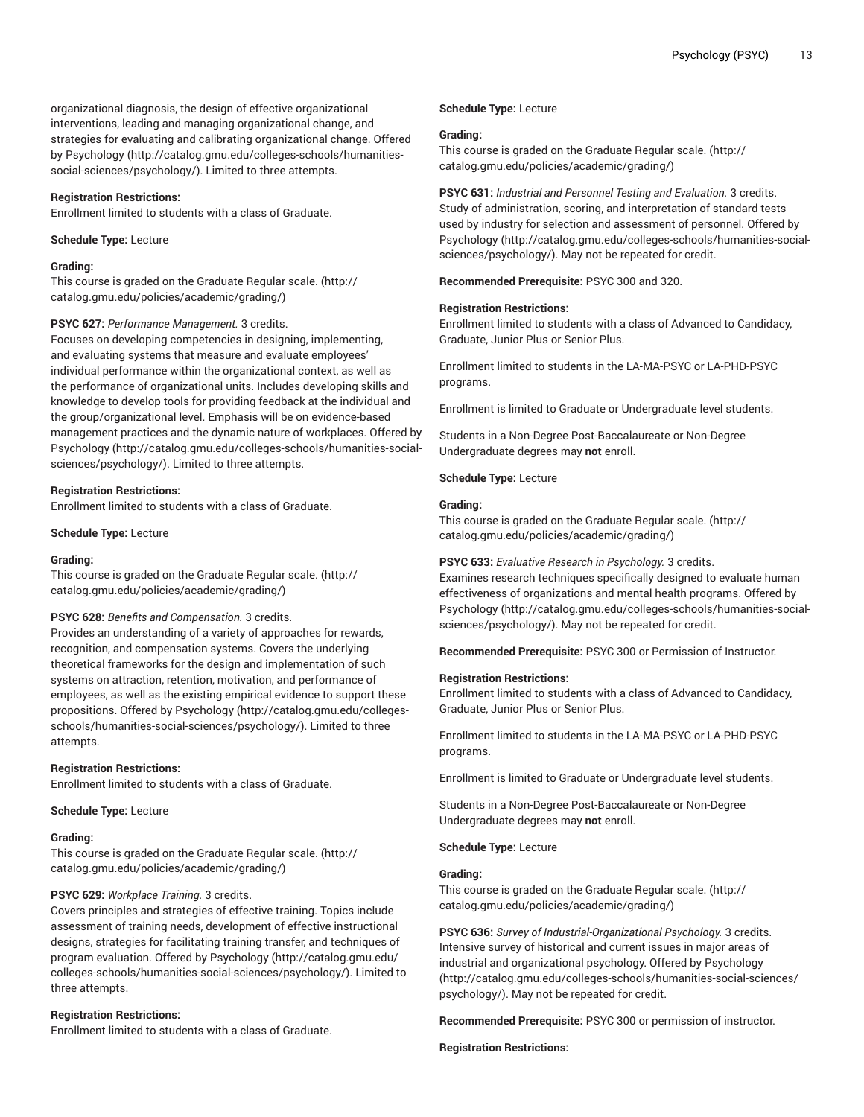organizational diagnosis, the design of effective organizational interventions, leading and managing organizational change, and strategies for evaluating and calibrating organizational change. Offered by [Psychology](http://catalog.gmu.edu/colleges-schools/humanities-social-sciences/psychology/) ([http://catalog.gmu.edu/colleges-schools/humanities](http://catalog.gmu.edu/colleges-schools/humanities-social-sciences/psychology/)[social-sciences/psychology/](http://catalog.gmu.edu/colleges-schools/humanities-social-sciences/psychology/)). Limited to three attempts.

## **Registration Restrictions:**

Enrollment limited to students with a class of Graduate.

## **Schedule Type:** Lecture

#### **Grading:**

This course is graded on the [Graduate Regular scale.](http://catalog.gmu.edu/policies/academic/grading/) [\(http://](http://catalog.gmu.edu/policies/academic/grading/) [catalog.gmu.edu/policies/academic/grading/\)](http://catalog.gmu.edu/policies/academic/grading/)

## **PSYC 627:** *Performance Management.* 3 credits.

Focuses on developing competencies in designing, implementing, and evaluating systems that measure and evaluate employees' individual performance within the organizational context, as well as the performance of organizational units. Includes developing skills and knowledge to develop tools for providing feedback at the individual and the group/organizational level. Emphasis will be on evidence-based management practices and the dynamic nature of workplaces. Offered by [Psychology \(http://catalog.gmu.edu/colleges-schools/humanities-social](http://catalog.gmu.edu/colleges-schools/humanities-social-sciences/psychology/)[sciences/psychology/\)](http://catalog.gmu.edu/colleges-schools/humanities-social-sciences/psychology/). Limited to three attempts.

#### **Registration Restrictions:**

Enrollment limited to students with a class of Graduate.

#### **Schedule Type:** Lecture

#### **Grading:**

This course is graded on the [Graduate Regular scale.](http://catalog.gmu.edu/policies/academic/grading/) [\(http://](http://catalog.gmu.edu/policies/academic/grading/) [catalog.gmu.edu/policies/academic/grading/\)](http://catalog.gmu.edu/policies/academic/grading/)

#### **PSYC 628:** *Benefits and Compensation.* 3 credits.

Provides an understanding of a variety of approaches for rewards, recognition, and compensation systems. Covers the underlying theoretical frameworks for the design and implementation of such systems on attraction, retention, motivation, and performance of employees, as well as the existing empirical evidence to support these propositions. Offered by [Psychology](http://catalog.gmu.edu/colleges-schools/humanities-social-sciences/psychology/) ([http://catalog.gmu.edu/colleges](http://catalog.gmu.edu/colleges-schools/humanities-social-sciences/psychology/)[schools/humanities-social-sciences/psychology/](http://catalog.gmu.edu/colleges-schools/humanities-social-sciences/psychology/)). Limited to three attempts.

#### **Registration Restrictions:**

Enrollment limited to students with a class of Graduate.

**Schedule Type:** Lecture

#### **Grading:**

This course is graded on the [Graduate Regular scale.](http://catalog.gmu.edu/policies/academic/grading/) [\(http://](http://catalog.gmu.edu/policies/academic/grading/) [catalog.gmu.edu/policies/academic/grading/\)](http://catalog.gmu.edu/policies/academic/grading/)

#### **PSYC 629:** *Workplace Training.* 3 credits.

Covers principles and strategies of effective training. Topics include assessment of training needs, development of effective instructional designs, strategies for facilitating training transfer, and techniques of program evaluation. Offered by [Psychology \(http://catalog.gmu.edu/](http://catalog.gmu.edu/colleges-schools/humanities-social-sciences/psychology/) [colleges-schools/humanities-social-sciences/psychology/](http://catalog.gmu.edu/colleges-schools/humanities-social-sciences/psychology/)). Limited to three attempts.

#### **Registration Restrictions:**

Enrollment limited to students with a class of Graduate.

#### **Schedule Type:** Lecture

#### **Grading:**

This course is graded on the [Graduate Regular scale.](http://catalog.gmu.edu/policies/academic/grading/) ([http://](http://catalog.gmu.edu/policies/academic/grading/) [catalog.gmu.edu/policies/academic/grading/](http://catalog.gmu.edu/policies/academic/grading/))

**PSYC 631:** *Industrial and Personnel Testing and Evaluation.* 3 credits. Study of administration, scoring, and interpretation of standard tests used by industry for selection and assessment of personnel. Offered by [Psychology](http://catalog.gmu.edu/colleges-schools/humanities-social-sciences/psychology/) ([http://catalog.gmu.edu/colleges-schools/humanities-social](http://catalog.gmu.edu/colleges-schools/humanities-social-sciences/psychology/)[sciences/psychology/](http://catalog.gmu.edu/colleges-schools/humanities-social-sciences/psychology/)). May not be repeated for credit.

**Recommended Prerequisite:** PSYC 300 and 320.

#### **Registration Restrictions:**

Enrollment limited to students with a class of Advanced to Candidacy, Graduate, Junior Plus or Senior Plus.

Enrollment limited to students in the LA-MA-PSYC or LA-PHD-PSYC programs.

Enrollment is limited to Graduate or Undergraduate level students.

Students in a Non-Degree Post-Baccalaureate or Non-Degree Undergraduate degrees may **not** enroll.

**Schedule Type:** Lecture

#### **Grading:**

This course is graded on the [Graduate Regular scale.](http://catalog.gmu.edu/policies/academic/grading/) ([http://](http://catalog.gmu.edu/policies/academic/grading/) [catalog.gmu.edu/policies/academic/grading/](http://catalog.gmu.edu/policies/academic/grading/))

#### **PSYC 633:** *Evaluative Research in Psychology.* 3 credits.

Examines research techniques specifically designed to evaluate human effectiveness of organizations and mental health programs. Offered by [Psychology](http://catalog.gmu.edu/colleges-schools/humanities-social-sciences/psychology/) ([http://catalog.gmu.edu/colleges-schools/humanities-social](http://catalog.gmu.edu/colleges-schools/humanities-social-sciences/psychology/)[sciences/psychology/](http://catalog.gmu.edu/colleges-schools/humanities-social-sciences/psychology/)). May not be repeated for credit.

**Recommended Prerequisite:** PSYC 300 or Permission of Instructor.

#### **Registration Restrictions:**

Enrollment limited to students with a class of Advanced to Candidacy, Graduate, Junior Plus or Senior Plus.

Enrollment limited to students in the LA-MA-PSYC or LA-PHD-PSYC programs.

Enrollment is limited to Graduate or Undergraduate level students.

Students in a Non-Degree Post-Baccalaureate or Non-Degree Undergraduate degrees may **not** enroll.

**Schedule Type:** Lecture

#### **Grading:**

This course is graded on the [Graduate Regular scale.](http://catalog.gmu.edu/policies/academic/grading/) ([http://](http://catalog.gmu.edu/policies/academic/grading/) [catalog.gmu.edu/policies/academic/grading/](http://catalog.gmu.edu/policies/academic/grading/))

**PSYC 636:** *Survey of Industrial-Organizational Psychology.* 3 credits. Intensive survey of historical and current issues in major areas of industrial and organizational psychology. Offered by [Psychology](http://catalog.gmu.edu/colleges-schools/humanities-social-sciences/psychology/) [\(http://catalog.gmu.edu/colleges-schools/humanities-social-sciences/](http://catalog.gmu.edu/colleges-schools/humanities-social-sciences/psychology/) [psychology/\)](http://catalog.gmu.edu/colleges-schools/humanities-social-sciences/psychology/). May not be repeated for credit.

**Recommended Prerequisite:** PSYC 300 or permission of instructor.

#### **Registration Restrictions:**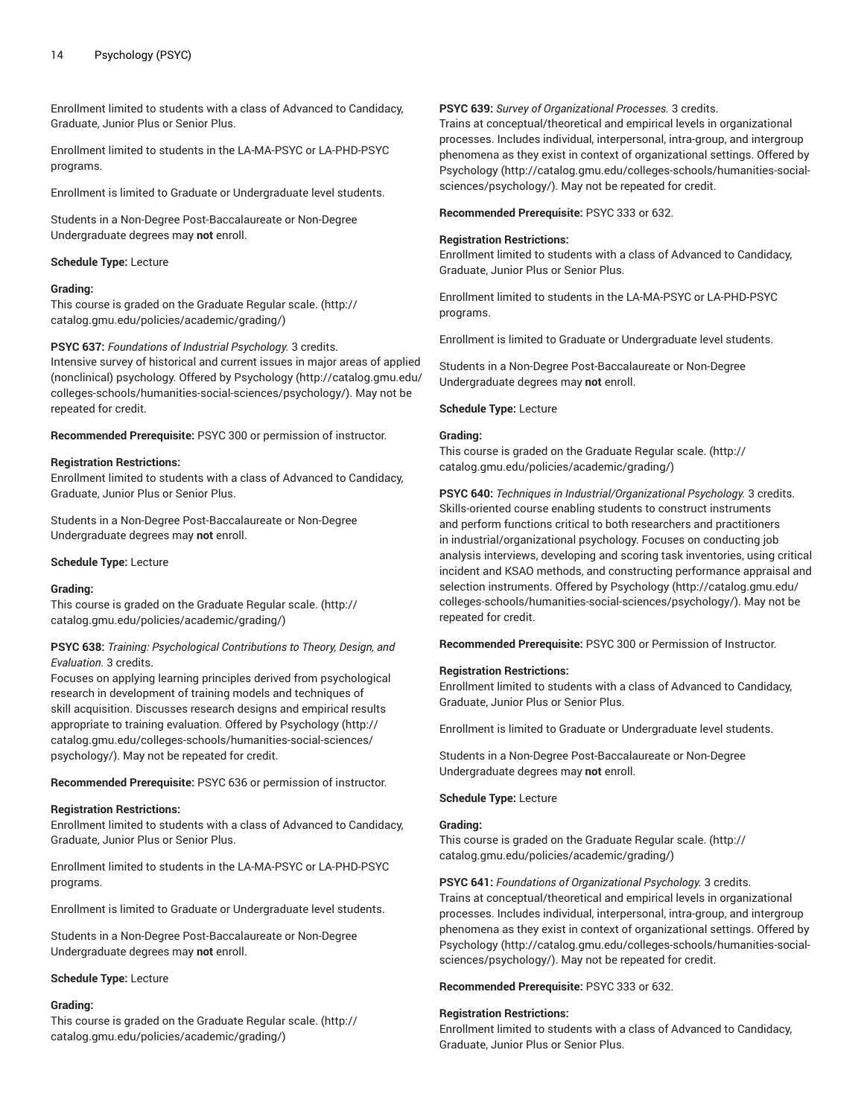Enrollment limited to students with a class of Advanced to Candidacy, Graduate, Junior Plus or Senior Plus.

Enrollment limited to students in the LA-MA-PSYC or LA-PHD-PSYC programs.

Enrollment is limited to Graduate or Undergraduate level students.

Students in a Non-Degree Post-Baccalaureate or Non-Degree Undergraduate degrees may **not** enroll.

## **Schedule Type:** Lecture

## **Grading:**

This course is graded on the [Graduate Regular scale.](http://catalog.gmu.edu/policies/academic/grading/) [\(http://](http://catalog.gmu.edu/policies/academic/grading/) [catalog.gmu.edu/policies/academic/grading/\)](http://catalog.gmu.edu/policies/academic/grading/)

## **PSYC 637:** *Foundations of Industrial Psychology.* 3 credits.

Intensive survey of historical and current issues in major areas of applied (nonclinical) psychology. Offered by [Psychology \(http://catalog.gmu.edu/](http://catalog.gmu.edu/colleges-schools/humanities-social-sciences/psychology/) [colleges-schools/humanities-social-sciences/psychology/](http://catalog.gmu.edu/colleges-schools/humanities-social-sciences/psychology/)). May not be repeated for credit.

**Recommended Prerequisite:** PSYC 300 or permission of instructor.

## **Registration Restrictions:**

Enrollment limited to students with a class of Advanced to Candidacy, Graduate, Junior Plus or Senior Plus.

Students in a Non-Degree Post-Baccalaureate or Non-Degree Undergraduate degrees may **not** enroll.

#### **Schedule Type:** Lecture

#### **Grading:**

This course is graded on the [Graduate Regular scale.](http://catalog.gmu.edu/policies/academic/grading/) [\(http://](http://catalog.gmu.edu/policies/academic/grading/) [catalog.gmu.edu/policies/academic/grading/\)](http://catalog.gmu.edu/policies/academic/grading/)

#### **PSYC 638:** *Training: Psychological Contributions to Theory, Design, and Evaluation.* 3 credits.

Focuses on applying learning principles derived from psychological research in development of training models and techniques of skill acquisition. Discusses research designs and empirical results appropriate to training evaluation. Offered by [Psychology](http://catalog.gmu.edu/colleges-schools/humanities-social-sciences/psychology/) ([http://](http://catalog.gmu.edu/colleges-schools/humanities-social-sciences/psychology/) [catalog.gmu.edu/colleges-schools/humanities-social-sciences/](http://catalog.gmu.edu/colleges-schools/humanities-social-sciences/psychology/) [psychology/](http://catalog.gmu.edu/colleges-schools/humanities-social-sciences/psychology/)). May not be repeated for credit.

**Recommended Prerequisite:** PSYC 636 or permission of instructor.

#### **Registration Restrictions:**

Enrollment limited to students with a class of Advanced to Candidacy, Graduate, Junior Plus or Senior Plus.

Enrollment limited to students in the LA-MA-PSYC or LA-PHD-PSYC programs.

Enrollment is limited to Graduate or Undergraduate level students.

Students in a Non-Degree Post-Baccalaureate or Non-Degree Undergraduate degrees may **not** enroll.

#### **Schedule Type:** Lecture

## **Grading:**

This course is graded on the [Graduate Regular scale.](http://catalog.gmu.edu/policies/academic/grading/) [\(http://](http://catalog.gmu.edu/policies/academic/grading/) [catalog.gmu.edu/policies/academic/grading/\)](http://catalog.gmu.edu/policies/academic/grading/)

#### **PSYC 639:** *Survey of Organizational Processes.* 3 credits.

Trains at conceptual/theoretical and empirical levels in organizational processes. Includes individual, interpersonal, intra-group, and intergroup phenomena as they exist in context of organizational settings. Offered by [Psychology](http://catalog.gmu.edu/colleges-schools/humanities-social-sciences/psychology/) ([http://catalog.gmu.edu/colleges-schools/humanities-social](http://catalog.gmu.edu/colleges-schools/humanities-social-sciences/psychology/)[sciences/psychology/](http://catalog.gmu.edu/colleges-schools/humanities-social-sciences/psychology/)). May not be repeated for credit.

**Recommended Prerequisite:** PSYC 333 or 632.

## **Registration Restrictions:**

Enrollment limited to students with a class of Advanced to Candidacy, Graduate, Junior Plus or Senior Plus.

Enrollment limited to students in the LA-MA-PSYC or LA-PHD-PSYC programs.

Enrollment is limited to Graduate or Undergraduate level students.

Students in a Non-Degree Post-Baccalaureate or Non-Degree Undergraduate degrees may **not** enroll.

## **Schedule Type:** Lecture

### **Grading:**

This course is graded on the [Graduate Regular scale.](http://catalog.gmu.edu/policies/academic/grading/) ([http://](http://catalog.gmu.edu/policies/academic/grading/) [catalog.gmu.edu/policies/academic/grading/](http://catalog.gmu.edu/policies/academic/grading/))

**PSYC 640:** *Techniques in Industrial/Organizational Psychology.* 3 credits. Skills-oriented course enabling students to construct instruments and perform functions critical to both researchers and practitioners in industrial/organizational psychology. Focuses on conducting job analysis interviews, developing and scoring task inventories, using critical incident and KSAO methods, and constructing performance appraisal and selection instruments. Offered by [Psychology](http://catalog.gmu.edu/colleges-schools/humanities-social-sciences/psychology/) [\(http://catalog.gmu.edu/](http://catalog.gmu.edu/colleges-schools/humanities-social-sciences/psychology/) [colleges-schools/humanities-social-sciences/psychology/\)](http://catalog.gmu.edu/colleges-schools/humanities-social-sciences/psychology/). May not be repeated for credit.

**Recommended Prerequisite:** PSYC 300 or Permission of Instructor.

## **Registration Restrictions:**

Enrollment limited to students with a class of Advanced to Candidacy, Graduate, Junior Plus or Senior Plus.

Enrollment is limited to Graduate or Undergraduate level students.

Students in a Non-Degree Post-Baccalaureate or Non-Degree Undergraduate degrees may **not** enroll.

## **Schedule Type:** Lecture

#### **Grading:**

This course is graded on the [Graduate Regular scale.](http://catalog.gmu.edu/policies/academic/grading/) ([http://](http://catalog.gmu.edu/policies/academic/grading/) [catalog.gmu.edu/policies/academic/grading/](http://catalog.gmu.edu/policies/academic/grading/))

**PSYC 641:** *Foundations of Organizational Psychology.* 3 credits. Trains at conceptual/theoretical and empirical levels in organizational processes. Includes individual, interpersonal, intra-group, and intergroup phenomena as they exist in context of organizational settings. Offered by [Psychology](http://catalog.gmu.edu/colleges-schools/humanities-social-sciences/psychology/) ([http://catalog.gmu.edu/colleges-schools/humanities-social](http://catalog.gmu.edu/colleges-schools/humanities-social-sciences/psychology/)[sciences/psychology/](http://catalog.gmu.edu/colleges-schools/humanities-social-sciences/psychology/)). May not be repeated for credit.

**Recommended Prerequisite:** PSYC 333 or 632.

#### **Registration Restrictions:**

Enrollment limited to students with a class of Advanced to Candidacy, Graduate, Junior Plus or Senior Plus.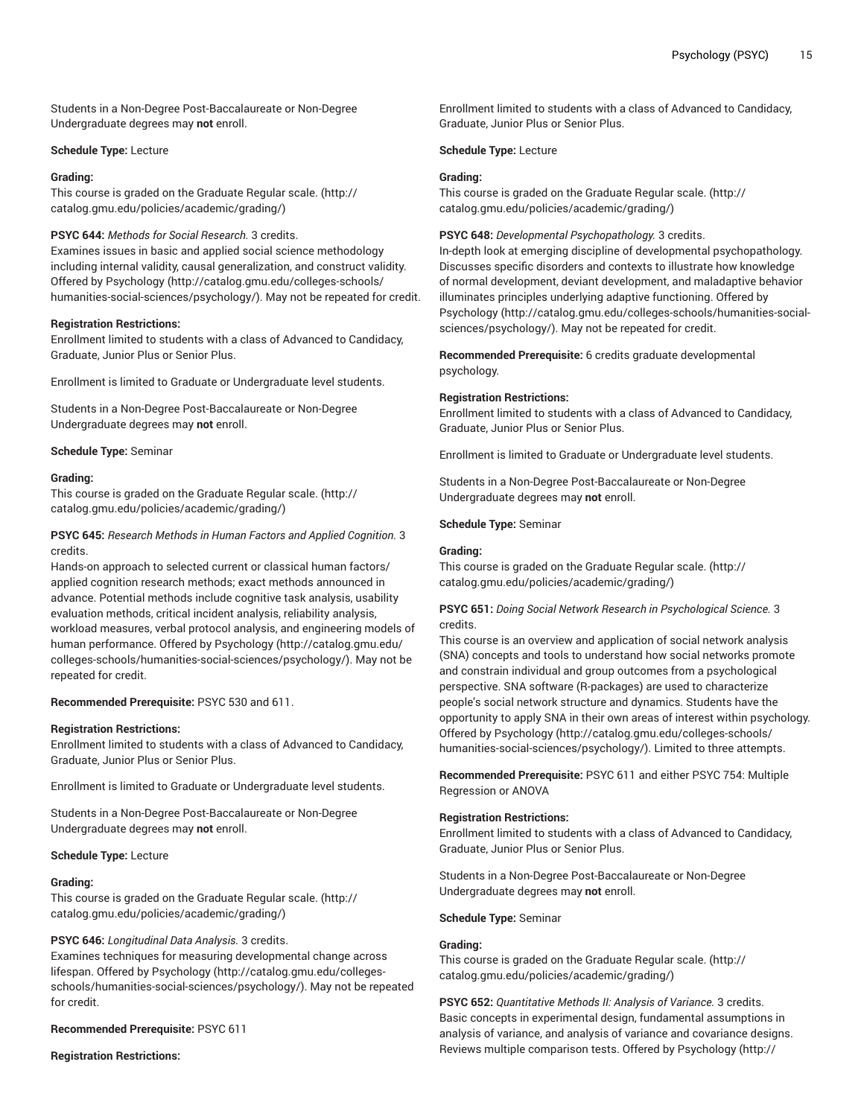Students in a Non-Degree Post-Baccalaureate or Non-Degree Undergraduate degrees may **not** enroll.

## **Schedule Type:** Lecture

## **Grading:**

This course is graded on the [Graduate Regular scale.](http://catalog.gmu.edu/policies/academic/grading/) [\(http://](http://catalog.gmu.edu/policies/academic/grading/) [catalog.gmu.edu/policies/academic/grading/\)](http://catalog.gmu.edu/policies/academic/grading/)

## **PSYC 644:** *Methods for Social Research.* 3 credits.

Examines issues in basic and applied social science methodology including internal validity, causal generalization, and construct validity. Offered by [Psychology \(http://catalog.gmu.edu/colleges-schools/](http://catalog.gmu.edu/colleges-schools/humanities-social-sciences/psychology/) [humanities-social-sciences/psychology/\)](http://catalog.gmu.edu/colleges-schools/humanities-social-sciences/psychology/). May not be repeated for credit.

## **Registration Restrictions:**

Enrollment limited to students with a class of Advanced to Candidacy, Graduate, Junior Plus or Senior Plus.

Enrollment is limited to Graduate or Undergraduate level students.

Students in a Non-Degree Post-Baccalaureate or Non-Degree Undergraduate degrees may **not** enroll.

## **Schedule Type:** Seminar

## **Grading:**

This course is graded on the [Graduate Regular scale.](http://catalog.gmu.edu/policies/academic/grading/) [\(http://](http://catalog.gmu.edu/policies/academic/grading/) [catalog.gmu.edu/policies/academic/grading/\)](http://catalog.gmu.edu/policies/academic/grading/)

## **PSYC 645:** *Research Methods in Human Factors and Applied Cognition.* 3 credits.

Hands-on approach to selected current or classical human factors/ applied cognition research methods; exact methods announced in advance. Potential methods include cognitive task analysis, usability evaluation methods, critical incident analysis, reliability analysis, workload measures, verbal protocol analysis, and engineering models of human performance. Offered by [Psychology \(http://catalog.gmu.edu/](http://catalog.gmu.edu/colleges-schools/humanities-social-sciences/psychology/) [colleges-schools/humanities-social-sciences/psychology/](http://catalog.gmu.edu/colleges-schools/humanities-social-sciences/psychology/)). May not be repeated for credit.

## **Recommended Prerequisite:** PSYC 530 and 611.

#### **Registration Restrictions:**

Enrollment limited to students with a class of Advanced to Candidacy, Graduate, Junior Plus or Senior Plus.

Enrollment is limited to Graduate or Undergraduate level students.

Students in a Non-Degree Post-Baccalaureate or Non-Degree Undergraduate degrees may **not** enroll.

#### **Schedule Type:** Lecture

#### **Grading:**

This course is graded on the [Graduate Regular scale.](http://catalog.gmu.edu/policies/academic/grading/) [\(http://](http://catalog.gmu.edu/policies/academic/grading/) [catalog.gmu.edu/policies/academic/grading/\)](http://catalog.gmu.edu/policies/academic/grading/)

#### **PSYC 646:** *Longitudinal Data Analysis.* 3 credits.

Examines techniques for measuring developmental change across lifespan. Offered by [Psychology](http://catalog.gmu.edu/colleges-schools/humanities-social-sciences/psychology/) [\(http://catalog.gmu.edu/colleges](http://catalog.gmu.edu/colleges-schools/humanities-social-sciences/psychology/)[schools/humanities-social-sciences/psychology/](http://catalog.gmu.edu/colleges-schools/humanities-social-sciences/psychology/)). May not be repeated for credit.

#### **Recommended Prerequisite:** PSYC 611

**Registration Restrictions:**

Enrollment limited to students with a class of Advanced to Candidacy, Graduate, Junior Plus or Senior Plus.

**Schedule Type:** Lecture

#### **Grading:**

This course is graded on the [Graduate Regular scale.](http://catalog.gmu.edu/policies/academic/grading/) ([http://](http://catalog.gmu.edu/policies/academic/grading/) [catalog.gmu.edu/policies/academic/grading/](http://catalog.gmu.edu/policies/academic/grading/))

#### **PSYC 648:** *Developmental Psychopathology.* 3 credits.

In-depth look at emerging discipline of developmental psychopathology. Discusses specific disorders and contexts to illustrate how knowledge of normal development, deviant development, and maladaptive behavior illuminates principles underlying adaptive functioning. Offered by [Psychology](http://catalog.gmu.edu/colleges-schools/humanities-social-sciences/psychology/) ([http://catalog.gmu.edu/colleges-schools/humanities-social](http://catalog.gmu.edu/colleges-schools/humanities-social-sciences/psychology/)[sciences/psychology/](http://catalog.gmu.edu/colleges-schools/humanities-social-sciences/psychology/)). May not be repeated for credit.

**Recommended Prerequisite:** 6 credits graduate developmental psychology.

#### **Registration Restrictions:**

Enrollment limited to students with a class of Advanced to Candidacy, Graduate, Junior Plus or Senior Plus.

Enrollment is limited to Graduate or Undergraduate level students.

Students in a Non-Degree Post-Baccalaureate or Non-Degree Undergraduate degrees may **not** enroll.

**Schedule Type:** Seminar

#### **Grading:**

This course is graded on the [Graduate Regular scale.](http://catalog.gmu.edu/policies/academic/grading/) ([http://](http://catalog.gmu.edu/policies/academic/grading/) [catalog.gmu.edu/policies/academic/grading/](http://catalog.gmu.edu/policies/academic/grading/))

## **PSYC 651:** *Doing Social Network Research in Psychological Science.* 3 credits.

This course is an overview and application of social network analysis (SNA) concepts and tools to understand how social networks promote and constrain individual and group outcomes from a psychological perspective. SNA software (R-packages) are used to characterize people's social network structure and dynamics. Students have the opportunity to apply SNA in their own areas of interest within psychology. Offered by [Psychology](http://catalog.gmu.edu/colleges-schools/humanities-social-sciences/psychology/) ([http://catalog.gmu.edu/colleges-schools/](http://catalog.gmu.edu/colleges-schools/humanities-social-sciences/psychology/) [humanities-social-sciences/psychology/\)](http://catalog.gmu.edu/colleges-schools/humanities-social-sciences/psychology/). Limited to three attempts.

**Recommended Prerequisite:** PSYC 611 and either PSYC 754: Multiple Regression or ANOVA

#### **Registration Restrictions:**

Enrollment limited to students with a class of Advanced to Candidacy, Graduate, Junior Plus or Senior Plus.

Students in a Non-Degree Post-Baccalaureate or Non-Degree Undergraduate degrees may **not** enroll.

**Schedule Type:** Seminar

#### **Grading:**

This course is graded on the [Graduate Regular scale.](http://catalog.gmu.edu/policies/academic/grading/) ([http://](http://catalog.gmu.edu/policies/academic/grading/) [catalog.gmu.edu/policies/academic/grading/](http://catalog.gmu.edu/policies/academic/grading/))

**PSYC 652:** *Quantitative Methods II: Analysis of Variance.* 3 credits. Basic concepts in experimental design, fundamental assumptions in analysis of variance, and analysis of variance and covariance designs. Reviews multiple comparison tests. Offered by [Psychology](http://catalog.gmu.edu/colleges-schools/humanities-social-sciences/psychology/) ([http://](http://catalog.gmu.edu/colleges-schools/humanities-social-sciences/psychology/)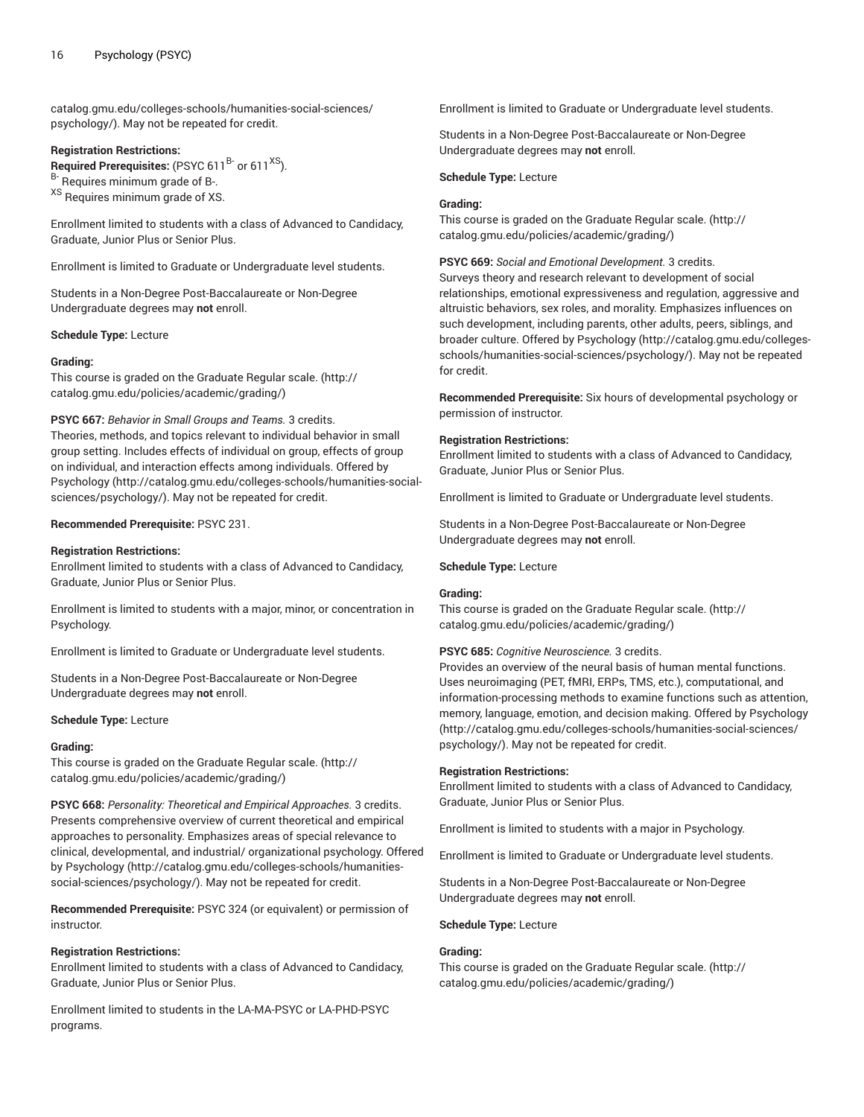[catalog.gmu.edu/colleges-schools/humanities-social-sciences/](http://catalog.gmu.edu/colleges-schools/humanities-social-sciences/psychology/) [psychology/](http://catalog.gmu.edu/colleges-schools/humanities-social-sciences/psychology/)). May not be repeated for credit.

## **Registration Restrictions:**

**Required Prerequisites:** (PSYC 611<sup>B-</sup> or 611<sup>XS</sup>).

B- Requires minimum grade of B-.

XS Requires minimum grade of XS.

Enrollment limited to students with a class of Advanced to Candidacy, Graduate, Junior Plus or Senior Plus.

Enrollment is limited to Graduate or Undergraduate level students.

Students in a Non-Degree Post-Baccalaureate or Non-Degree Undergraduate degrees may **not** enroll.

**Schedule Type:** Lecture

#### **Grading:**

This course is graded on the [Graduate Regular scale.](http://catalog.gmu.edu/policies/academic/grading/) [\(http://](http://catalog.gmu.edu/policies/academic/grading/) [catalog.gmu.edu/policies/academic/grading/\)](http://catalog.gmu.edu/policies/academic/grading/)

**PSYC 667:** *Behavior in Small Groups and Teams.* 3 credits.

Theories, methods, and topics relevant to individual behavior in small group setting. Includes effects of individual on group, effects of group on individual, and interaction effects among individuals. Offered by [Psychology \(http://catalog.gmu.edu/colleges-schools/humanities-social](http://catalog.gmu.edu/colleges-schools/humanities-social-sciences/psychology/)[sciences/psychology/\)](http://catalog.gmu.edu/colleges-schools/humanities-social-sciences/psychology/). May not be repeated for credit.

#### **Recommended Prerequisite:** PSYC 231.

#### **Registration Restrictions:**

Enrollment limited to students with a class of Advanced to Candidacy, Graduate, Junior Plus or Senior Plus.

Enrollment is limited to students with a major, minor, or concentration in Psychology.

Enrollment is limited to Graduate or Undergraduate level students.

Students in a Non-Degree Post-Baccalaureate or Non-Degree Undergraduate degrees may **not** enroll.

#### **Schedule Type:** Lecture

#### **Grading:**

This course is graded on the [Graduate Regular scale.](http://catalog.gmu.edu/policies/academic/grading/) [\(http://](http://catalog.gmu.edu/policies/academic/grading/) [catalog.gmu.edu/policies/academic/grading/\)](http://catalog.gmu.edu/policies/academic/grading/)

**PSYC 668:** *Personality: Theoretical and Empirical Approaches.* 3 credits. Presents comprehensive overview of current theoretical and empirical approaches to personality. Emphasizes areas of special relevance to clinical, developmental, and industrial/ organizational psychology. Offered by [Psychology](http://catalog.gmu.edu/colleges-schools/humanities-social-sciences/psychology/) ([http://catalog.gmu.edu/colleges-schools/humanities](http://catalog.gmu.edu/colleges-schools/humanities-social-sciences/psychology/)[social-sciences/psychology/](http://catalog.gmu.edu/colleges-schools/humanities-social-sciences/psychology/)). May not be repeated for credit.

**Recommended Prerequisite:** PSYC 324 (or equivalent) or permission of instructor.

#### **Registration Restrictions:**

Enrollment limited to students with a class of Advanced to Candidacy, Graduate, Junior Plus or Senior Plus.

Enrollment limited to students in the LA-MA-PSYC or LA-PHD-PSYC programs.

Enrollment is limited to Graduate or Undergraduate level students.

Students in a Non-Degree Post-Baccalaureate or Non-Degree Undergraduate degrees may **not** enroll.

**Schedule Type:** Lecture

### **Grading:**

This course is graded on the [Graduate Regular scale.](http://catalog.gmu.edu/policies/academic/grading/) ([http://](http://catalog.gmu.edu/policies/academic/grading/) [catalog.gmu.edu/policies/academic/grading/](http://catalog.gmu.edu/policies/academic/grading/))

#### **PSYC 669:** *Social and Emotional Development.* 3 credits.

Surveys theory and research relevant to development of social relationships, emotional expressiveness and regulation, aggressive and altruistic behaviors, sex roles, and morality. Emphasizes influences on such development, including parents, other adults, peers, siblings, and broader culture. Offered by [Psychology \(http://catalog.gmu.edu/colleges](http://catalog.gmu.edu/colleges-schools/humanities-social-sciences/psychology/)[schools/humanities-social-sciences/psychology/](http://catalog.gmu.edu/colleges-schools/humanities-social-sciences/psychology/)). May not be repeated for credit.

**Recommended Prerequisite:** Six hours of developmental psychology or permission of instructor.

## **Registration Restrictions:**

Enrollment limited to students with a class of Advanced to Candidacy, Graduate, Junior Plus or Senior Plus.

Enrollment is limited to Graduate or Undergraduate level students.

Students in a Non-Degree Post-Baccalaureate or Non-Degree Undergraduate degrees may **not** enroll.

#### **Schedule Type:** Lecture

#### **Grading:**

This course is graded on the [Graduate Regular scale.](http://catalog.gmu.edu/policies/academic/grading/) ([http://](http://catalog.gmu.edu/policies/academic/grading/) [catalog.gmu.edu/policies/academic/grading/](http://catalog.gmu.edu/policies/academic/grading/))

#### **PSYC 685:** *Cognitive Neuroscience.* 3 credits.

Provides an overview of the neural basis of human mental functions. Uses neuroimaging (PET, fMRI, ERPs, TMS, etc.), computational, and information-processing methods to examine functions such as attention, memory, language, emotion, and decision making. Offered by [Psychology](http://catalog.gmu.edu/colleges-schools/humanities-social-sciences/psychology/) [\(http://catalog.gmu.edu/colleges-schools/humanities-social-sciences/](http://catalog.gmu.edu/colleges-schools/humanities-social-sciences/psychology/) [psychology/\)](http://catalog.gmu.edu/colleges-schools/humanities-social-sciences/psychology/). May not be repeated for credit.

#### **Registration Restrictions:**

Enrollment limited to students with a class of Advanced to Candidacy, Graduate, Junior Plus or Senior Plus.

Enrollment is limited to students with a major in Psychology.

Enrollment is limited to Graduate or Undergraduate level students.

Students in a Non-Degree Post-Baccalaureate or Non-Degree Undergraduate degrees may **not** enroll.

**Schedule Type:** Lecture

## **Grading:**

This course is graded on the [Graduate Regular scale.](http://catalog.gmu.edu/policies/academic/grading/) ([http://](http://catalog.gmu.edu/policies/academic/grading/) [catalog.gmu.edu/policies/academic/grading/](http://catalog.gmu.edu/policies/academic/grading/))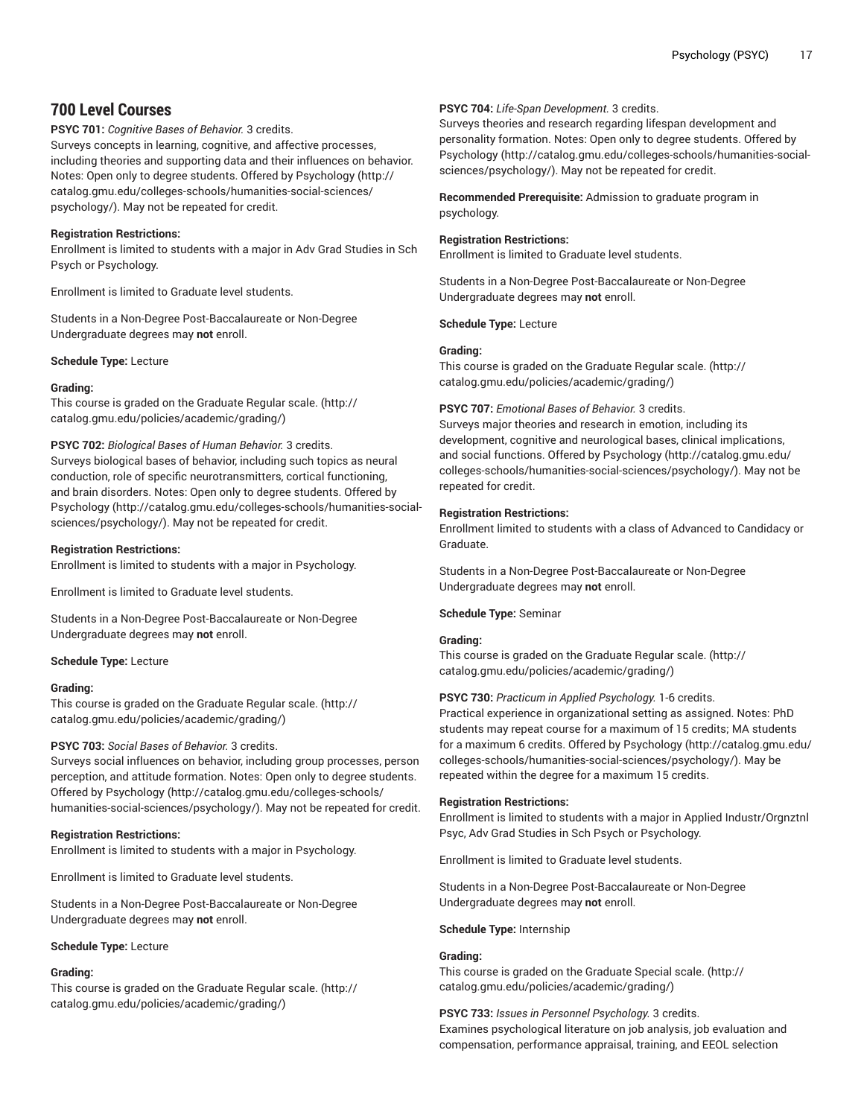# **700 Level Courses**

## **PSYC 701:** *Cognitive Bases of Behavior.* 3 credits.

Surveys concepts in learning, cognitive, and affective processes, including theories and supporting data and their influences on behavior. Notes: Open only to degree students. Offered by [Psychology \(http://](http://catalog.gmu.edu/colleges-schools/humanities-social-sciences/psychology/) [catalog.gmu.edu/colleges-schools/humanities-social-sciences/](http://catalog.gmu.edu/colleges-schools/humanities-social-sciences/psychology/) [psychology/](http://catalog.gmu.edu/colleges-schools/humanities-social-sciences/psychology/)). May not be repeated for credit.

## **Registration Restrictions:**

Enrollment is limited to students with a major in Adv Grad Studies in Sch Psych or Psychology.

Enrollment is limited to Graduate level students.

Students in a Non-Degree Post-Baccalaureate or Non-Degree Undergraduate degrees may **not** enroll.

## **Schedule Type:** Lecture

## **Grading:**

This course is graded on the [Graduate Regular scale.](http://catalog.gmu.edu/policies/academic/grading/) [\(http://](http://catalog.gmu.edu/policies/academic/grading/) [catalog.gmu.edu/policies/academic/grading/\)](http://catalog.gmu.edu/policies/academic/grading/)

## **PSYC 702:** *Biological Bases of Human Behavior.* 3 credits.

Surveys biological bases of behavior, including such topics as neural conduction, role of specific neurotransmitters, cortical functioning, and brain disorders. Notes: Open only to degree students. Offered by [Psychology \(http://catalog.gmu.edu/colleges-schools/humanities-social](http://catalog.gmu.edu/colleges-schools/humanities-social-sciences/psychology/)[sciences/psychology/\)](http://catalog.gmu.edu/colleges-schools/humanities-social-sciences/psychology/). May not be repeated for credit.

## **Registration Restrictions:**

Enrollment is limited to students with a major in Psychology.

Enrollment is limited to Graduate level students.

Students in a Non-Degree Post-Baccalaureate or Non-Degree Undergraduate degrees may **not** enroll.

#### **Schedule Type:** Lecture

#### **Grading:**

This course is graded on the [Graduate Regular scale.](http://catalog.gmu.edu/policies/academic/grading/) [\(http://](http://catalog.gmu.edu/policies/academic/grading/) [catalog.gmu.edu/policies/academic/grading/\)](http://catalog.gmu.edu/policies/academic/grading/)

## **PSYC 703:** *Social Bases of Behavior.* 3 credits.

Surveys social influences on behavior, including group processes, person perception, and attitude formation. Notes: Open only to degree students. Offered by [Psychology \(http://catalog.gmu.edu/colleges-schools/](http://catalog.gmu.edu/colleges-schools/humanities-social-sciences/psychology/) [humanities-social-sciences/psychology/\)](http://catalog.gmu.edu/colleges-schools/humanities-social-sciences/psychology/). May not be repeated for credit.

#### **Registration Restrictions:**

Enrollment is limited to students with a major in Psychology.

Enrollment is limited to Graduate level students.

Students in a Non-Degree Post-Baccalaureate or Non-Degree Undergraduate degrees may **not** enroll.

#### **Schedule Type:** Lecture

# **Grading:**

This course is graded on the [Graduate Regular scale.](http://catalog.gmu.edu/policies/academic/grading/) [\(http://](http://catalog.gmu.edu/policies/academic/grading/) [catalog.gmu.edu/policies/academic/grading/\)](http://catalog.gmu.edu/policies/academic/grading/)

## **PSYC 704:** *Life-Span Development.* 3 credits.

Surveys theories and research regarding lifespan development and personality formation. Notes: Open only to degree students. Offered by [Psychology](http://catalog.gmu.edu/colleges-schools/humanities-social-sciences/psychology/) ([http://catalog.gmu.edu/colleges-schools/humanities-social](http://catalog.gmu.edu/colleges-schools/humanities-social-sciences/psychology/)[sciences/psychology/](http://catalog.gmu.edu/colleges-schools/humanities-social-sciences/psychology/)). May not be repeated for credit.

**Recommended Prerequisite:** Admission to graduate program in psychology.

## **Registration Restrictions:**

Enrollment is limited to Graduate level students.

Students in a Non-Degree Post-Baccalaureate or Non-Degree Undergraduate degrees may **not** enroll.

**Schedule Type:** Lecture

## **Grading:**

This course is graded on the [Graduate Regular scale.](http://catalog.gmu.edu/policies/academic/grading/) ([http://](http://catalog.gmu.edu/policies/academic/grading/) [catalog.gmu.edu/policies/academic/grading/](http://catalog.gmu.edu/policies/academic/grading/))

## **PSYC 707:** *Emotional Bases of Behavior.* 3 credits.

Surveys major theories and research in emotion, including its development, cognitive and neurological bases, clinical implications, and social functions. Offered by [Psychology](http://catalog.gmu.edu/colleges-schools/humanities-social-sciences/psychology/) ([http://catalog.gmu.edu/](http://catalog.gmu.edu/colleges-schools/humanities-social-sciences/psychology/) [colleges-schools/humanities-social-sciences/psychology/\)](http://catalog.gmu.edu/colleges-schools/humanities-social-sciences/psychology/). May not be repeated for credit.

## **Registration Restrictions:**

Enrollment limited to students with a class of Advanced to Candidacy or Graduate.

Students in a Non-Degree Post-Baccalaureate or Non-Degree Undergraduate degrees may **not** enroll.

## **Schedule Type:** Seminar

#### **Grading:**

This course is graded on the [Graduate Regular scale.](http://catalog.gmu.edu/policies/academic/grading/) ([http://](http://catalog.gmu.edu/policies/academic/grading/) [catalog.gmu.edu/policies/academic/grading/](http://catalog.gmu.edu/policies/academic/grading/))

## **PSYC 730:** *Practicum in Applied Psychology.* 1-6 credits.

Practical experience in organizational setting as assigned. Notes: PhD students may repeat course for a maximum of 15 credits; MA students for a maximum 6 credits. Offered by [Psychology \(http://catalog.gmu.edu/](http://catalog.gmu.edu/colleges-schools/humanities-social-sciences/psychology/) [colleges-schools/humanities-social-sciences/psychology/\)](http://catalog.gmu.edu/colleges-schools/humanities-social-sciences/psychology/). May be repeated within the degree for a maximum 15 credits.

#### **Registration Restrictions:**

Enrollment is limited to students with a major in Applied Industr/Orgnztnl Psyc, Adv Grad Studies in Sch Psych or Psychology.

Enrollment is limited to Graduate level students.

Students in a Non-Degree Post-Baccalaureate or Non-Degree Undergraduate degrees may **not** enroll.

#### **Schedule Type:** Internship

## **Grading:**

This course is graded on the [Graduate Special scale. \(http://](http://catalog.gmu.edu/policies/academic/grading/) [catalog.gmu.edu/policies/academic/grading/](http://catalog.gmu.edu/policies/academic/grading/))

#### **PSYC 733:** *Issues in Personnel Psychology.* 3 credits.

Examines psychological literature on job analysis, job evaluation and compensation, performance appraisal, training, and EEOL selection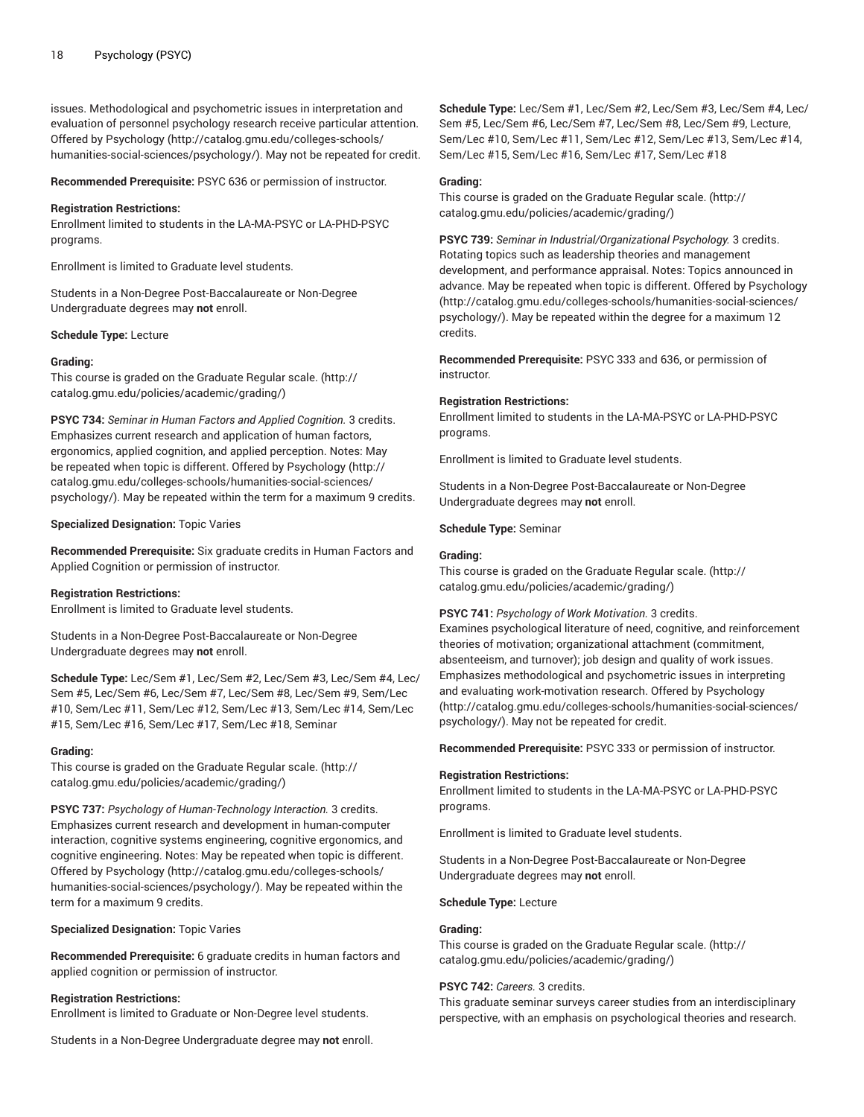issues. Methodological and psychometric issues in interpretation and evaluation of personnel psychology research receive particular attention. Offered by [Psychology \(http://catalog.gmu.edu/colleges-schools/](http://catalog.gmu.edu/colleges-schools/humanities-social-sciences/psychology/) [humanities-social-sciences/psychology/\)](http://catalog.gmu.edu/colleges-schools/humanities-social-sciences/psychology/). May not be repeated for credit.

**Recommended Prerequisite:** PSYC 636 or permission of instructor.

#### **Registration Restrictions:**

Enrollment limited to students in the LA-MA-PSYC or LA-PHD-PSYC programs.

Enrollment is limited to Graduate level students.

Students in a Non-Degree Post-Baccalaureate or Non-Degree Undergraduate degrees may **not** enroll.

**Schedule Type:** Lecture

#### **Grading:**

This course is graded on the [Graduate Regular scale.](http://catalog.gmu.edu/policies/academic/grading/) [\(http://](http://catalog.gmu.edu/policies/academic/grading/) [catalog.gmu.edu/policies/academic/grading/\)](http://catalog.gmu.edu/policies/academic/grading/)

**PSYC 734:** *Seminar in Human Factors and Applied Cognition.* 3 credits. Emphasizes current research and application of human factors, ergonomics, applied cognition, and applied perception. Notes: May be repeated when topic is different. Offered by [Psychology](http://catalog.gmu.edu/colleges-schools/humanities-social-sciences/psychology/) ([http://](http://catalog.gmu.edu/colleges-schools/humanities-social-sciences/psychology/) [catalog.gmu.edu/colleges-schools/humanities-social-sciences/](http://catalog.gmu.edu/colleges-schools/humanities-social-sciences/psychology/) [psychology/](http://catalog.gmu.edu/colleges-schools/humanities-social-sciences/psychology/)). May be repeated within the term for a maximum 9 credits.

**Specialized Designation:** Topic Varies

**Recommended Prerequisite:** Six graduate credits in Human Factors and Applied Cognition or permission of instructor.

#### **Registration Restrictions:**

Enrollment is limited to Graduate level students.

Students in a Non-Degree Post-Baccalaureate or Non-Degree Undergraduate degrees may **not** enroll.

**Schedule Type:** Lec/Sem #1, Lec/Sem #2, Lec/Sem #3, Lec/Sem #4, Lec/ Sem #5, Lec/Sem #6, Lec/Sem #7, Lec/Sem #8, Lec/Sem #9, Sem/Lec #10, Sem/Lec #11, Sem/Lec #12, Sem/Lec #13, Sem/Lec #14, Sem/Lec #15, Sem/Lec #16, Sem/Lec #17, Sem/Lec #18, Seminar

#### **Grading:**

This course is graded on the [Graduate Regular scale.](http://catalog.gmu.edu/policies/academic/grading/) [\(http://](http://catalog.gmu.edu/policies/academic/grading/) [catalog.gmu.edu/policies/academic/grading/\)](http://catalog.gmu.edu/policies/academic/grading/)

**PSYC 737:** *Psychology of Human-Technology Interaction.* 3 credits. Emphasizes current research and development in human-computer interaction, cognitive systems engineering, cognitive ergonomics, and cognitive engineering. Notes: May be repeated when topic is different. Offered by [Psychology \(http://catalog.gmu.edu/colleges-schools/](http://catalog.gmu.edu/colleges-schools/humanities-social-sciences/psychology/) [humanities-social-sciences/psychology/\)](http://catalog.gmu.edu/colleges-schools/humanities-social-sciences/psychology/). May be repeated within the term for a maximum 9 credits.

**Specialized Designation:** Topic Varies

**Recommended Prerequisite:** 6 graduate credits in human factors and applied cognition or permission of instructor.

#### **Registration Restrictions:**

Enrollment is limited to Graduate or Non-Degree level students.

Students in a Non-Degree Undergraduate degree may **not** enroll.

**Schedule Type:** Lec/Sem #1, Lec/Sem #2, Lec/Sem #3, Lec/Sem #4, Lec/ Sem #5, Lec/Sem #6, Lec/Sem #7, Lec/Sem #8, Lec/Sem #9, Lecture, Sem/Lec #10, Sem/Lec #11, Sem/Lec #12, Sem/Lec #13, Sem/Lec #14, Sem/Lec #15, Sem/Lec #16, Sem/Lec #17, Sem/Lec #18

#### **Grading:**

This course is graded on the [Graduate Regular scale.](http://catalog.gmu.edu/policies/academic/grading/) ([http://](http://catalog.gmu.edu/policies/academic/grading/) [catalog.gmu.edu/policies/academic/grading/](http://catalog.gmu.edu/policies/academic/grading/))

**PSYC 739:** *Seminar in Industrial/Organizational Psychology.* 3 credits. Rotating topics such as leadership theories and management development, and performance appraisal. Notes: Topics announced in advance. May be repeated when topic is different. Offered by [Psychology](http://catalog.gmu.edu/colleges-schools/humanities-social-sciences/psychology/) [\(http://catalog.gmu.edu/colleges-schools/humanities-social-sciences/](http://catalog.gmu.edu/colleges-schools/humanities-social-sciences/psychology/) [psychology/\)](http://catalog.gmu.edu/colleges-schools/humanities-social-sciences/psychology/). May be repeated within the degree for a maximum 12 credits.

**Recommended Prerequisite:** PSYC 333 and 636, or permission of instructor.

## **Registration Restrictions:**

Enrollment limited to students in the LA-MA-PSYC or LA-PHD-PSYC programs.

Enrollment is limited to Graduate level students.

Students in a Non-Degree Post-Baccalaureate or Non-Degree Undergraduate degrees may **not** enroll.

#### **Schedule Type:** Seminar

#### **Grading:**

This course is graded on the [Graduate Regular scale.](http://catalog.gmu.edu/policies/academic/grading/) ([http://](http://catalog.gmu.edu/policies/academic/grading/) [catalog.gmu.edu/policies/academic/grading/](http://catalog.gmu.edu/policies/academic/grading/))

#### **PSYC 741:** *Psychology of Work Motivation.* 3 credits.

Examines psychological literature of need, cognitive, and reinforcement theories of motivation; organizational attachment (commitment, absenteeism, and turnover); job design and quality of work issues. Emphasizes methodological and psychometric issues in interpreting and evaluating work-motivation research. Offered by [Psychology](http://catalog.gmu.edu/colleges-schools/humanities-social-sciences/psychology/) [\(http://catalog.gmu.edu/colleges-schools/humanities-social-sciences/](http://catalog.gmu.edu/colleges-schools/humanities-social-sciences/psychology/) [psychology/\)](http://catalog.gmu.edu/colleges-schools/humanities-social-sciences/psychology/). May not be repeated for credit.

**Recommended Prerequisite:** PSYC 333 or permission of instructor.

#### **Registration Restrictions:**

Enrollment limited to students in the LA-MA-PSYC or LA-PHD-PSYC programs.

Enrollment is limited to Graduate level students.

Students in a Non-Degree Post-Baccalaureate or Non-Degree Undergraduate degrees may **not** enroll.

**Schedule Type:** Lecture

#### **Grading:**

This course is graded on the [Graduate Regular scale.](http://catalog.gmu.edu/policies/academic/grading/) ([http://](http://catalog.gmu.edu/policies/academic/grading/) [catalog.gmu.edu/policies/academic/grading/](http://catalog.gmu.edu/policies/academic/grading/))

## **PSYC 742:** *Careers.* 3 credits.

This graduate seminar surveys career studies from an interdisciplinary perspective, with an emphasis on psychological theories and research.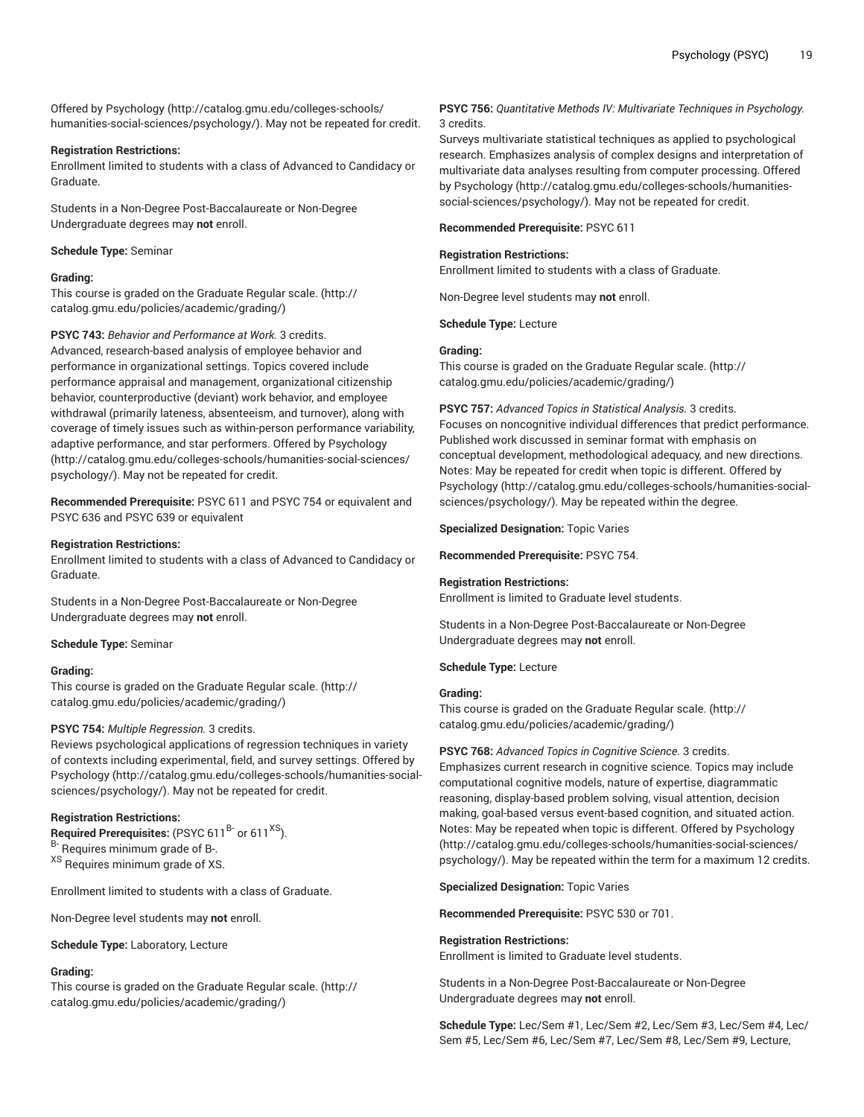Offered by [Psychology \(http://catalog.gmu.edu/colleges-schools/](http://catalog.gmu.edu/colleges-schools/humanities-social-sciences/psychology/) [humanities-social-sciences/psychology/\)](http://catalog.gmu.edu/colleges-schools/humanities-social-sciences/psychology/). May not be repeated for credit.

## **Registration Restrictions:**

Enrollment limited to students with a class of Advanced to Candidacy or Graduate.

Students in a Non-Degree Post-Baccalaureate or Non-Degree Undergraduate degrees may **not** enroll.

**Schedule Type:** Seminar

## **Grading:**

This course is graded on the [Graduate Regular scale.](http://catalog.gmu.edu/policies/academic/grading/) [\(http://](http://catalog.gmu.edu/policies/academic/grading/) [catalog.gmu.edu/policies/academic/grading/\)](http://catalog.gmu.edu/policies/academic/grading/)

## **PSYC 743:** *Behavior and Performance at Work.* 3 credits.

Advanced, research-based analysis of employee behavior and performance in organizational settings. Topics covered include performance appraisal and management, organizational citizenship behavior, counterproductive (deviant) work behavior, and employee withdrawal (primarily lateness, absenteeism, and turnover), along with coverage of timely issues such as within-person performance variability, adaptive performance, and star performers. Offered by [Psychology](http://catalog.gmu.edu/colleges-schools/humanities-social-sciences/psychology/) ([http://catalog.gmu.edu/colleges-schools/humanities-social-sciences/](http://catalog.gmu.edu/colleges-schools/humanities-social-sciences/psychology/) [psychology/](http://catalog.gmu.edu/colleges-schools/humanities-social-sciences/psychology/)). May not be repeated for credit.

**Recommended Prerequisite:** PSYC 611 and PSYC 754 or equivalent and PSYC 636 and PSYC 639 or equivalent

## **Registration Restrictions:**

Enrollment limited to students with a class of Advanced to Candidacy or Graduate.

Students in a Non-Degree Post-Baccalaureate or Non-Degree Undergraduate degrees may **not** enroll.

**Schedule Type:** Seminar

## **Grading:**

This course is graded on the [Graduate Regular scale.](http://catalog.gmu.edu/policies/academic/grading/) [\(http://](http://catalog.gmu.edu/policies/academic/grading/) [catalog.gmu.edu/policies/academic/grading/\)](http://catalog.gmu.edu/policies/academic/grading/)

## **PSYC 754:** *Multiple Regression.* 3 credits.

Reviews psychological applications of regression techniques in variety of contexts including experimental, field, and survey settings. Offered by [Psychology \(http://catalog.gmu.edu/colleges-schools/humanities-social](http://catalog.gmu.edu/colleges-schools/humanities-social-sciences/psychology/)[sciences/psychology/\)](http://catalog.gmu.edu/colleges-schools/humanities-social-sciences/psychology/). May not be repeated for credit.

## **Registration Restrictions:**

**Required Prerequisites:** (PSYC 611<sup>B-</sup> or 611<sup>XS</sup>). B- Requires minimum grade of B-. XS Requires minimum grade of XS.

Enrollment limited to students with a class of Graduate.

Non-Degree level students may **not** enroll.

**Schedule Type:** Laboratory, Lecture

# **Grading:**

This course is graded on the [Graduate Regular scale.](http://catalog.gmu.edu/policies/academic/grading/) [\(http://](http://catalog.gmu.edu/policies/academic/grading/) [catalog.gmu.edu/policies/academic/grading/\)](http://catalog.gmu.edu/policies/academic/grading/)

**PSYC 756:** *Quantitative Methods IV: Multivariate Techniques in Psychology.* 3 credits.

Surveys multivariate statistical techniques as applied to psychological research. Emphasizes analysis of complex designs and interpretation of multivariate data analyses resulting from computer processing. Offered by [Psychology \(http://catalog.gmu.edu/colleges-schools/humanities](http://catalog.gmu.edu/colleges-schools/humanities-social-sciences/psychology/)[social-sciences/psychology/\)](http://catalog.gmu.edu/colleges-schools/humanities-social-sciences/psychology/). May not be repeated for credit.

## **Recommended Prerequisite:** PSYC 611

## **Registration Restrictions:**

Enrollment limited to students with a class of Graduate.

Non-Degree level students may **not** enroll.

**Schedule Type:** Lecture

## **Grading:**

This course is graded on the [Graduate Regular scale.](http://catalog.gmu.edu/policies/academic/grading/) ([http://](http://catalog.gmu.edu/policies/academic/grading/) [catalog.gmu.edu/policies/academic/grading/](http://catalog.gmu.edu/policies/academic/grading/))

**PSYC 757:** *Advanced Topics in Statistical Analysis.* 3 credits.

Focuses on noncognitive individual differences that predict performance. Published work discussed in seminar format with emphasis on conceptual development, methodological adequacy, and new directions. Notes: May be repeated for credit when topic is different. Offered by [Psychology](http://catalog.gmu.edu/colleges-schools/humanities-social-sciences/psychology/) ([http://catalog.gmu.edu/colleges-schools/humanities-social](http://catalog.gmu.edu/colleges-schools/humanities-social-sciences/psychology/)[sciences/psychology/](http://catalog.gmu.edu/colleges-schools/humanities-social-sciences/psychology/)). May be repeated within the degree.

**Specialized Designation:** Topic Varies

**Recommended Prerequisite:** PSYC 754.

## **Registration Restrictions:**

Enrollment is limited to Graduate level students.

Students in a Non-Degree Post-Baccalaureate or Non-Degree Undergraduate degrees may **not** enroll.

**Schedule Type:** Lecture

#### **Grading:**

This course is graded on the [Graduate Regular scale.](http://catalog.gmu.edu/policies/academic/grading/) ([http://](http://catalog.gmu.edu/policies/academic/grading/) [catalog.gmu.edu/policies/academic/grading/](http://catalog.gmu.edu/policies/academic/grading/))

**PSYC 768:** *Advanced Topics in Cognitive Science.* 3 credits.

Emphasizes current research in cognitive science. Topics may include computational cognitive models, nature of expertise, diagrammatic reasoning, display-based problem solving, visual attention, decision making, goal-based versus event-based cognition, and situated action. Notes: May be repeated when topic is different. Offered by [Psychology](http://catalog.gmu.edu/colleges-schools/humanities-social-sciences/psychology/) [\(http://catalog.gmu.edu/colleges-schools/humanities-social-sciences/](http://catalog.gmu.edu/colleges-schools/humanities-social-sciences/psychology/) [psychology/\)](http://catalog.gmu.edu/colleges-schools/humanities-social-sciences/psychology/). May be repeated within the term for a maximum 12 credits.

**Specialized Designation:** Topic Varies

**Recommended Prerequisite:** PSYC 530 or 701.

## **Registration Restrictions:**

Enrollment is limited to Graduate level students.

Students in a Non-Degree Post-Baccalaureate or Non-Degree Undergraduate degrees may **not** enroll.

**Schedule Type:** Lec/Sem #1, Lec/Sem #2, Lec/Sem #3, Lec/Sem #4, Lec/ Sem #5, Lec/Sem #6, Lec/Sem #7, Lec/Sem #8, Lec/Sem #9, Lecture,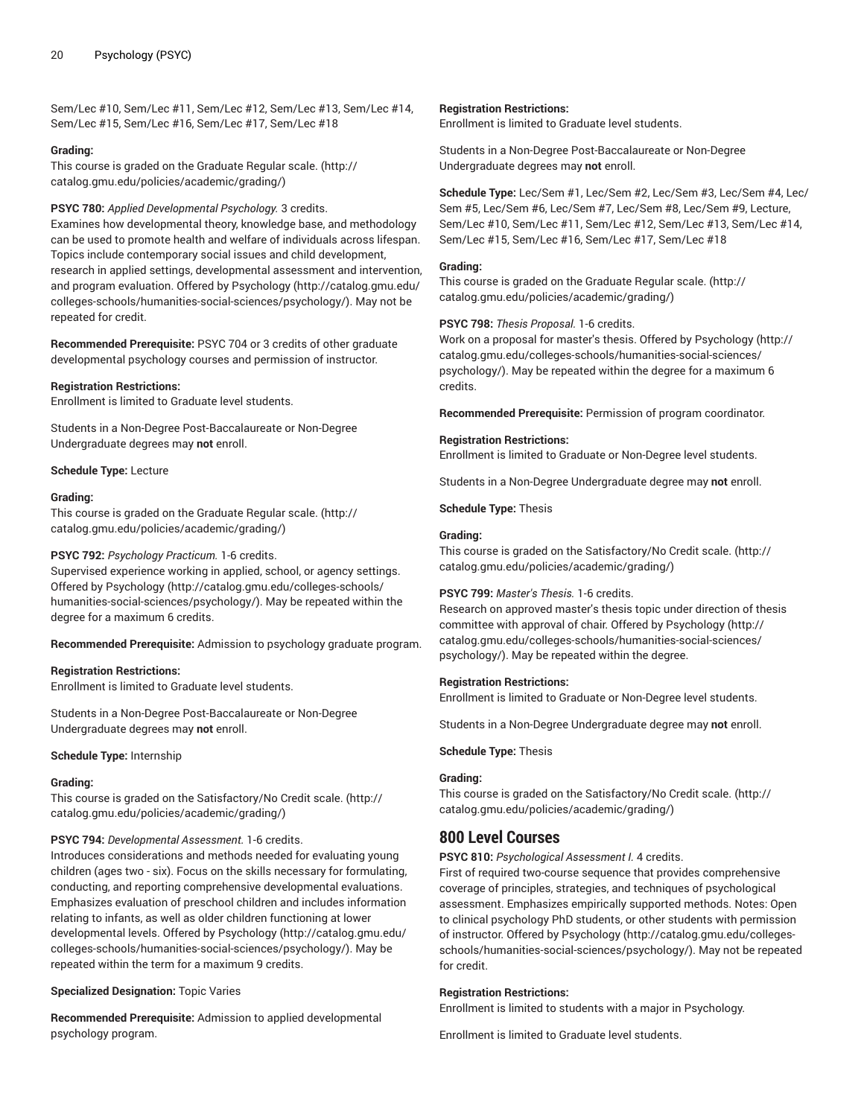Sem/Lec #10, Sem/Lec #11, Sem/Lec #12, Sem/Lec #13, Sem/Lec #14, Sem/Lec #15, Sem/Lec #16, Sem/Lec #17, Sem/Lec #18

## **Grading:**

This course is graded on the [Graduate Regular scale.](http://catalog.gmu.edu/policies/academic/grading/) [\(http://](http://catalog.gmu.edu/policies/academic/grading/) [catalog.gmu.edu/policies/academic/grading/\)](http://catalog.gmu.edu/policies/academic/grading/)

## **PSYC 780:** *Applied Developmental Psychology.* 3 credits.

Examines how developmental theory, knowledge base, and methodology can be used to promote health and welfare of individuals across lifespan. Topics include contemporary social issues and child development, research in applied settings, developmental assessment and intervention, and program evaluation. Offered by [Psychology](http://catalog.gmu.edu/colleges-schools/humanities-social-sciences/psychology/) ([http://catalog.gmu.edu/](http://catalog.gmu.edu/colleges-schools/humanities-social-sciences/psychology/) [colleges-schools/humanities-social-sciences/psychology/](http://catalog.gmu.edu/colleges-schools/humanities-social-sciences/psychology/)). May not be repeated for credit.

**Recommended Prerequisite:** PSYC 704 or 3 credits of other graduate developmental psychology courses and permission of instructor.

## **Registration Restrictions:**

Enrollment is limited to Graduate level students.

Students in a Non-Degree Post-Baccalaureate or Non-Degree Undergraduate degrees may **not** enroll.

## **Schedule Type:** Lecture

#### **Grading:**

This course is graded on the [Graduate Regular scale.](http://catalog.gmu.edu/policies/academic/grading/) [\(http://](http://catalog.gmu.edu/policies/academic/grading/) [catalog.gmu.edu/policies/academic/grading/\)](http://catalog.gmu.edu/policies/academic/grading/)

## **PSYC 792:** *Psychology Practicum.* 1-6 credits.

Supervised experience working in applied, school, or agency settings. Offered by [Psychology \(http://catalog.gmu.edu/colleges-schools/](http://catalog.gmu.edu/colleges-schools/humanities-social-sciences/psychology/) [humanities-social-sciences/psychology/\)](http://catalog.gmu.edu/colleges-schools/humanities-social-sciences/psychology/). May be repeated within the degree for a maximum 6 credits.

**Recommended Prerequisite:** Admission to psychology graduate program.

#### **Registration Restrictions:**

Enrollment is limited to Graduate level students.

Students in a Non-Degree Post-Baccalaureate or Non-Degree Undergraduate degrees may **not** enroll.

#### **Schedule Type:** Internship

#### **Grading:**

This course is graded on the [Satisfactory/No](http://catalog.gmu.edu/policies/academic/grading/) Credit scale. ([http://](http://catalog.gmu.edu/policies/academic/grading/) [catalog.gmu.edu/policies/academic/grading/\)](http://catalog.gmu.edu/policies/academic/grading/)

## **PSYC 794:** *Developmental Assessment.* 1-6 credits.

Introduces considerations and methods needed for evaluating young children (ages two - six). Focus on the skills necessary for formulating, conducting, and reporting comprehensive developmental evaluations. Emphasizes evaluation of preschool children and includes information relating to infants, as well as older children functioning at lower developmental levels. Offered by [Psychology](http://catalog.gmu.edu/colleges-schools/humanities-social-sciences/psychology/) ([http://catalog.gmu.edu/](http://catalog.gmu.edu/colleges-schools/humanities-social-sciences/psychology/) [colleges-schools/humanities-social-sciences/psychology/](http://catalog.gmu.edu/colleges-schools/humanities-social-sciences/psychology/)). May be repeated within the term for a maximum 9 credits.

## **Specialized Designation:** Topic Varies

**Recommended Prerequisite:** Admission to applied developmental psychology program.

## **Registration Restrictions:**

Enrollment is limited to Graduate level students.

Students in a Non-Degree Post-Baccalaureate or Non-Degree Undergraduate degrees may **not** enroll.

**Schedule Type:** Lec/Sem #1, Lec/Sem #2, Lec/Sem #3, Lec/Sem #4, Lec/ Sem #5, Lec/Sem #6, Lec/Sem #7, Lec/Sem #8, Lec/Sem #9, Lecture, Sem/Lec #10, Sem/Lec #11, Sem/Lec #12, Sem/Lec #13, Sem/Lec #14, Sem/Lec #15, Sem/Lec #16, Sem/Lec #17, Sem/Lec #18

## **Grading:**

This course is graded on the [Graduate Regular scale.](http://catalog.gmu.edu/policies/academic/grading/) ([http://](http://catalog.gmu.edu/policies/academic/grading/) [catalog.gmu.edu/policies/academic/grading/](http://catalog.gmu.edu/policies/academic/grading/))

## **PSYC 798:** *Thesis Proposal.* 1-6 credits.

Work on a proposal for master's thesis. Offered by [Psychology](http://catalog.gmu.edu/colleges-schools/humanities-social-sciences/psychology/) ([http://](http://catalog.gmu.edu/colleges-schools/humanities-social-sciences/psychology/) [catalog.gmu.edu/colleges-schools/humanities-social-sciences/](http://catalog.gmu.edu/colleges-schools/humanities-social-sciences/psychology/) [psychology/\)](http://catalog.gmu.edu/colleges-schools/humanities-social-sciences/psychology/). May be repeated within the degree for a maximum 6 credits.

**Recommended Prerequisite:** Permission of program coordinator.

## **Registration Restrictions:**

Enrollment is limited to Graduate or Non-Degree level students.

Students in a Non-Degree Undergraduate degree may **not** enroll.

**Schedule Type:** Thesis

## **Grading:**

This course is graded on the [Satisfactory/No](http://catalog.gmu.edu/policies/academic/grading/) Credit scale. [\(http://](http://catalog.gmu.edu/policies/academic/grading/) [catalog.gmu.edu/policies/academic/grading/](http://catalog.gmu.edu/policies/academic/grading/))

## **PSYC 799:** *Master's Thesis.* 1-6 credits.

Research on approved master's thesis topic under direction of thesis committee with approval of chair. Offered by [Psychology \(http://](http://catalog.gmu.edu/colleges-schools/humanities-social-sciences/psychology/) [catalog.gmu.edu/colleges-schools/humanities-social-sciences/](http://catalog.gmu.edu/colleges-schools/humanities-social-sciences/psychology/) [psychology/\)](http://catalog.gmu.edu/colleges-schools/humanities-social-sciences/psychology/). May be repeated within the degree.

#### **Registration Restrictions:**

Enrollment is limited to Graduate or Non-Degree level students.

Students in a Non-Degree Undergraduate degree may **not** enroll.

## **Schedule Type:** Thesis

#### **Grading:**

This course is graded on the [Satisfactory/No](http://catalog.gmu.edu/policies/academic/grading/) Credit scale. [\(http://](http://catalog.gmu.edu/policies/academic/grading/) [catalog.gmu.edu/policies/academic/grading/](http://catalog.gmu.edu/policies/academic/grading/))

# **800 Level Courses**

**PSYC 810:** *Psychological Assessment I.* 4 credits.

First of required two-course sequence that provides comprehensive coverage of principles, strategies, and techniques of psychological assessment. Emphasizes empirically supported methods. Notes: Open to clinical psychology PhD students, or other students with permission of instructor. Offered by [Psychology](http://catalog.gmu.edu/colleges-schools/humanities-social-sciences/psychology/) ([http://catalog.gmu.edu/colleges](http://catalog.gmu.edu/colleges-schools/humanities-social-sciences/psychology/)[schools/humanities-social-sciences/psychology/](http://catalog.gmu.edu/colleges-schools/humanities-social-sciences/psychology/)). May not be repeated for credit.

## **Registration Restrictions:**

Enrollment is limited to students with a major in Psychology.

Enrollment is limited to Graduate level students.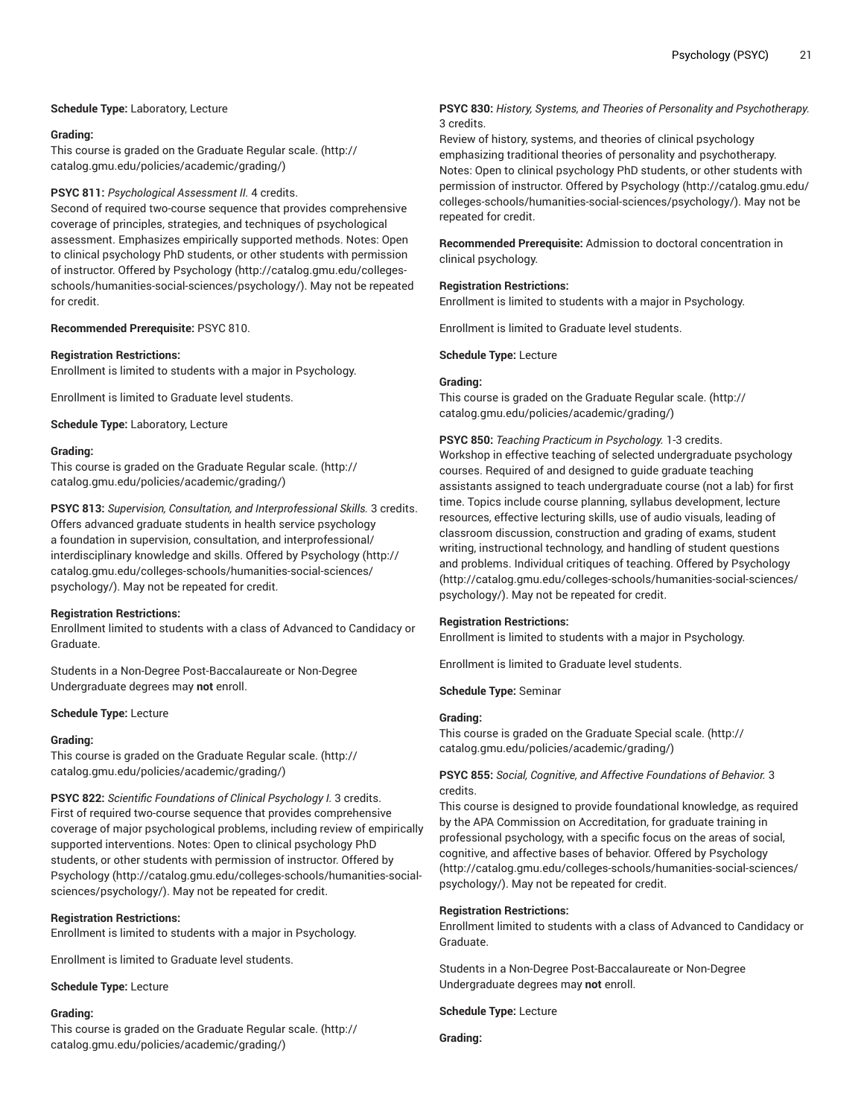## **Schedule Type:** Laboratory, Lecture

#### **Grading:**

This course is graded on the [Graduate Regular scale.](http://catalog.gmu.edu/policies/academic/grading/) [\(http://](http://catalog.gmu.edu/policies/academic/grading/) [catalog.gmu.edu/policies/academic/grading/\)](http://catalog.gmu.edu/policies/academic/grading/)

## **PSYC 811:** *Psychological Assessment II.* 4 credits.

Second of required two-course sequence that provides comprehensive coverage of principles, strategies, and techniques of psychological assessment. Emphasizes empirically supported methods. Notes: Open to clinical psychology PhD students, or other students with permission of instructor. Offered by [Psychology \(http://catalog.gmu.edu/colleges](http://catalog.gmu.edu/colleges-schools/humanities-social-sciences/psychology/)[schools/humanities-social-sciences/psychology/](http://catalog.gmu.edu/colleges-schools/humanities-social-sciences/psychology/)). May not be repeated for credit.

**Recommended Prerequisite:** PSYC 810.

#### **Registration Restrictions:**

Enrollment is limited to students with a major in Psychology.

Enrollment is limited to Graduate level students.

**Schedule Type:** Laboratory, Lecture

#### **Grading:**

This course is graded on the [Graduate Regular scale.](http://catalog.gmu.edu/policies/academic/grading/) [\(http://](http://catalog.gmu.edu/policies/academic/grading/) [catalog.gmu.edu/policies/academic/grading/\)](http://catalog.gmu.edu/policies/academic/grading/)

**PSYC 813:** *Supervision, Consultation, and Interprofessional Skills.* 3 credits. Offers advanced graduate students in health service psychology a foundation in supervision, consultation, and interprofessional/ interdisciplinary knowledge and skills. Offered by [Psychology](http://catalog.gmu.edu/colleges-schools/humanities-social-sciences/psychology/) ([http://](http://catalog.gmu.edu/colleges-schools/humanities-social-sciences/psychology/) [catalog.gmu.edu/colleges-schools/humanities-social-sciences/](http://catalog.gmu.edu/colleges-schools/humanities-social-sciences/psychology/) [psychology/](http://catalog.gmu.edu/colleges-schools/humanities-social-sciences/psychology/)). May not be repeated for credit.

#### **Registration Restrictions:**

Enrollment limited to students with a class of Advanced to Candidacy or Graduate.

Students in a Non-Degree Post-Baccalaureate or Non-Degree Undergraduate degrees may **not** enroll.

#### **Schedule Type:** Lecture

#### **Grading:**

This course is graded on the [Graduate Regular scale.](http://catalog.gmu.edu/policies/academic/grading/) [\(http://](http://catalog.gmu.edu/policies/academic/grading/) [catalog.gmu.edu/policies/academic/grading/\)](http://catalog.gmu.edu/policies/academic/grading/)

**PSYC 822:** *Scientific Foundations of Clinical Psychology I.* 3 credits. First of required two-course sequence that provides comprehensive coverage of major psychological problems, including review of empirically supported interventions. Notes: Open to clinical psychology PhD students, or other students with permission of instructor. Offered by [Psychology \(http://catalog.gmu.edu/colleges-schools/humanities-social](http://catalog.gmu.edu/colleges-schools/humanities-social-sciences/psychology/)[sciences/psychology/\)](http://catalog.gmu.edu/colleges-schools/humanities-social-sciences/psychology/). May not be repeated for credit.

#### **Registration Restrictions:**

Enrollment is limited to students with a major in Psychology.

Enrollment is limited to Graduate level students.

**Schedule Type:** Lecture

#### **Grading:**

This course is graded on the [Graduate Regular scale.](http://catalog.gmu.edu/policies/academic/grading/) [\(http://](http://catalog.gmu.edu/policies/academic/grading/) [catalog.gmu.edu/policies/academic/grading/\)](http://catalog.gmu.edu/policies/academic/grading/)

## **PSYC 830:** *History, Systems, and Theories of Personality and Psychotherapy.* 3 credits.

Review of history, systems, and theories of clinical psychology emphasizing traditional theories of personality and psychotherapy. Notes: Open to clinical psychology PhD students, or other students with permission of instructor. Offered by [Psychology \(http://catalog.gmu.edu/](http://catalog.gmu.edu/colleges-schools/humanities-social-sciences/psychology/) [colleges-schools/humanities-social-sciences/psychology/\)](http://catalog.gmu.edu/colleges-schools/humanities-social-sciences/psychology/). May not be repeated for credit.

**Recommended Prerequisite:** Admission to doctoral concentration in clinical psychology.

#### **Registration Restrictions:**

Enrollment is limited to students with a major in Psychology.

Enrollment is limited to Graduate level students.

**Schedule Type:** Lecture

#### **Grading:**

This course is graded on the [Graduate Regular scale.](http://catalog.gmu.edu/policies/academic/grading/) ([http://](http://catalog.gmu.edu/policies/academic/grading/) [catalog.gmu.edu/policies/academic/grading/](http://catalog.gmu.edu/policies/academic/grading/))

**PSYC 850:** *Teaching Practicum in Psychology.* 1-3 credits. Workshop in effective teaching of selected undergraduate psychology courses. Required of and designed to guide graduate teaching assistants assigned to teach undergraduate course (not a lab) for first time. Topics include course planning, syllabus development, lecture resources, effective lecturing skills, use of audio visuals, leading of classroom discussion, construction and grading of exams, student writing, instructional technology, and handling of student questions and problems. Individual critiques of teaching. Offered by [Psychology](http://catalog.gmu.edu/colleges-schools/humanities-social-sciences/psychology/) [\(http://catalog.gmu.edu/colleges-schools/humanities-social-sciences/](http://catalog.gmu.edu/colleges-schools/humanities-social-sciences/psychology/) [psychology/\)](http://catalog.gmu.edu/colleges-schools/humanities-social-sciences/psychology/). May not be repeated for credit.

#### **Registration Restrictions:**

Enrollment is limited to students with a major in Psychology.

Enrollment is limited to Graduate level students.

**Schedule Type:** Seminar

#### **Grading:**

This course is graded on the [Graduate Special scale. \(http://](http://catalog.gmu.edu/policies/academic/grading/) [catalog.gmu.edu/policies/academic/grading/](http://catalog.gmu.edu/policies/academic/grading/))

## **PSYC 855:** *Social, Cognitive, and Affective Foundations of Behavior.* 3 credits.

This course is designed to provide foundational knowledge, as required by the APA Commission on Accreditation, for graduate training in professional psychology, with a specific focus on the areas of social, cognitive, and affective bases of behavior. Offered by [Psychology](http://catalog.gmu.edu/colleges-schools/humanities-social-sciences/psychology/) [\(http://catalog.gmu.edu/colleges-schools/humanities-social-sciences/](http://catalog.gmu.edu/colleges-schools/humanities-social-sciences/psychology/) [psychology/\)](http://catalog.gmu.edu/colleges-schools/humanities-social-sciences/psychology/). May not be repeated for credit.

#### **Registration Restrictions:**

Enrollment limited to students with a class of Advanced to Candidacy or Graduate.

Students in a Non-Degree Post-Baccalaureate or Non-Degree Undergraduate degrees may **not** enroll.

**Schedule Type:** Lecture

**Grading:**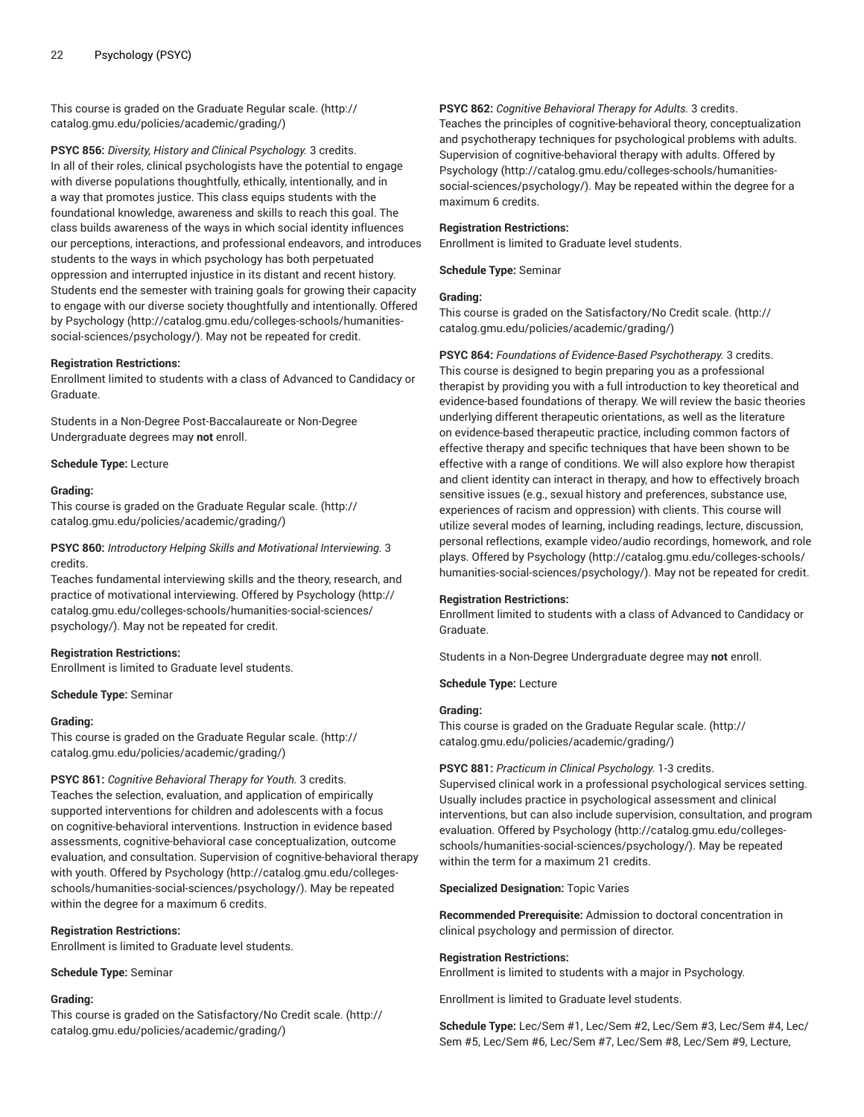This course is graded on the [Graduate Regular scale.](http://catalog.gmu.edu/policies/academic/grading/) [\(http://](http://catalog.gmu.edu/policies/academic/grading/) [catalog.gmu.edu/policies/academic/grading/\)](http://catalog.gmu.edu/policies/academic/grading/)

**PSYC 856:** *Diversity, History and Clinical Psychology.* 3 credits. In all of their roles, clinical psychologists have the potential to engage with diverse populations thoughtfully, ethically, intentionally, and in a way that promotes justice. This class equips students with the foundational knowledge, awareness and skills to reach this goal. The class builds awareness of the ways in which social identity influences our perceptions, interactions, and professional endeavors, and introduces students to the ways in which psychology has both perpetuated oppression and interrupted injustice in its distant and recent history. Students end the semester with training goals for growing their capacity to engage with our diverse society thoughtfully and intentionally. Offered by [Psychology](http://catalog.gmu.edu/colleges-schools/humanities-social-sciences/psychology/) ([http://catalog.gmu.edu/colleges-schools/humanities](http://catalog.gmu.edu/colleges-schools/humanities-social-sciences/psychology/)[social-sciences/psychology/](http://catalog.gmu.edu/colleges-schools/humanities-social-sciences/psychology/)). May not be repeated for credit.

## **Registration Restrictions:**

Enrollment limited to students with a class of Advanced to Candidacy or Graduate.

Students in a Non-Degree Post-Baccalaureate or Non-Degree Undergraduate degrees may **not** enroll.

**Schedule Type:** Lecture

#### **Grading:**

This course is graded on the [Graduate Regular scale.](http://catalog.gmu.edu/policies/academic/grading/) [\(http://](http://catalog.gmu.edu/policies/academic/grading/) [catalog.gmu.edu/policies/academic/grading/\)](http://catalog.gmu.edu/policies/academic/grading/)

**PSYC 860:** *Introductory Helping Skills and Motivational Interviewing.* 3 credits.

Teaches fundamental interviewing skills and the theory, research, and practice of motivational interviewing. Offered by [Psychology](http://catalog.gmu.edu/colleges-schools/humanities-social-sciences/psychology/) ([http://](http://catalog.gmu.edu/colleges-schools/humanities-social-sciences/psychology/) [catalog.gmu.edu/colleges-schools/humanities-social-sciences/](http://catalog.gmu.edu/colleges-schools/humanities-social-sciences/psychology/) [psychology/](http://catalog.gmu.edu/colleges-schools/humanities-social-sciences/psychology/)). May not be repeated for credit.

#### **Registration Restrictions:**

Enrollment is limited to Graduate level students.

#### **Schedule Type:** Seminar

#### **Grading:**

This course is graded on the [Graduate Regular scale.](http://catalog.gmu.edu/policies/academic/grading/) [\(http://](http://catalog.gmu.edu/policies/academic/grading/) [catalog.gmu.edu/policies/academic/grading/\)](http://catalog.gmu.edu/policies/academic/grading/)

**PSYC 861:** *Cognitive Behavioral Therapy for Youth.* 3 credits.

Teaches the selection, evaluation, and application of empirically supported interventions for children and adolescents with a focus on cognitive-behavioral interventions. Instruction in evidence based assessments, cognitive-behavioral case conceptualization, outcome evaluation, and consultation. Supervision of cognitive-behavioral therapy with youth. Offered by [Psychology \(http://catalog.gmu.edu/colleges](http://catalog.gmu.edu/colleges-schools/humanities-social-sciences/psychology/)[schools/humanities-social-sciences/psychology/](http://catalog.gmu.edu/colleges-schools/humanities-social-sciences/psychology/)). May be repeated within the degree for a maximum 6 credits.

#### **Registration Restrictions:**

Enrollment is limited to Graduate level students.

#### **Schedule Type:** Seminar

#### **Grading:**

This course is graded on the [Satisfactory/No](http://catalog.gmu.edu/policies/academic/grading/) Credit scale. ([http://](http://catalog.gmu.edu/policies/academic/grading/) [catalog.gmu.edu/policies/academic/grading/\)](http://catalog.gmu.edu/policies/academic/grading/)

#### **PSYC 862:** *Cognitive Behavioral Therapy for Adults.* 3 credits.

Teaches the principles of cognitive-behavioral theory, conceptualization and psychotherapy techniques for psychological problems with adults. Supervision of cognitive-behavioral therapy with adults. Offered by [Psychology](http://catalog.gmu.edu/colleges-schools/humanities-social-sciences/psychology/) ([http://catalog.gmu.edu/colleges-schools/humanities](http://catalog.gmu.edu/colleges-schools/humanities-social-sciences/psychology/)[social-sciences/psychology/\)](http://catalog.gmu.edu/colleges-schools/humanities-social-sciences/psychology/). May be repeated within the degree for a maximum 6 credits.

#### **Registration Restrictions:**

Enrollment is limited to Graduate level students.

**Schedule Type:** Seminar

## **Grading:**

This course is graded on the [Satisfactory/No](http://catalog.gmu.edu/policies/academic/grading/) Credit scale. [\(http://](http://catalog.gmu.edu/policies/academic/grading/) [catalog.gmu.edu/policies/academic/grading/](http://catalog.gmu.edu/policies/academic/grading/))

**PSYC 864:** *Foundations of Evidence-Based Psychotherapy.* 3 credits. This course is designed to begin preparing you as a professional therapist by providing you with a full introduction to key theoretical and evidence-based foundations of therapy. We will review the basic theories underlying different therapeutic orientations, as well as the literature on evidence-based therapeutic practice, including common factors of effective therapy and specific techniques that have been shown to be effective with a range of conditions. We will also explore how therapist and client identity can interact in therapy, and how to effectively broach sensitive issues (e.g., sexual history and preferences, substance use, experiences of racism and oppression) with clients. This course will utilize several modes of learning, including readings, lecture, discussion, personal reflections, example video/audio recordings, homework, and role plays. Offered by [Psychology](http://catalog.gmu.edu/colleges-schools/humanities-social-sciences/psychology/) ([http://catalog.gmu.edu/colleges-schools/](http://catalog.gmu.edu/colleges-schools/humanities-social-sciences/psychology/) [humanities-social-sciences/psychology/\)](http://catalog.gmu.edu/colleges-schools/humanities-social-sciences/psychology/). May not be repeated for credit.

#### **Registration Restrictions:**

Enrollment limited to students with a class of Advanced to Candidacy or Graduate.

Students in a Non-Degree Undergraduate degree may **not** enroll.

**Schedule Type:** Lecture

#### **Grading:**

This course is graded on the [Graduate Regular scale.](http://catalog.gmu.edu/policies/academic/grading/) ([http://](http://catalog.gmu.edu/policies/academic/grading/) [catalog.gmu.edu/policies/academic/grading/](http://catalog.gmu.edu/policies/academic/grading/))

**PSYC 881:** *Practicum in Clinical Psychology.* 1-3 credits.

Supervised clinical work in a professional psychological services setting. Usually includes practice in psychological assessment and clinical interventions, but can also include supervision, consultation, and program evaluation. Offered by [Psychology \(http://catalog.gmu.edu/colleges](http://catalog.gmu.edu/colleges-schools/humanities-social-sciences/psychology/)[schools/humanities-social-sciences/psychology/](http://catalog.gmu.edu/colleges-schools/humanities-social-sciences/psychology/)). May be repeated within the term for a maximum 21 credits.

#### **Specialized Designation:** Topic Varies

**Recommended Prerequisite:** Admission to doctoral concentration in clinical psychology and permission of director.

#### **Registration Restrictions:**

Enrollment is limited to students with a major in Psychology.

Enrollment is limited to Graduate level students.

**Schedule Type:** Lec/Sem #1, Lec/Sem #2, Lec/Sem #3, Lec/Sem #4, Lec/ Sem #5, Lec/Sem #6, Lec/Sem #7, Lec/Sem #8, Lec/Sem #9, Lecture,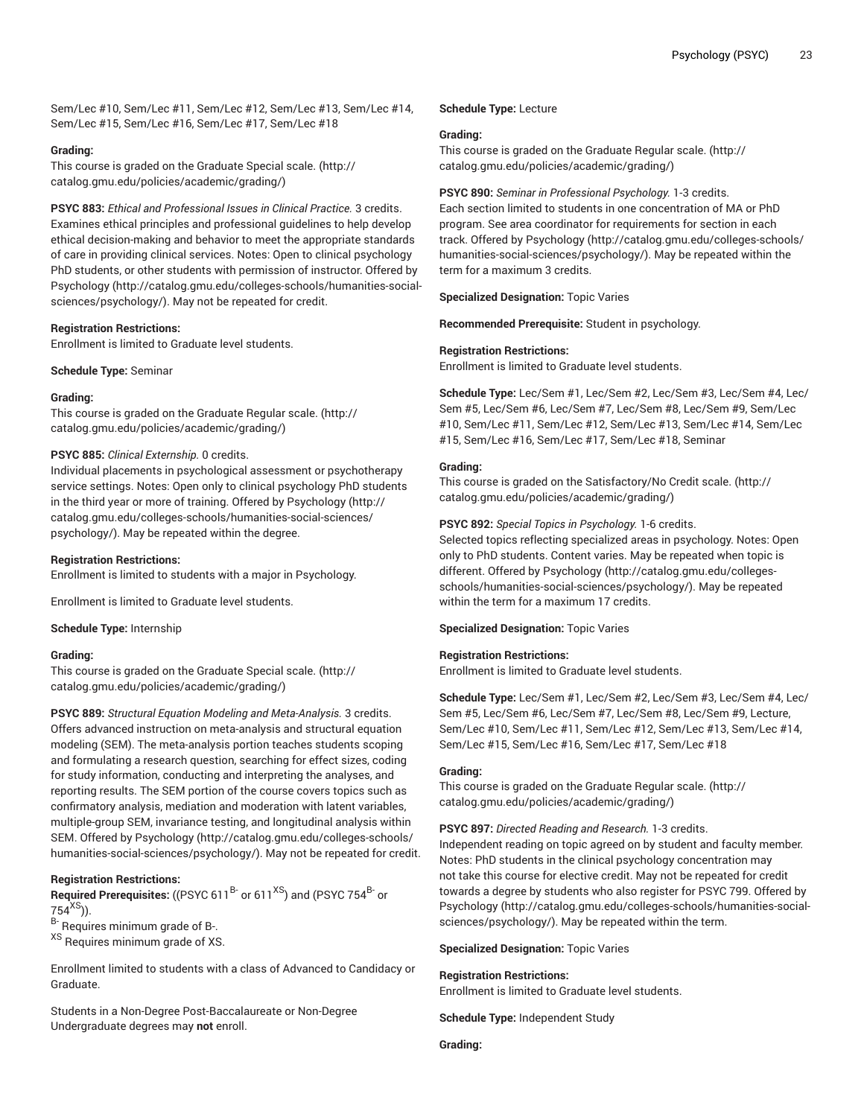Sem/Lec #10, Sem/Lec #11, Sem/Lec #12, Sem/Lec #13, Sem/Lec #14, Sem/Lec #15, Sem/Lec #16, Sem/Lec #17, Sem/Lec #18

## **Grading:**

This course is graded on the [Graduate Special scale.](http://catalog.gmu.edu/policies/academic/grading/) ([http://](http://catalog.gmu.edu/policies/academic/grading/) [catalog.gmu.edu/policies/academic/grading/\)](http://catalog.gmu.edu/policies/academic/grading/)

**PSYC 883:** *Ethical and Professional Issues in Clinical Practice.* 3 credits. Examines ethical principles and professional guidelines to help develop ethical decision-making and behavior to meet the appropriate standards of care in providing clinical services. Notes: Open to clinical psychology PhD students, or other students with permission of instructor. Offered by [Psychology \(http://catalog.gmu.edu/colleges-schools/humanities-social](http://catalog.gmu.edu/colleges-schools/humanities-social-sciences/psychology/)[sciences/psychology/\)](http://catalog.gmu.edu/colleges-schools/humanities-social-sciences/psychology/). May not be repeated for credit.

## **Registration Restrictions:**

Enrollment is limited to Graduate level students.

**Schedule Type:** Seminar

#### **Grading:**

This course is graded on the [Graduate Regular scale.](http://catalog.gmu.edu/policies/academic/grading/) [\(http://](http://catalog.gmu.edu/policies/academic/grading/) [catalog.gmu.edu/policies/academic/grading/\)](http://catalog.gmu.edu/policies/academic/grading/)

## **PSYC 885:** *Clinical Externship.* 0 credits.

Individual placements in psychological assessment or psychotherapy service settings. Notes: Open only to clinical psychology PhD students in the third year or more of training. Offered by [Psychology](http://catalog.gmu.edu/colleges-schools/humanities-social-sciences/psychology/) ([http://](http://catalog.gmu.edu/colleges-schools/humanities-social-sciences/psychology/) [catalog.gmu.edu/colleges-schools/humanities-social-sciences/](http://catalog.gmu.edu/colleges-schools/humanities-social-sciences/psychology/) [psychology/](http://catalog.gmu.edu/colleges-schools/humanities-social-sciences/psychology/)). May be repeated within the degree.

## **Registration Restrictions:**

Enrollment is limited to students with a major in Psychology.

Enrollment is limited to Graduate level students.

#### **Schedule Type:** Internship

#### **Grading:**

This course is graded on the [Graduate Special scale.](http://catalog.gmu.edu/policies/academic/grading/) ([http://](http://catalog.gmu.edu/policies/academic/grading/) [catalog.gmu.edu/policies/academic/grading/\)](http://catalog.gmu.edu/policies/academic/grading/)

**PSYC 889:** *Structural Equation Modeling and Meta-Analysis.* 3 credits. Offers advanced instruction on meta-analysis and structural equation modeling (SEM). The meta-analysis portion teaches students scoping and formulating a research question, searching for effect sizes, coding for study information, conducting and interpreting the analyses, and reporting results. The SEM portion of the course covers topics such as confirmatory analysis, mediation and moderation with latent variables, multiple-group SEM, invariance testing, and longitudinal analysis within SEM. Offered by [Psychology \(http://catalog.gmu.edu/colleges-schools/](http://catalog.gmu.edu/colleges-schools/humanities-social-sciences/psychology/) [humanities-social-sciences/psychology/\)](http://catalog.gmu.edu/colleges-schools/humanities-social-sciences/psychology/). May not be repeated for credit.

## **Registration Restrictions:**

**Required Prerequisites:** ((PSYC 611<sup>B-</sup> or 611<sup>XS</sup>) and (PSYC 754<sup>B-</sup> or  $754<sup>XS</sup>)$ ).

B- Requires minimum grade of B-.

XS Requires minimum grade of XS.

Enrollment limited to students with a class of Advanced to Candidacy or Graduate.

Students in a Non-Degree Post-Baccalaureate or Non-Degree Undergraduate degrees may **not** enroll.

## **Schedule Type:** Lecture

## **Grading:**

This course is graded on the [Graduate Regular scale.](http://catalog.gmu.edu/policies/academic/grading/) ([http://](http://catalog.gmu.edu/policies/academic/grading/) [catalog.gmu.edu/policies/academic/grading/](http://catalog.gmu.edu/policies/academic/grading/))

## **PSYC 890:** *Seminar in Professional Psychology.* 1-3 credits.

Each section limited to students in one concentration of MA or PhD program. See area coordinator for requirements for section in each track. Offered by [Psychology](http://catalog.gmu.edu/colleges-schools/humanities-social-sciences/psychology/) [\(http://catalog.gmu.edu/colleges-schools/](http://catalog.gmu.edu/colleges-schools/humanities-social-sciences/psychology/) [humanities-social-sciences/psychology/\)](http://catalog.gmu.edu/colleges-schools/humanities-social-sciences/psychology/). May be repeated within the term for a maximum 3 credits.

**Specialized Designation:** Topic Varies

**Recommended Prerequisite:** Student in psychology.

## **Registration Restrictions:**

Enrollment is limited to Graduate level students.

**Schedule Type:** Lec/Sem #1, Lec/Sem #2, Lec/Sem #3, Lec/Sem #4, Lec/ Sem #5, Lec/Sem #6, Lec/Sem #7, Lec/Sem #8, Lec/Sem #9, Sem/Lec #10, Sem/Lec #11, Sem/Lec #12, Sem/Lec #13, Sem/Lec #14, Sem/Lec #15, Sem/Lec #16, Sem/Lec #17, Sem/Lec #18, Seminar

## **Grading:**

This course is graded on the [Satisfactory/No](http://catalog.gmu.edu/policies/academic/grading/) Credit scale. [\(http://](http://catalog.gmu.edu/policies/academic/grading/) [catalog.gmu.edu/policies/academic/grading/](http://catalog.gmu.edu/policies/academic/grading/))

**PSYC 892:** *Special Topics in Psychology.* 1-6 credits.

Selected topics reflecting specialized areas in psychology. Notes: Open only to PhD students. Content varies. May be repeated when topic is different. Offered by [Psychology \(http://catalog.gmu.edu/colleges](http://catalog.gmu.edu/colleges-schools/humanities-social-sciences/psychology/)[schools/humanities-social-sciences/psychology/](http://catalog.gmu.edu/colleges-schools/humanities-social-sciences/psychology/)). May be repeated within the term for a maximum 17 credits.

**Specialized Designation:** Topic Varies

## **Registration Restrictions:**

Enrollment is limited to Graduate level students.

**Schedule Type:** Lec/Sem #1, Lec/Sem #2, Lec/Sem #3, Lec/Sem #4, Lec/ Sem #5, Lec/Sem #6, Lec/Sem #7, Lec/Sem #8, Lec/Sem #9, Lecture, Sem/Lec #10, Sem/Lec #11, Sem/Lec #12, Sem/Lec #13, Sem/Lec #14, Sem/Lec #15, Sem/Lec #16, Sem/Lec #17, Sem/Lec #18

#### **Grading:**

This course is graded on the [Graduate Regular scale.](http://catalog.gmu.edu/policies/academic/grading/) ([http://](http://catalog.gmu.edu/policies/academic/grading/) [catalog.gmu.edu/policies/academic/grading/](http://catalog.gmu.edu/policies/academic/grading/))

**PSYC 897:** *Directed Reading and Research.* 1-3 credits.

Independent reading on topic agreed on by student and faculty member. Notes: PhD students in the clinical psychology concentration may not take this course for elective credit. May not be repeated for credit towards a degree by students who also register for PSYC 799. Offered by [Psychology](http://catalog.gmu.edu/colleges-schools/humanities-social-sciences/psychology/) ([http://catalog.gmu.edu/colleges-schools/humanities-social](http://catalog.gmu.edu/colleges-schools/humanities-social-sciences/psychology/)[sciences/psychology/](http://catalog.gmu.edu/colleges-schools/humanities-social-sciences/psychology/)). May be repeated within the term.

**Specialized Designation:** Topic Varies

## **Registration Restrictions:**

Enrollment is limited to Graduate level students.

**Schedule Type:** Independent Study

## **Grading:**